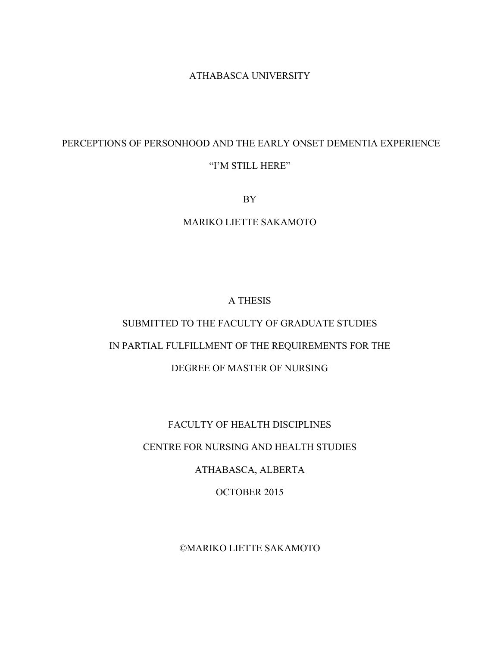#### ATHABASCA UNIVERSITY

# PERCEPTIONS OF PERSONHOOD AND THE EARLY ONSET DEMENTIA EXPERIENCE "I'M STILL HERE"

BY

MARIKO LIETTE SAKAMOTO

# A THESIS

# SUBMITTED TO THE FACULTY OF GRADUATE STUDIES IN PARTIAL FULFILLMENT OF THE REQUIREMENTS FOR THE DEGREE OF MASTER OF NURSING

# FACULTY OF HEALTH DISCIPLINES

# CENTRE FOR NURSING AND HEALTH STUDIES

# ATHABASCA, ALBERTA

#### OCTOBER 2015

# ©MARIKO LIETTE SAKAMOTO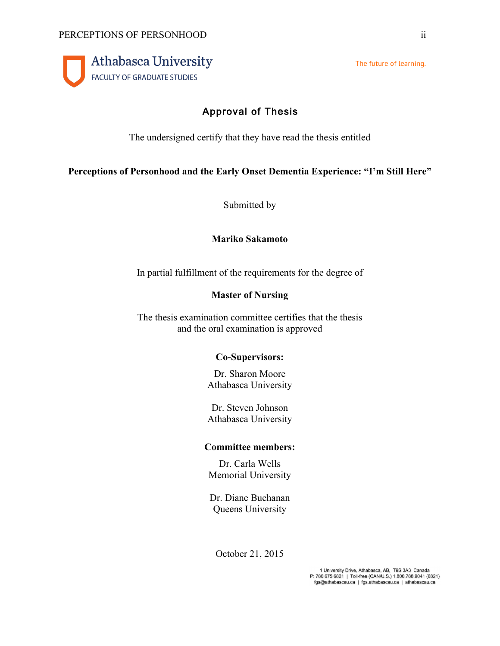

The future of learning.

# Approval of Thesis

The undersigned certify that they have read the thesis entitled

# **Perceptions of Personhood and the Early Onset Dementia Experience: "I'm Still Here"**

Submitted by

# **Mariko Sakamoto**

In partial fulfillment of the requirements for the degree of

# **Master of Nursing**

The thesis examination committee certifies that the thesis and the oral examination is approved

# **Co-Supervisors:**

Dr. Sharon Moore Athabasca University

Dr. Steven Johnson Athabasca University

# **Committee members:**

Dr. Carla Wells Memorial University

Dr. Diane Buchanan Queens University

October 21, 2015

1 University Drive, Athabasca, AB, T9S 3A3 Canada P: 780.675.6821 | Toll-free (CAN/U.S.) 1.800.788.9041 (6821) fgs@athabascau.ca | fgs.athabascau.ca | athabascau.ca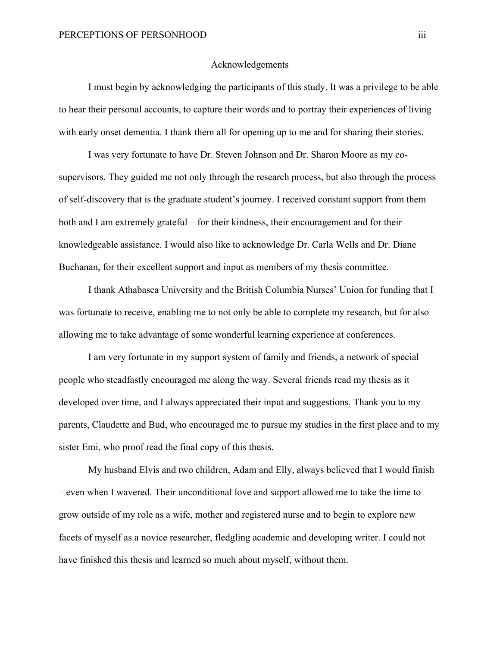#### Acknowledgements

I must begin by acknowledging the participants of this study. It was a privilege to be able to hear their personal accounts, to capture their words and to portray their experiences of living with early onset dementia. I thank them all for opening up to me and for sharing their stories.

I was very fortunate to have Dr. Steven Johnson and Dr. Sharon Moore as my cosupervisors. They guided me not only through the research process, but also through the process of self-discovery that is the graduate student's journey. I received constant support from them both and I am extremely grateful – for their kindness, their encouragement and for their knowledgeable assistance. I would also like to acknowledge Dr. Carla Wells and Dr. Diane Buchanan, for their excellent support and input as members of my thesis committee.

I thank Athabasca University and the British Columbia Nurses' Union for funding that I was fortunate to receive, enabling me to not only be able to complete my research, but for also allowing me to take advantage of some wonderful learning experience at conferences.

I am very fortunate in my support system of family and friends, a network of special people who steadfastly encouraged me along the way. Several friends read my thesis as it developed over time, and I always appreciated their input and suggestions. Thank you to my parents, Claudette and Bud, who encouraged me to pursue my studies in the first place and to my sister Emi, who proof read the final copy of this thesis.

My husband Elvis and two children, Adam and Elly, always believed that I would finish – even when I wavered. Their unconditional love and support allowed me to take the time to grow outside of my role as a wife, mother and registered nurse and to begin to explore new facets of myself as a novice researcher, fledgling academic and developing writer. I could not have finished this thesis and learned so much about myself, without them.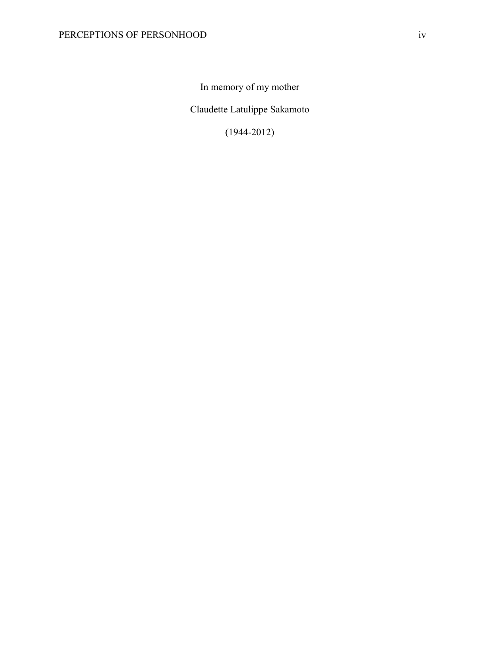In memory of my mother

Claudette Latulippe Sakamoto

(1944-2012)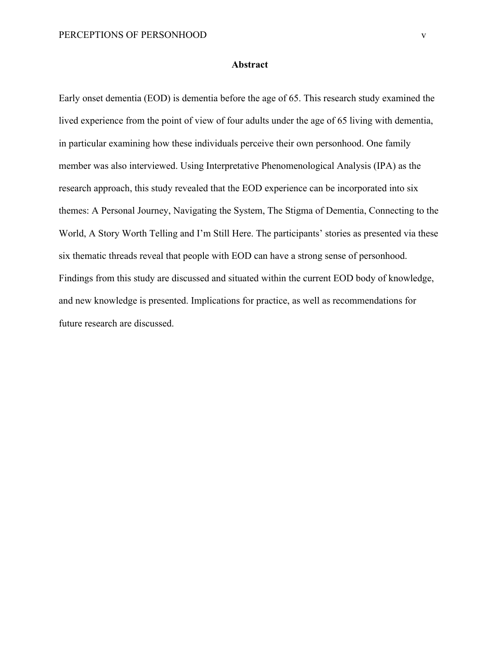#### **Abstract**

Early onset dementia (EOD) is dementia before the age of 65. This research study examined the lived experience from the point of view of four adults under the age of 65 living with dementia, in particular examining how these individuals perceive their own personhood. One family member was also interviewed. Using Interpretative Phenomenological Analysis (IPA) as the research approach, this study revealed that the EOD experience can be incorporated into six themes: A Personal Journey, Navigating the System, The Stigma of Dementia, Connecting to the World, A Story Worth Telling and I'm Still Here. The participants' stories as presented via these six thematic threads reveal that people with EOD can have a strong sense of personhood. Findings from this study are discussed and situated within the current EOD body of knowledge, and new knowledge is presented. Implications for practice, as well as recommendations for future research are discussed.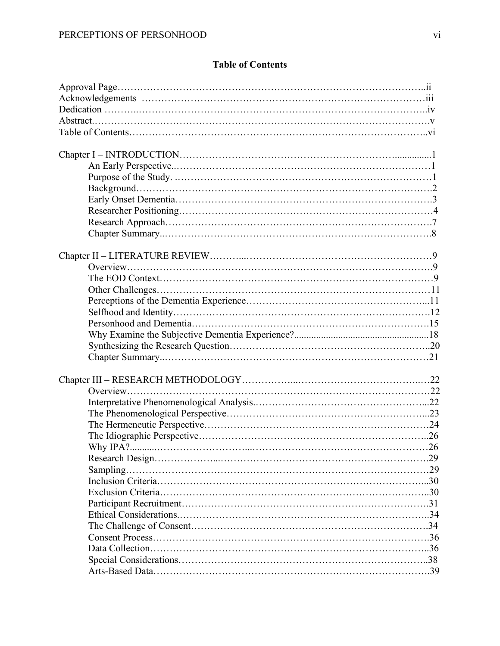# **Table of Contents**

|           | .26 |
|-----------|-----|
|           |     |
| Sampling. |     |
|           |     |
|           |     |
|           |     |
|           |     |
|           |     |
|           |     |
|           |     |
|           |     |
|           |     |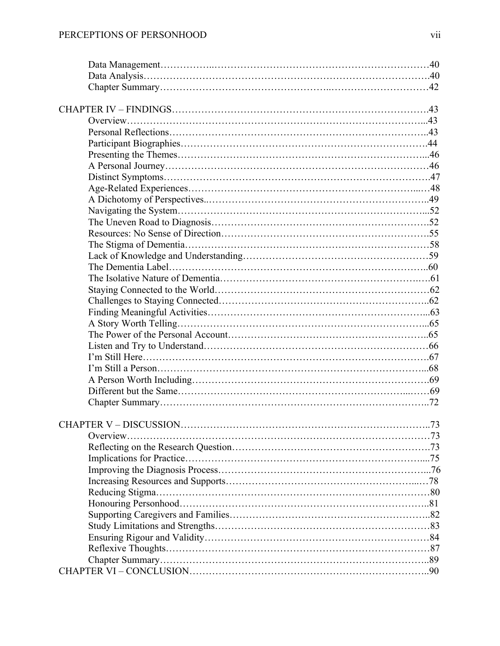| <b>CHAPTER V - DISCUSSION</b> | .73 |
|-------------------------------|-----|
|                               |     |
|                               |     |
|                               |     |
|                               |     |
|                               |     |
|                               |     |
|                               |     |
|                               |     |
|                               |     |
|                               |     |
|                               |     |
|                               |     |
|                               |     |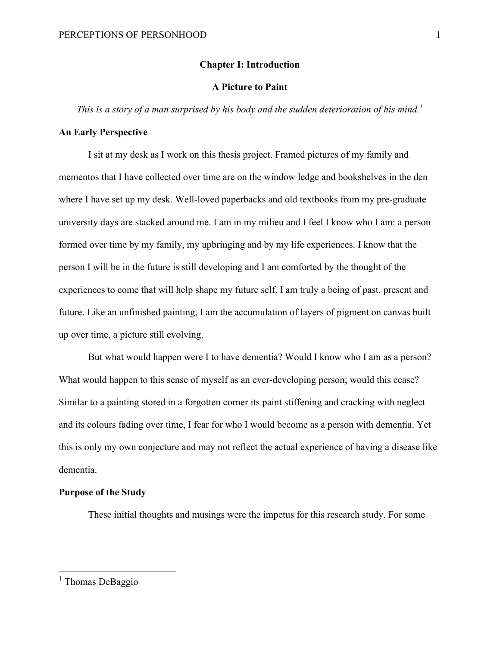#### **Chapter I: Introduction**

#### **A Picture to Paint**

*This is a story of a man surprised by his body and the sudden deterioration of his mind.<sup>1</sup>*

#### **An Early Perspective**

I sit at my desk as I work on this thesis project. Framed pictures of my family and mementos that I have collected over time are on the window ledge and bookshelves in the den where I have set up my desk. Well-loved paperbacks and old textbooks from my pre-graduate university days are stacked around me. I am in my milieu and I feel I know who I am: a person formed over time by my family, my upbringing and by my life experiences. I know that the person I will be in the future is still developing and I am comforted by the thought of the experiences to come that will help shape my future self. I am truly a being of past, present and future. Like an unfinished painting, I am the accumulation of layers of pigment on canvas built up over time, a picture still evolving.

But what would happen were I to have dementia? Would I know who I am as a person? What would happen to this sense of myself as an ever-developing person; would this cease? Similar to a painting stored in a forgotten corner its paint stiffening and cracking with neglect and its colours fading over time, I fear for who I would become as a person with dementia. Yet this is only my own conjecture and may not reflect the actual experience of having a disease like dementia.

#### **Purpose of the Study**

These initial thoughts and musings were the impetus for this research study. For some

 $<sup>1</sup>$  Thomas DeBaggio</sup>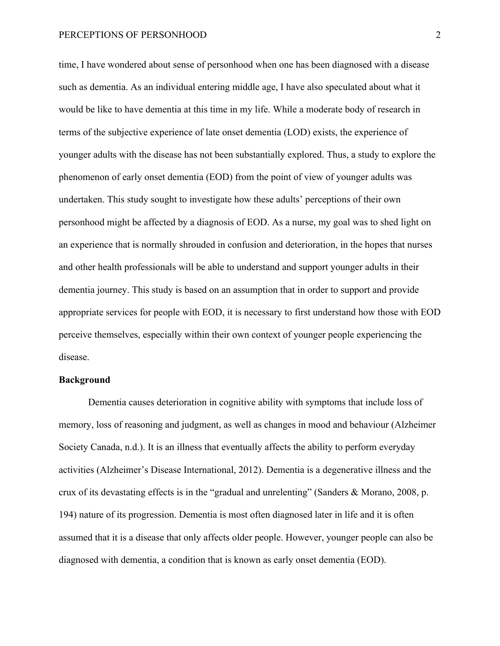time, I have wondered about sense of personhood when one has been diagnosed with a disease such as dementia. As an individual entering middle age, I have also speculated about what it would be like to have dementia at this time in my life. While a moderate body of research in terms of the subjective experience of late onset dementia (LOD) exists, the experience of younger adults with the disease has not been substantially explored. Thus, a study to explore the phenomenon of early onset dementia (EOD) from the point of view of younger adults was undertaken. This study sought to investigate how these adults' perceptions of their own personhood might be affected by a diagnosis of EOD. As a nurse, my goal was to shed light on an experience that is normally shrouded in confusion and deterioration, in the hopes that nurses and other health professionals will be able to understand and support younger adults in their dementia journey. This study is based on an assumption that in order to support and provide appropriate services for people with EOD, it is necessary to first understand how those with EOD perceive themselves, especially within their own context of younger people experiencing the disease.

#### **Background**

Dementia causes deterioration in cognitive ability with symptoms that include loss of memory, loss of reasoning and judgment, as well as changes in mood and behaviour (Alzheimer Society Canada, n.d.). It is an illness that eventually affects the ability to perform everyday activities (Alzheimer's Disease International, 2012). Dementia is a degenerative illness and the crux of its devastating effects is in the "gradual and unrelenting" (Sanders & Morano, 2008, p. 194) nature of its progression. Dementia is most often diagnosed later in life and it is often assumed that it is a disease that only affects older people. However, younger people can also be diagnosed with dementia, a condition that is known as early onset dementia (EOD).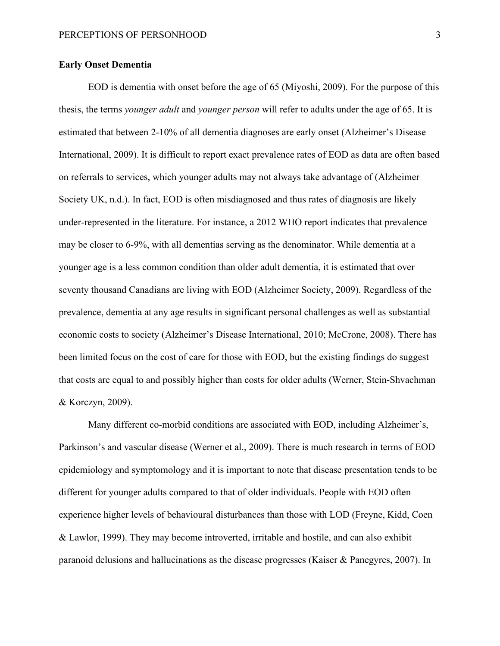#### **Early Onset Dementia**

EOD is dementia with onset before the age of 65 (Miyoshi, 2009). For the purpose of this thesis, the terms *younger adult* and *younger person* will refer to adults under the age of 65. It is estimated that between 2-10% of all dementia diagnoses are early onset (Alzheimer's Disease International, 2009). It is difficult to report exact prevalence rates of EOD as data are often based on referrals to services, which younger adults may not always take advantage of (Alzheimer Society UK, n.d.). In fact, EOD is often misdiagnosed and thus rates of diagnosis are likely under-represented in the literature. For instance, a 2012 WHO report indicates that prevalence may be closer to 6-9%, with all dementias serving as the denominator. While dementia at a younger age is a less common condition than older adult dementia, it is estimated that over seventy thousand Canadians are living with EOD (Alzheimer Society, 2009). Regardless of the prevalence, dementia at any age results in significant personal challenges as well as substantial economic costs to society (Alzheimer's Disease International, 2010; McCrone, 2008). There has been limited focus on the cost of care for those with EOD, but the existing findings do suggest that costs are equal to and possibly higher than costs for older adults (Werner, Stein-Shvachman & Korczyn, 2009).

Many different co-morbid conditions are associated with EOD, including Alzheimer's, Parkinson's and vascular disease (Werner et al., 2009). There is much research in terms of EOD epidemiology and symptomology and it is important to note that disease presentation tends to be different for younger adults compared to that of older individuals. People with EOD often experience higher levels of behavioural disturbances than those with LOD (Freyne, Kidd, Coen & Lawlor, 1999). They may become introverted, irritable and hostile, and can also exhibit paranoid delusions and hallucinations as the disease progresses (Kaiser & Panegyres, 2007). In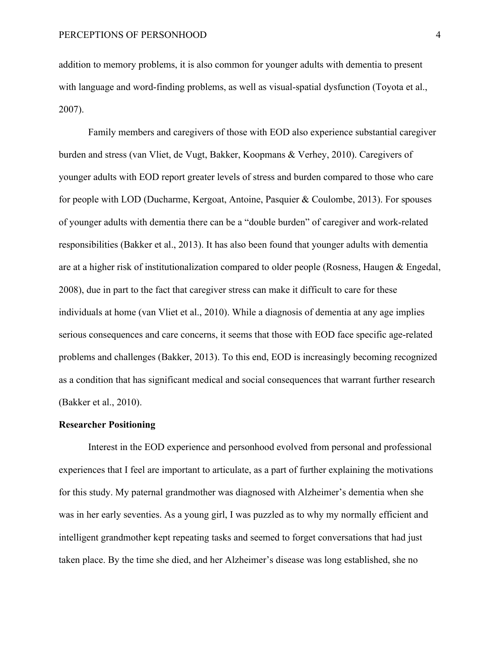addition to memory problems, it is also common for younger adults with dementia to present with language and word-finding problems, as well as visual-spatial dysfunction (Toyota et al., 2007).

Family members and caregivers of those with EOD also experience substantial caregiver burden and stress (van Vliet, de Vugt, Bakker, Koopmans & Verhey, 2010). Caregivers of younger adults with EOD report greater levels of stress and burden compared to those who care for people with LOD (Ducharme, Kergoat, Antoine, Pasquier & Coulombe, 2013). For spouses of younger adults with dementia there can be a "double burden" of caregiver and work-related responsibilities (Bakker et al., 2013). It has also been found that younger adults with dementia are at a higher risk of institutionalization compared to older people (Rosness, Haugen & Engedal, 2008), due in part to the fact that caregiver stress can make it difficult to care for these individuals at home (van Vliet et al., 2010). While a diagnosis of dementia at any age implies serious consequences and care concerns, it seems that those with EOD face specific age-related problems and challenges (Bakker, 2013). To this end, EOD is increasingly becoming recognized as a condition that has significant medical and social consequences that warrant further research (Bakker et al., 2010).

#### **Researcher Positioning**

Interest in the EOD experience and personhood evolved from personal and professional experiences that I feel are important to articulate, as a part of further explaining the motivations for this study. My paternal grandmother was diagnosed with Alzheimer's dementia when she was in her early seventies. As a young girl, I was puzzled as to why my normally efficient and intelligent grandmother kept repeating tasks and seemed to forget conversations that had just taken place. By the time she died, and her Alzheimer's disease was long established, she no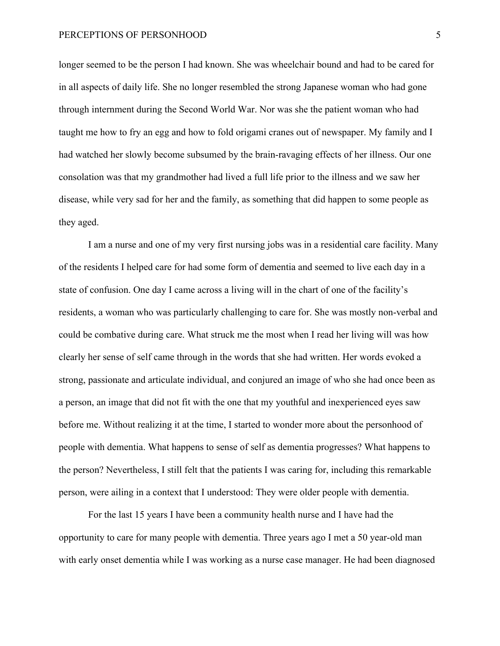longer seemed to be the person I had known. She was wheelchair bound and had to be cared for in all aspects of daily life. She no longer resembled the strong Japanese woman who had gone through internment during the Second World War. Nor was she the patient woman who had taught me how to fry an egg and how to fold origami cranes out of newspaper. My family and I had watched her slowly become subsumed by the brain-ravaging effects of her illness. Our one consolation was that my grandmother had lived a full life prior to the illness and we saw her disease, while very sad for her and the family, as something that did happen to some people as they aged.

I am a nurse and one of my very first nursing jobs was in a residential care facility. Many of the residents I helped care for had some form of dementia and seemed to live each day in a state of confusion. One day I came across a living will in the chart of one of the facility's residents, a woman who was particularly challenging to care for. She was mostly non-verbal and could be combative during care. What struck me the most when I read her living will was how clearly her sense of self came through in the words that she had written. Her words evoked a strong, passionate and articulate individual, and conjured an image of who she had once been as a person, an image that did not fit with the one that my youthful and inexperienced eyes saw before me. Without realizing it at the time, I started to wonder more about the personhood of people with dementia. What happens to sense of self as dementia progresses? What happens to the person? Nevertheless, I still felt that the patients I was caring for, including this remarkable person, were ailing in a context that I understood: They were older people with dementia.

For the last 15 years I have been a community health nurse and I have had the opportunity to care for many people with dementia. Three years ago I met a 50 year-old man with early onset dementia while I was working as a nurse case manager. He had been diagnosed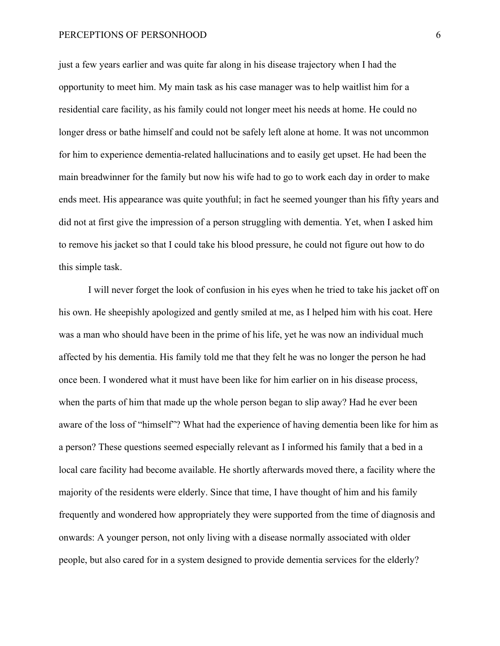just a few years earlier and was quite far along in his disease trajectory when I had the opportunity to meet him. My main task as his case manager was to help waitlist him for a residential care facility, as his family could not longer meet his needs at home. He could no longer dress or bathe himself and could not be safely left alone at home. It was not uncommon for him to experience dementia-related hallucinations and to easily get upset. He had been the main breadwinner for the family but now his wife had to go to work each day in order to make ends meet. His appearance was quite youthful; in fact he seemed younger than his fifty years and did not at first give the impression of a person struggling with dementia. Yet, when I asked him to remove his jacket so that I could take his blood pressure, he could not figure out how to do this simple task.

I will never forget the look of confusion in his eyes when he tried to take his jacket off on his own. He sheepishly apologized and gently smiled at me, as I helped him with his coat. Here was a man who should have been in the prime of his life, yet he was now an individual much affected by his dementia. His family told me that they felt he was no longer the person he had once been. I wondered what it must have been like for him earlier on in his disease process, when the parts of him that made up the whole person began to slip away? Had he ever been aware of the loss of "himself"? What had the experience of having dementia been like for him as a person? These questions seemed especially relevant as I informed his family that a bed in a local care facility had become available. He shortly afterwards moved there, a facility where the majority of the residents were elderly. Since that time, I have thought of him and his family frequently and wondered how appropriately they were supported from the time of diagnosis and onwards: A younger person, not only living with a disease normally associated with older people, but also cared for in a system designed to provide dementia services for the elderly?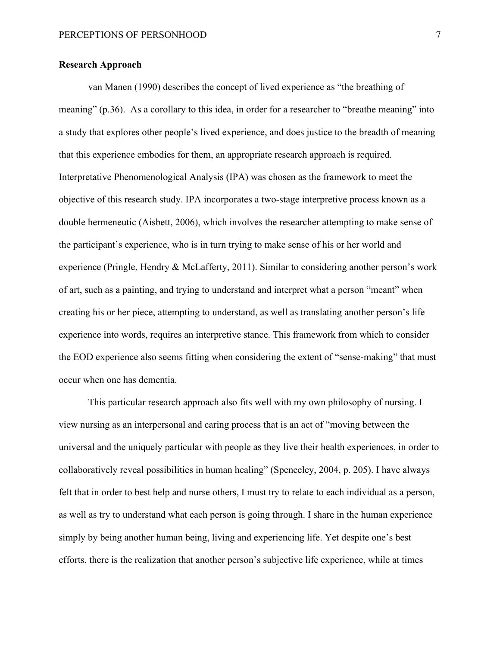#### **Research Approach**

van Manen (1990) describes the concept of lived experience as "the breathing of meaning" (p.36). As a corollary to this idea, in order for a researcher to "breathe meaning" into a study that explores other people's lived experience, and does justice to the breadth of meaning that this experience embodies for them, an appropriate research approach is required. Interpretative Phenomenological Analysis (IPA) was chosen as the framework to meet the objective of this research study. IPA incorporates a two-stage interpretive process known as a double hermeneutic (Aisbett, 2006), which involves the researcher attempting to make sense of the participant's experience, who is in turn trying to make sense of his or her world and experience (Pringle, Hendry & McLafferty, 2011). Similar to considering another person's work of art, such as a painting, and trying to understand and interpret what a person "meant" when creating his or her piece, attempting to understand, as well as translating another person's life experience into words, requires an interpretive stance. This framework from which to consider the EOD experience also seems fitting when considering the extent of "sense-making" that must occur when one has dementia.

This particular research approach also fits well with my own philosophy of nursing. I view nursing as an interpersonal and caring process that is an act of "moving between the universal and the uniquely particular with people as they live their health experiences, in order to collaboratively reveal possibilities in human healing" (Spenceley, 2004, p. 205). I have always felt that in order to best help and nurse others, I must try to relate to each individual as a person, as well as try to understand what each person is going through. I share in the human experience simply by being another human being, living and experiencing life. Yet despite one's best efforts, there is the realization that another person's subjective life experience, while at times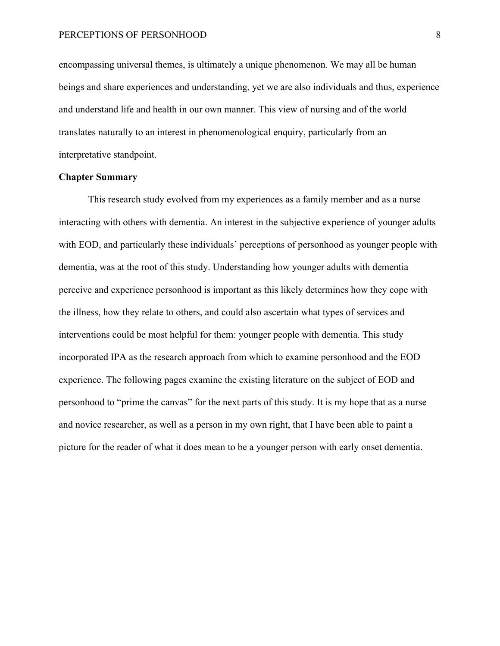encompassing universal themes, is ultimately a unique phenomenon. We may all be human beings and share experiences and understanding, yet we are also individuals and thus, experience and understand life and health in our own manner. This view of nursing and of the world translates naturally to an interest in phenomenological enquiry, particularly from an interpretative standpoint.

#### **Chapter Summary**

This research study evolved from my experiences as a family member and as a nurse interacting with others with dementia. An interest in the subjective experience of younger adults with EOD, and particularly these individuals' perceptions of personhood as younger people with dementia, was at the root of this study. Understanding how younger adults with dementia perceive and experience personhood is important as this likely determines how they cope with the illness, how they relate to others, and could also ascertain what types of services and interventions could be most helpful for them: younger people with dementia. This study incorporated IPA as the research approach from which to examine personhood and the EOD experience. The following pages examine the existing literature on the subject of EOD and personhood to "prime the canvas" for the next parts of this study. It is my hope that as a nurse and novice researcher, as well as a person in my own right, that I have been able to paint a picture for the reader of what it does mean to be a younger person with early onset dementia.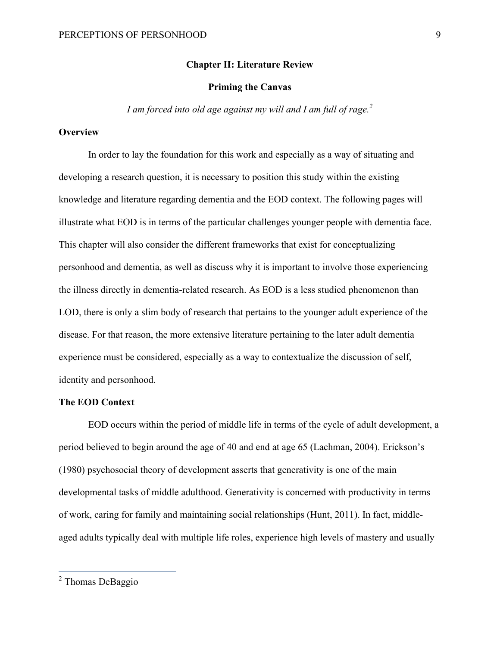#### **Chapter II: Literature Review**

#### **Priming the Canvas**

*I am forced into old age against my will and I am full of rage.*<sup>2</sup>

#### **Overview**

In order to lay the foundation for this work and especially as a way of situating and developing a research question, it is necessary to position this study within the existing knowledge and literature regarding dementia and the EOD context. The following pages will illustrate what EOD is in terms of the particular challenges younger people with dementia face. This chapter will also consider the different frameworks that exist for conceptualizing personhood and dementia, as well as discuss why it is important to involve those experiencing the illness directly in dementia-related research. As EOD is a less studied phenomenon than LOD, there is only a slim body of research that pertains to the younger adult experience of the disease. For that reason, the more extensive literature pertaining to the later adult dementia experience must be considered, especially as a way to contextualize the discussion of self, identity and personhood.

#### **The EOD Context**

EOD occurs within the period of middle life in terms of the cycle of adult development, a period believed to begin around the age of 40 and end at age 65 (Lachman, 2004). Erickson's (1980) psychosocial theory of development asserts that generativity is one of the main developmental tasks of middle adulthood. Generativity is concerned with productivity in terms of work, caring for family and maintaining social relationships (Hunt, 2011). In fact, middleaged adults typically deal with multiple life roles, experience high levels of mastery and usually

 <sup>2</sup> Thomas DeBaggio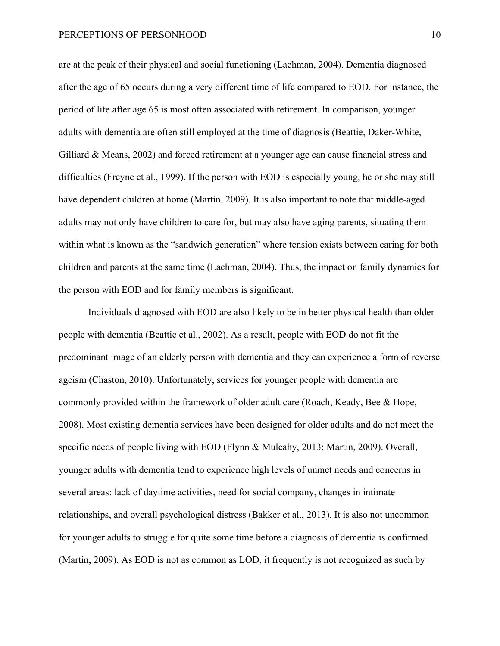are at the peak of their physical and social functioning (Lachman, 2004). Dementia diagnosed after the age of 65 occurs during a very different time of life compared to EOD. For instance, the period of life after age 65 is most often associated with retirement. In comparison, younger adults with dementia are often still employed at the time of diagnosis (Beattie, Daker-White, Gilliard & Means, 2002) and forced retirement at a younger age can cause financial stress and difficulties (Freyne et al., 1999). If the person with EOD is especially young, he or she may still have dependent children at home (Martin, 2009). It is also important to note that middle-aged adults may not only have children to care for, but may also have aging parents, situating them within what is known as the "sandwich generation" where tension exists between caring for both children and parents at the same time (Lachman, 2004). Thus, the impact on family dynamics for the person with EOD and for family members is significant.

Individuals diagnosed with EOD are also likely to be in better physical health than older people with dementia (Beattie et al., 2002). As a result, people with EOD do not fit the predominant image of an elderly person with dementia and they can experience a form of reverse ageism (Chaston, 2010). Unfortunately, services for younger people with dementia are commonly provided within the framework of older adult care (Roach, Keady, Bee & Hope, 2008). Most existing dementia services have been designed for older adults and do not meet the specific needs of people living with EOD (Flynn & Mulcahy, 2013; Martin, 2009). Overall, younger adults with dementia tend to experience high levels of unmet needs and concerns in several areas: lack of daytime activities, need for social company, changes in intimate relationships, and overall psychological distress (Bakker et al., 2013). It is also not uncommon for younger adults to struggle for quite some time before a diagnosis of dementia is confirmed (Martin, 2009). As EOD is not as common as LOD, it frequently is not recognized as such by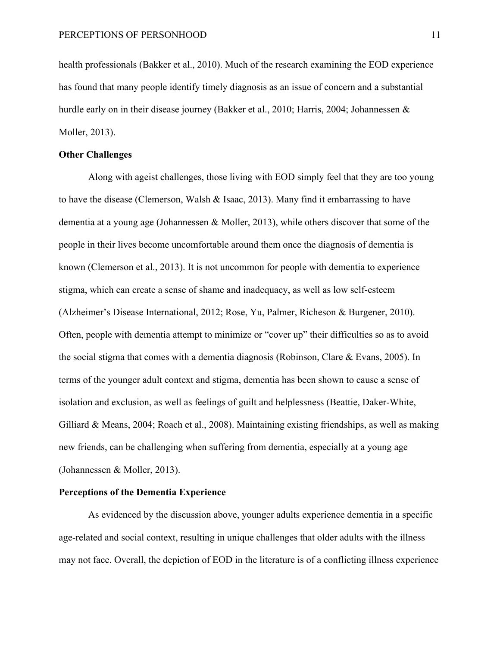health professionals (Bakker et al., 2010). Much of the research examining the EOD experience has found that many people identify timely diagnosis as an issue of concern and a substantial hurdle early on in their disease journey (Bakker et al., 2010; Harris, 2004; Johannessen & Moller, 2013).

#### **Other Challenges**

Along with ageist challenges, those living with EOD simply feel that they are too young to have the disease (Clemerson, Walsh & Isaac, 2013). Many find it embarrassing to have dementia at a young age (Johannessen & Moller, 2013), while others discover that some of the people in their lives become uncomfortable around them once the diagnosis of dementia is known (Clemerson et al., 2013). It is not uncommon for people with dementia to experience stigma, which can create a sense of shame and inadequacy, as well as low self-esteem (Alzheimer's Disease International, 2012; Rose, Yu, Palmer, Richeson & Burgener, 2010). Often, people with dementia attempt to minimize or "cover up" their difficulties so as to avoid the social stigma that comes with a dementia diagnosis (Robinson, Clare & Evans, 2005). In terms of the younger adult context and stigma, dementia has been shown to cause a sense of isolation and exclusion, as well as feelings of guilt and helplessness (Beattie, Daker-White, Gilliard & Means, 2004; Roach et al., 2008). Maintaining existing friendships, as well as making new friends, can be challenging when suffering from dementia, especially at a young age (Johannessen & Moller, 2013).

#### **Perceptions of the Dementia Experience**

As evidenced by the discussion above, younger adults experience dementia in a specific age-related and social context, resulting in unique challenges that older adults with the illness may not face. Overall, the depiction of EOD in the literature is of a conflicting illness experience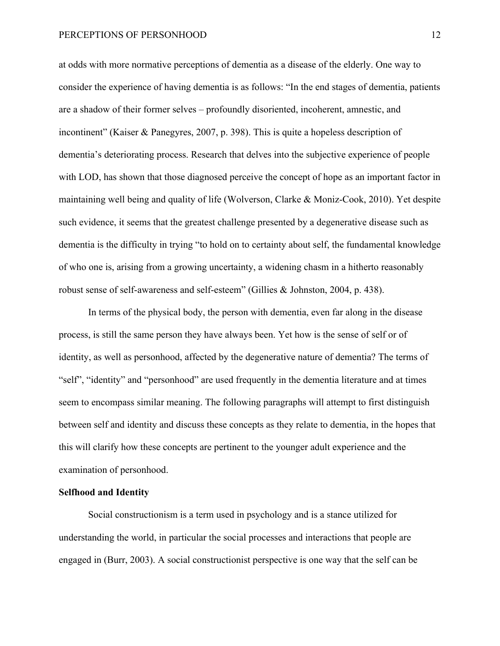at odds with more normative perceptions of dementia as a disease of the elderly. One way to consider the experience of having dementia is as follows: "In the end stages of dementia, patients are a shadow of their former selves – profoundly disoriented, incoherent, amnestic, and incontinent" (Kaiser & Panegyres, 2007, p. 398). This is quite a hopeless description of dementia's deteriorating process. Research that delves into the subjective experience of people with LOD, has shown that those diagnosed perceive the concept of hope as an important factor in maintaining well being and quality of life (Wolverson, Clarke & Moniz-Cook, 2010). Yet despite such evidence, it seems that the greatest challenge presented by a degenerative disease such as dementia is the difficulty in trying "to hold on to certainty about self, the fundamental knowledge of who one is, arising from a growing uncertainty, a widening chasm in a hitherto reasonably robust sense of self-awareness and self-esteem" (Gillies & Johnston, 2004, p. 438).

In terms of the physical body, the person with dementia, even far along in the disease process, is still the same person they have always been. Yet how is the sense of self or of identity, as well as personhood, affected by the degenerative nature of dementia? The terms of "self", "identity" and "personhood" are used frequently in the dementia literature and at times seem to encompass similar meaning. The following paragraphs will attempt to first distinguish between self and identity and discuss these concepts as they relate to dementia, in the hopes that this will clarify how these concepts are pertinent to the younger adult experience and the examination of personhood.

#### **Selfhood and Identity**

Social constructionism is a term used in psychology and is a stance utilized for understanding the world, in particular the social processes and interactions that people are engaged in (Burr, 2003). A social constructionist perspective is one way that the self can be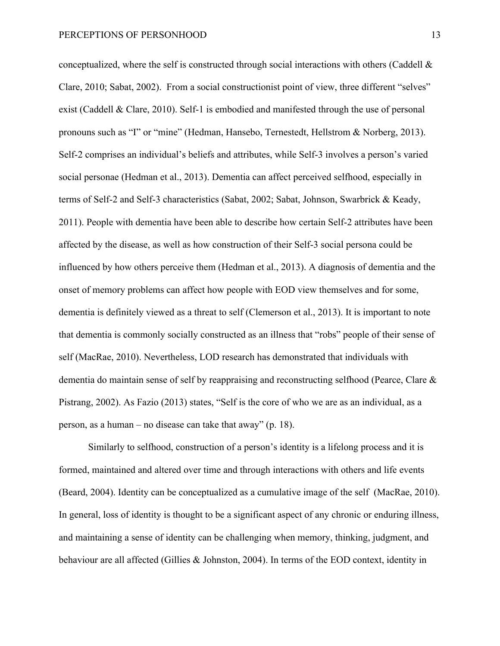conceptualized, where the self is constructed through social interactions with others (Caddell  $\&$ Clare, 2010; Sabat, 2002). From a social constructionist point of view, three different "selves" exist (Caddell & Clare, 2010). Self-1 is embodied and manifested through the use of personal pronouns such as "I" or "mine" (Hedman, Hansebo, Ternestedt, Hellstrom & Norberg, 2013). Self-2 comprises an individual's beliefs and attributes, while Self-3 involves a person's varied social personae (Hedman et al., 2013). Dementia can affect perceived selfhood, especially in terms of Self-2 and Self-3 characteristics (Sabat, 2002; Sabat, Johnson, Swarbrick & Keady, 2011). People with dementia have been able to describe how certain Self-2 attributes have been affected by the disease, as well as how construction of their Self-3 social persona could be influenced by how others perceive them (Hedman et al., 2013). A diagnosis of dementia and the onset of memory problems can affect how people with EOD view themselves and for some, dementia is definitely viewed as a threat to self (Clemerson et al., 2013). It is important to note that dementia is commonly socially constructed as an illness that "robs" people of their sense of self (MacRae, 2010). Nevertheless, LOD research has demonstrated that individuals with dementia do maintain sense of self by reappraising and reconstructing selfhood (Pearce, Clare & Pistrang, 2002). As Fazio (2013) states, "Self is the core of who we are as an individual, as a person, as a human – no disease can take that away" (p. 18).

Similarly to selfhood, construction of a person's identity is a lifelong process and it is formed, maintained and altered over time and through interactions with others and life events (Beard, 2004). Identity can be conceptualized as a cumulative image of the self (MacRae, 2010). In general, loss of identity is thought to be a significant aspect of any chronic or enduring illness, and maintaining a sense of identity can be challenging when memory, thinking, judgment, and behaviour are all affected (Gillies & Johnston, 2004). In terms of the EOD context, identity in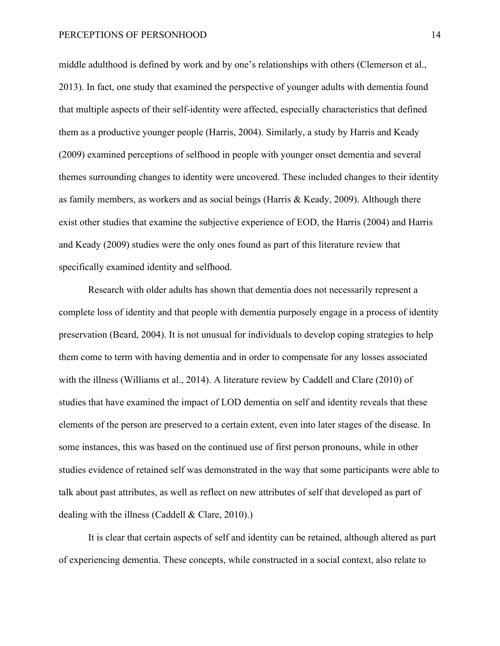middle adulthood is defined by work and by one's relationships with others (Clemerson et al., 2013). In fact, one study that examined the perspective of younger adults with dementia found that multiple aspects of their self-identity were affected, especially characteristics that defined them as a productive younger people (Harris, 2004). Similarly, a study by Harris and Keady (2009) examined perceptions of selfhood in people with younger onset dementia and several themes surrounding changes to identity were uncovered. These included changes to their identity as family members, as workers and as social beings (Harris  $\&$  Keady, 2009). Although there exist other studies that examine the subjective experience of EOD, the Harris (2004) and Harris and Keady (2009) studies were the only ones found as part of this literature review that specifically examined identity and selfhood.

Research with older adults has shown that dementia does not necessarily represent a complete loss of identity and that people with dementia purposely engage in a process of identity preservation (Beard, 2004). It is not unusual for individuals to develop coping strategies to help them come to term with having dementia and in order to compensate for any losses associated with the illness (Williams et al., 2014). A literature review by Caddell and Clare (2010) of studies that have examined the impact of LOD dementia on self and identity reveals that these elements of the person are preserved to a certain extent, even into later stages of the disease. In some instances, this was based on the continued use of first person pronouns, while in other studies evidence of retained self was demonstrated in the way that some participants were able to talk about past attributes, as well as reflect on new attributes of self that developed as part of dealing with the illness (Caddell & Clare, 2010).)

It is clear that certain aspects of self and identity can be retained, although altered as part of experiencing dementia. These concepts, while constructed in a social context, also relate to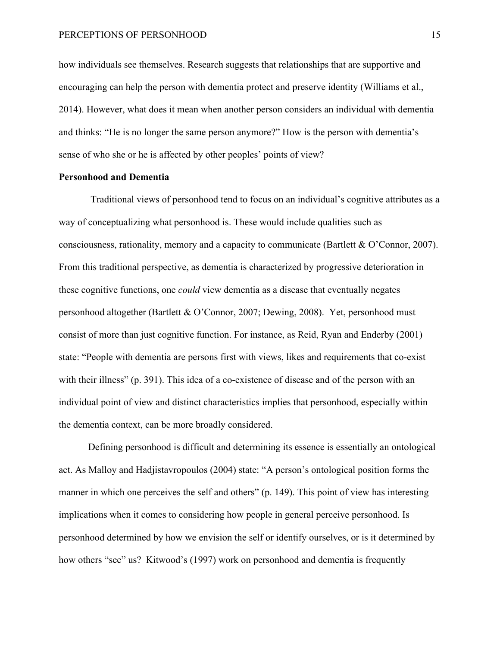how individuals see themselves. Research suggests that relationships that are supportive and encouraging can help the person with dementia protect and preserve identity (Williams et al., 2014). However, what does it mean when another person considers an individual with dementia and thinks: "He is no longer the same person anymore?" How is the person with dementia's sense of who she or he is affected by other peoples' points of view?

## **Personhood and Dementia**

Traditional views of personhood tend to focus on an individual's cognitive attributes as a way of conceptualizing what personhood is. These would include qualities such as consciousness, rationality, memory and a capacity to communicate (Bartlett & O'Connor, 2007). From this traditional perspective, as dementia is characterized by progressive deterioration in these cognitive functions, one *could* view dementia as a disease that eventually negates personhood altogether (Bartlett & O'Connor, 2007; Dewing, 2008). Yet, personhood must consist of more than just cognitive function. For instance, as Reid, Ryan and Enderby (2001) state: "People with dementia are persons first with views, likes and requirements that co-exist with their illness" (p. 391). This idea of a co-existence of disease and of the person with an individual point of view and distinct characteristics implies that personhood, especially within the dementia context, can be more broadly considered.

Defining personhood is difficult and determining its essence is essentially an ontological act. As Malloy and Hadjistavropoulos (2004) state: "A person's ontological position forms the manner in which one perceives the self and others" (p. 149). This point of view has interesting implications when it comes to considering how people in general perceive personhood. Is personhood determined by how we envision the self or identify ourselves, or is it determined by how others "see" us? Kitwood's (1997) work on personhood and dementia is frequently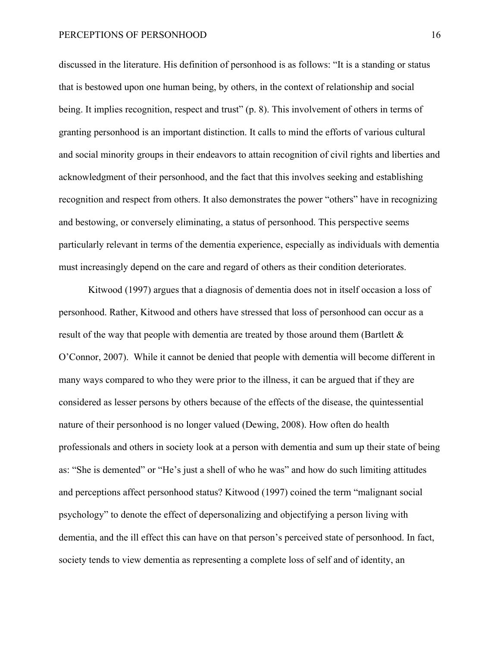discussed in the literature. His definition of personhood is as follows: "It is a standing or status that is bestowed upon one human being, by others, in the context of relationship and social being. It implies recognition, respect and trust" (p. 8). This involvement of others in terms of granting personhood is an important distinction. It calls to mind the efforts of various cultural and social minority groups in their endeavors to attain recognition of civil rights and liberties and acknowledgment of their personhood, and the fact that this involves seeking and establishing recognition and respect from others. It also demonstrates the power "others" have in recognizing and bestowing, or conversely eliminating, a status of personhood. This perspective seems particularly relevant in terms of the dementia experience, especially as individuals with dementia must increasingly depend on the care and regard of others as their condition deteriorates.

Kitwood (1997) argues that a diagnosis of dementia does not in itself occasion a loss of personhood. Rather, Kitwood and others have stressed that loss of personhood can occur as a result of the way that people with dementia are treated by those around them (Bartlett  $\&$ O'Connor, 2007). While it cannot be denied that people with dementia will become different in many ways compared to who they were prior to the illness, it can be argued that if they are considered as lesser persons by others because of the effects of the disease, the quintessential nature of their personhood is no longer valued (Dewing, 2008). How often do health professionals and others in society look at a person with dementia and sum up their state of being as: "She is demented" or "He's just a shell of who he was" and how do such limiting attitudes and perceptions affect personhood status? Kitwood (1997) coined the term "malignant social psychology" to denote the effect of depersonalizing and objectifying a person living with dementia, and the ill effect this can have on that person's perceived state of personhood. In fact, society tends to view dementia as representing a complete loss of self and of identity, an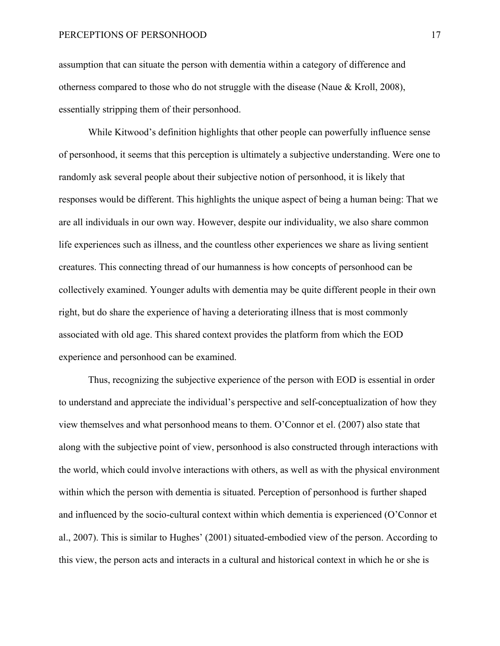assumption that can situate the person with dementia within a category of difference and otherness compared to those who do not struggle with the disease (Naue & Kroll, 2008), essentially stripping them of their personhood.

While Kitwood's definition highlights that other people can powerfully influence sense of personhood, it seems that this perception is ultimately a subjective understanding. Were one to randomly ask several people about their subjective notion of personhood, it is likely that responses would be different. This highlights the unique aspect of being a human being: That we are all individuals in our own way. However, despite our individuality, we also share common life experiences such as illness, and the countless other experiences we share as living sentient creatures. This connecting thread of our humanness is how concepts of personhood can be collectively examined. Younger adults with dementia may be quite different people in their own right, but do share the experience of having a deteriorating illness that is most commonly associated with old age. This shared context provides the platform from which the EOD experience and personhood can be examined.

Thus, recognizing the subjective experience of the person with EOD is essential in order to understand and appreciate the individual's perspective and self-conceptualization of how they view themselves and what personhood means to them. O'Connor et el. (2007) also state that along with the subjective point of view, personhood is also constructed through interactions with the world, which could involve interactions with others, as well as with the physical environment within which the person with dementia is situated. Perception of personhood is further shaped and influenced by the socio-cultural context within which dementia is experienced (O'Connor et al., 2007). This is similar to Hughes' (2001) situated-embodied view of the person. According to this view, the person acts and interacts in a cultural and historical context in which he or she is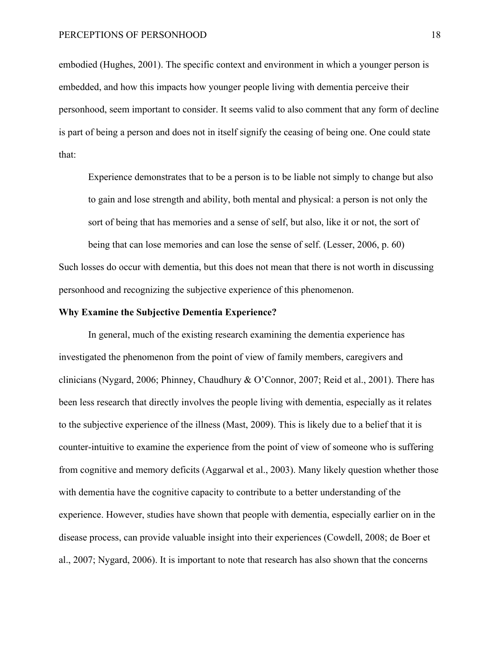embodied (Hughes, 2001). The specific context and environment in which a younger person is embedded, and how this impacts how younger people living with dementia perceive their personhood, seem important to consider. It seems valid to also comment that any form of decline is part of being a person and does not in itself signify the ceasing of being one. One could state that:

Experience demonstrates that to be a person is to be liable not simply to change but also to gain and lose strength and ability, both mental and physical: a person is not only the sort of being that has memories and a sense of self, but also, like it or not, the sort of

being that can lose memories and can lose the sense of self. (Lesser, 2006, p. 60) Such losses do occur with dementia, but this does not mean that there is not worth in discussing personhood and recognizing the subjective experience of this phenomenon.

#### **Why Examine the Subjective Dementia Experience?**

In general, much of the existing research examining the dementia experience has investigated the phenomenon from the point of view of family members, caregivers and clinicians (Nygard, 2006; Phinney, Chaudhury & O'Connor, 2007; Reid et al., 2001). There has been less research that directly involves the people living with dementia, especially as it relates to the subjective experience of the illness (Mast, 2009). This is likely due to a belief that it is counter-intuitive to examine the experience from the point of view of someone who is suffering from cognitive and memory deficits (Aggarwal et al., 2003). Many likely question whether those with dementia have the cognitive capacity to contribute to a better understanding of the experience. However, studies have shown that people with dementia, especially earlier on in the disease process, can provide valuable insight into their experiences (Cowdell, 2008; de Boer et al., 2007; Nygard, 2006). It is important to note that research has also shown that the concerns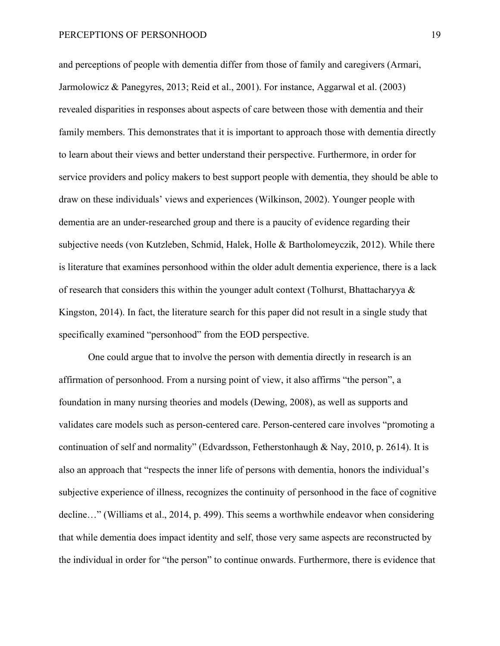and perceptions of people with dementia differ from those of family and caregivers (Armari, Jarmolowicz & Panegyres, 2013; Reid et al., 2001). For instance, Aggarwal et al. (2003) revealed disparities in responses about aspects of care between those with dementia and their family members. This demonstrates that it is important to approach those with dementia directly to learn about their views and better understand their perspective. Furthermore, in order for service providers and policy makers to best support people with dementia, they should be able to draw on these individuals' views and experiences (Wilkinson, 2002). Younger people with dementia are an under-researched group and there is a paucity of evidence regarding their subjective needs (von Kutzleben, Schmid, Halek, Holle & Bartholomeyczik, 2012). While there is literature that examines personhood within the older adult dementia experience, there is a lack of research that considers this within the younger adult context (Tolhurst, Bhattacharyya & Kingston, 2014). In fact, the literature search for this paper did not result in a single study that specifically examined "personhood" from the EOD perspective.

One could argue that to involve the person with dementia directly in research is an affirmation of personhood. From a nursing point of view, it also affirms "the person", a foundation in many nursing theories and models (Dewing, 2008), as well as supports and validates care models such as person-centered care. Person-centered care involves "promoting a continuation of self and normality" (Edvardsson, Fetherstonhaugh & Nay, 2010, p. 2614). It is also an approach that "respects the inner life of persons with dementia, honors the individual's subjective experience of illness, recognizes the continuity of personhood in the face of cognitive decline…" (Williams et al., 2014, p. 499). This seems a worthwhile endeavor when considering that while dementia does impact identity and self, those very same aspects are reconstructed by the individual in order for "the person" to continue onwards. Furthermore, there is evidence that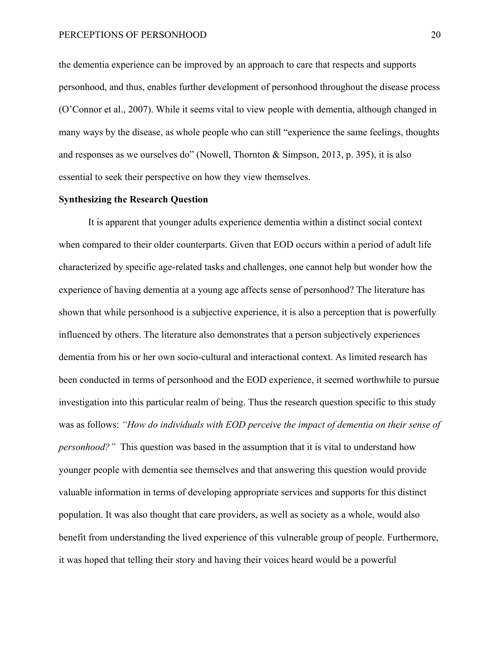the dementia experience can be improved by an approach to care that respects and supports personhood, and thus, enables further development of personhood throughout the disease process (O'Connor et al., 2007). While it seems vital to view people with dementia, although changed in many ways by the disease, as whole people who can still "experience the same feelings, thoughts and responses as we ourselves do" (Nowell, Thornton & Simpson, 2013, p. 395), it is also essential to seek their perspective on how they view themselves.

#### **Synthesizing the Research Question**

It is apparent that younger adults experience dementia within a distinct social context when compared to their older counterparts. Given that EOD occurs within a period of adult life characterized by specific age-related tasks and challenges, one cannot help but wonder how the experience of having dementia at a young age affects sense of personhood? The literature has shown that while personhood is a subjective experience, it is also a perception that is powerfully influenced by others. The literature also demonstrates that a person subjectively experiences dementia from his or her own socio-cultural and interactional context. As limited research has been conducted in terms of personhood and the EOD experience, it seemed worthwhile to pursue investigation into this particular realm of being. Thus the research question specific to this study was as follows: *"How do individuals with EOD perceive the impact of dementia on their sense of personhood?*" This question was based in the assumption that it is vital to understand how younger people with dementia see themselves and that answering this question would provide valuable information in terms of developing appropriate services and supports for this distinct population. It was also thought that care providers, as well as society as a whole, would also benefit from understanding the lived experience of this vulnerable group of people. Furthermore, it was hoped that telling their story and having their voices heard would be a powerful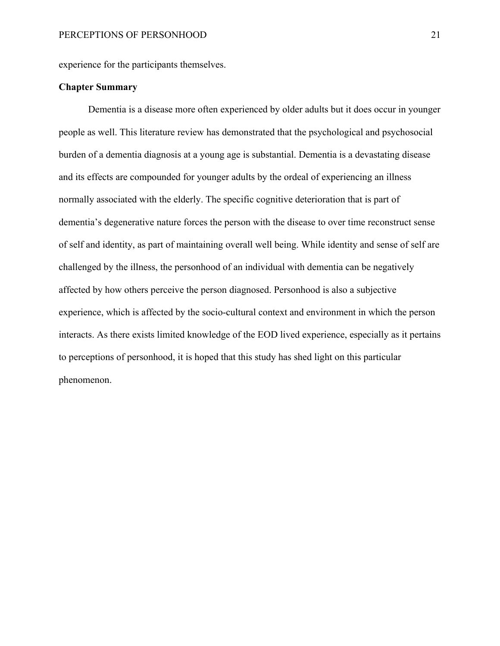experience for the participants themselves.

#### **Chapter Summary**

Dementia is a disease more often experienced by older adults but it does occur in younger people as well. This literature review has demonstrated that the psychological and psychosocial burden of a dementia diagnosis at a young age is substantial. Dementia is a devastating disease and its effects are compounded for younger adults by the ordeal of experiencing an illness normally associated with the elderly. The specific cognitive deterioration that is part of dementia's degenerative nature forces the person with the disease to over time reconstruct sense of self and identity, as part of maintaining overall well being. While identity and sense of self are challenged by the illness, the personhood of an individual with dementia can be negatively affected by how others perceive the person diagnosed. Personhood is also a subjective experience, which is affected by the socio-cultural context and environment in which the person interacts. As there exists limited knowledge of the EOD lived experience, especially as it pertains to perceptions of personhood, it is hoped that this study has shed light on this particular phenomenon.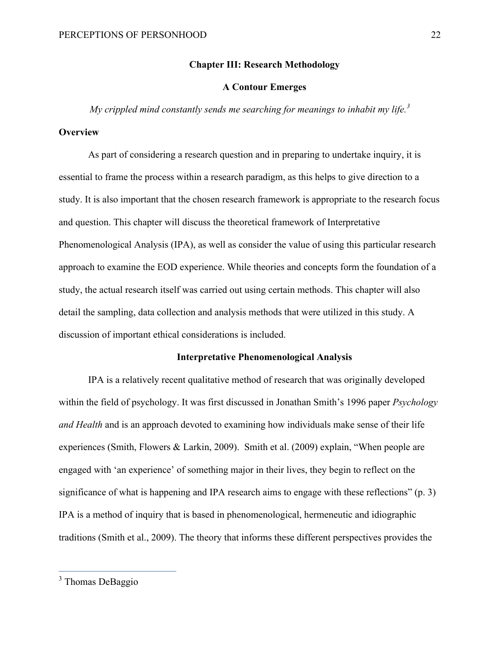#### **Chapter III: Research Methodology**

#### **A Contour Emerges**

*My crippled mind constantly sends me searching for meanings to inhabit my life.<sup>3</sup>*

#### **Overview**

As part of considering a research question and in preparing to undertake inquiry, it is essential to frame the process within a research paradigm, as this helps to give direction to a study. It is also important that the chosen research framework is appropriate to the research focus and question. This chapter will discuss the theoretical framework of Interpretative Phenomenological Analysis (IPA), as well as consider the value of using this particular research approach to examine the EOD experience. While theories and concepts form the foundation of a study, the actual research itself was carried out using certain methods. This chapter will also detail the sampling, data collection and analysis methods that were utilized in this study. A discussion of important ethical considerations is included.

#### **Interpretative Phenomenological Analysis**

IPA is a relatively recent qualitative method of research that was originally developed within the field of psychology. It was first discussed in Jonathan Smith's 1996 paper *Psychology and Health* and is an approach devoted to examining how individuals make sense of their life experiences (Smith, Flowers & Larkin, 2009). Smith et al. (2009) explain, "When people are engaged with 'an experience' of something major in their lives, they begin to reflect on the significance of what is happening and IPA research aims to engage with these reflections" (p. 3) IPA is a method of inquiry that is based in phenomenological, hermeneutic and idiographic traditions (Smith et al., 2009). The theory that informs these different perspectives provides the

<sup>&</sup>lt;sup>3</sup> Thomas DeBaggio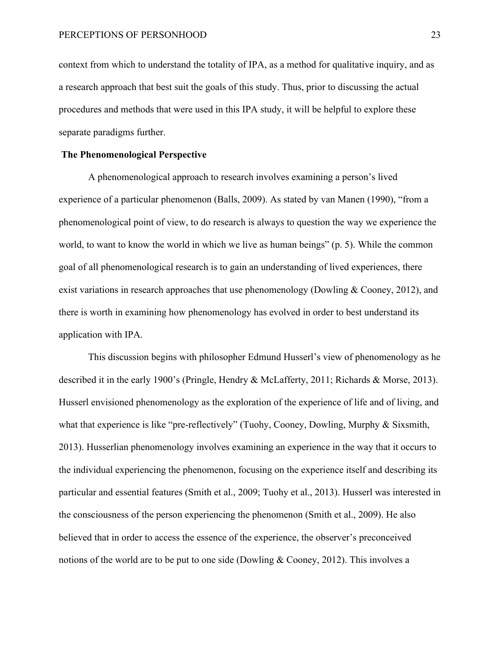context from which to understand the totality of IPA, as a method for qualitative inquiry, and as a research approach that best suit the goals of this study. Thus, prior to discussing the actual procedures and methods that were used in this IPA study, it will be helpful to explore these separate paradigms further.

#### **The Phenomenological Perspective**

A phenomenological approach to research involves examining a person's lived experience of a particular phenomenon (Balls, 2009). As stated by van Manen (1990), "from a phenomenological point of view, to do research is always to question the way we experience the world, to want to know the world in which we live as human beings" (p. 5). While the common goal of all phenomenological research is to gain an understanding of lived experiences, there exist variations in research approaches that use phenomenology (Dowling & Cooney, 2012), and there is worth in examining how phenomenology has evolved in order to best understand its application with IPA.

This discussion begins with philosopher Edmund Husserl's view of phenomenology as he described it in the early 1900's (Pringle, Hendry & McLafferty, 2011; Richards & Morse, 2013). Husserl envisioned phenomenology as the exploration of the experience of life and of living, and what that experience is like "pre-reflectively" (Tuohy, Cooney, Dowling, Murphy & Sixsmith, 2013). Husserlian phenomenology involves examining an experience in the way that it occurs to the individual experiencing the phenomenon, focusing on the experience itself and describing its particular and essential features (Smith et al., 2009; Tuohy et al., 2013). Husserl was interested in the consciousness of the person experiencing the phenomenon (Smith et al., 2009). He also believed that in order to access the essence of the experience, the observer's preconceived notions of the world are to be put to one side (Dowling & Cooney, 2012). This involves a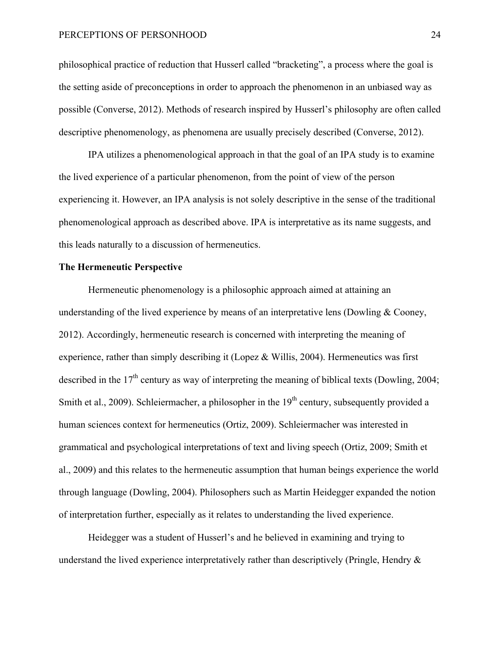philosophical practice of reduction that Husserl called "bracketing", a process where the goal is the setting aside of preconceptions in order to approach the phenomenon in an unbiased way as possible (Converse, 2012). Methods of research inspired by Husserl's philosophy are often called descriptive phenomenology, as phenomena are usually precisely described (Converse, 2012).

IPA utilizes a phenomenological approach in that the goal of an IPA study is to examine the lived experience of a particular phenomenon, from the point of view of the person experiencing it. However, an IPA analysis is not solely descriptive in the sense of the traditional phenomenological approach as described above. IPA is interpretative as its name suggests, and this leads naturally to a discussion of hermeneutics.

#### **The Hermeneutic Perspective**

Hermeneutic phenomenology is a philosophic approach aimed at attaining an understanding of the lived experience by means of an interpretative lens (Dowling & Cooney, 2012). Accordingly, hermeneutic research is concerned with interpreting the meaning of experience, rather than simply describing it (Lopez & Willis, 2004). Hermeneutics was first described in the  $17<sup>th</sup>$  century as way of interpreting the meaning of biblical texts (Dowling, 2004; Smith et al., 2009). Schleiermacher, a philosopher in the  $19<sup>th</sup>$  century, subsequently provided a human sciences context for hermeneutics (Ortiz, 2009). Schleiermacher was interested in grammatical and psychological interpretations of text and living speech (Ortiz, 2009; Smith et al., 2009) and this relates to the hermeneutic assumption that human beings experience the world through language (Dowling, 2004). Philosophers such as Martin Heidegger expanded the notion of interpretation further, especially as it relates to understanding the lived experience.

Heidegger was a student of Husserl's and he believed in examining and trying to understand the lived experience interpretatively rather than descriptively (Pringle, Hendry  $\&$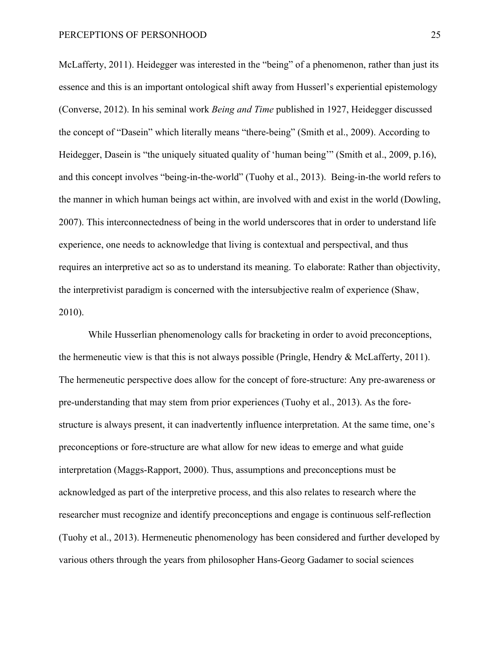McLafferty, 2011). Heidegger was interested in the "being" of a phenomenon, rather than just its essence and this is an important ontological shift away from Husserl's experiential epistemology (Converse, 2012). In his seminal work *Being and Time* published in 1927, Heidegger discussed the concept of "Dasein" which literally means "there-being" (Smith et al., 2009). According to Heidegger, Dasein is "the uniquely situated quality of 'human being'" (Smith et al., 2009, p.16), and this concept involves "being-in-the-world" (Tuohy et al., 2013). Being-in-the world refers to the manner in which human beings act within, are involved with and exist in the world (Dowling, 2007). This interconnectedness of being in the world underscores that in order to understand life experience, one needs to acknowledge that living is contextual and perspectival, and thus requires an interpretive act so as to understand its meaning. To elaborate: Rather than objectivity, the interpretivist paradigm is concerned with the intersubjective realm of experience (Shaw, 2010).

While Husserlian phenomenology calls for bracketing in order to avoid preconceptions, the hermeneutic view is that this is not always possible (Pringle, Hendry & McLafferty, 2011). The hermeneutic perspective does allow for the concept of fore-structure: Any pre-awareness or pre-understanding that may stem from prior experiences (Tuohy et al., 2013). As the forestructure is always present, it can inadvertently influence interpretation. At the same time, one's preconceptions or fore-structure are what allow for new ideas to emerge and what guide interpretation (Maggs-Rapport, 2000). Thus, assumptions and preconceptions must be acknowledged as part of the interpretive process, and this also relates to research where the researcher must recognize and identify preconceptions and engage is continuous self-reflection (Tuohy et al., 2013). Hermeneutic phenomenology has been considered and further developed by various others through the years from philosopher Hans-Georg Gadamer to social sciences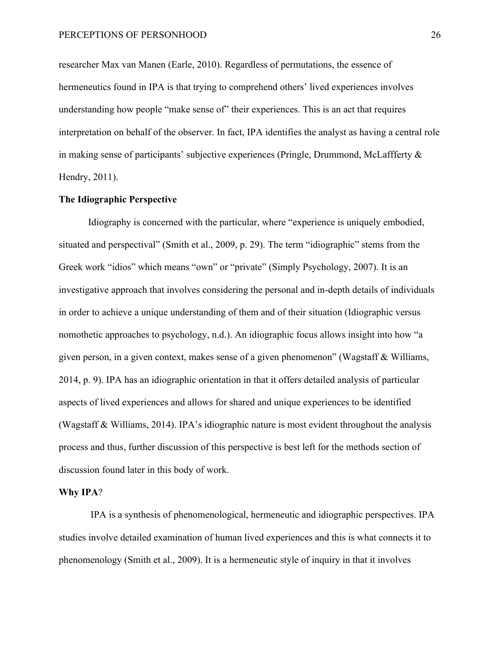researcher Max van Manen (Earle, 2010). Regardless of permutations, the essence of hermeneutics found in IPA is that trying to comprehend others' lived experiences involves understanding how people "make sense of" their experiences. This is an act that requires interpretation on behalf of the observer. In fact, IPA identifies the analyst as having a central role in making sense of participants' subjective experiences (Pringle, Drummond, McLaffferty & Hendry, 2011).

#### **The Idiographic Perspective**

Idiography is concerned with the particular, where "experience is uniquely embodied, situated and perspectival" (Smith et al., 2009, p. 29). The term "idiographic" stems from the Greek work "idios" which means "own" or "private" (Simply Psychology, 2007). It is an investigative approach that involves considering the personal and in-depth details of individuals in order to achieve a unique understanding of them and of their situation (Idiographic versus nomothetic approaches to psychology, n.d.). An idiographic focus allows insight into how "a given person, in a given context, makes sense of a given phenomenon" (Wagstaff & Williams, 2014, p. 9). IPA has an idiographic orientation in that it offers detailed analysis of particular aspects of lived experiences and allows for shared and unique experiences to be identified (Wagstaff & Williams, 2014). IPA's idiographic nature is most evident throughout the analysis process and thus, further discussion of this perspective is best left for the methods section of discussion found later in this body of work.

#### **Why IPA**?

IPA is a synthesis of phenomenological, hermeneutic and idiographic perspectives. IPA studies involve detailed examination of human lived experiences and this is what connects it to phenomenology (Smith et al., 2009). It is a hermeneutic style of inquiry in that it involves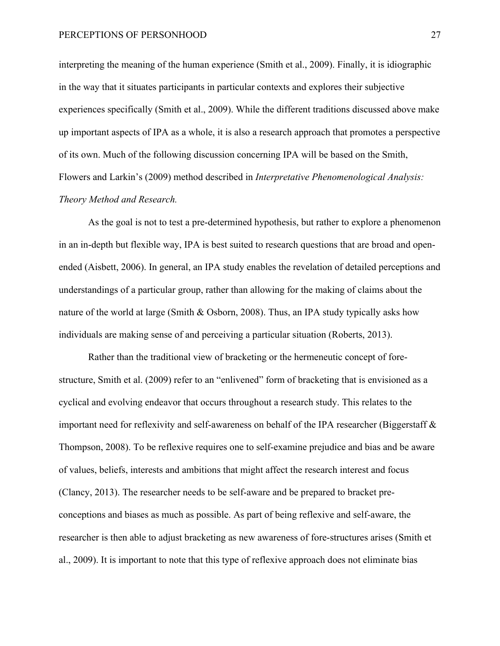interpreting the meaning of the human experience (Smith et al., 2009). Finally, it is idiographic in the way that it situates participants in particular contexts and explores their subjective experiences specifically (Smith et al., 2009). While the different traditions discussed above make up important aspects of IPA as a whole, it is also a research approach that promotes a perspective of its own. Much of the following discussion concerning IPA will be based on the Smith, Flowers and Larkin's (2009) method described in *Interpretative Phenomenological Analysis: Theory Method and Research.*

As the goal is not to test a pre-determined hypothesis, but rather to explore a phenomenon in an in-depth but flexible way, IPA is best suited to research questions that are broad and openended (Aisbett, 2006). In general, an IPA study enables the revelation of detailed perceptions and understandings of a particular group, rather than allowing for the making of claims about the nature of the world at large (Smith & Osborn, 2008). Thus, an IPA study typically asks how individuals are making sense of and perceiving a particular situation (Roberts, 2013).

Rather than the traditional view of bracketing or the hermeneutic concept of forestructure, Smith et al. (2009) refer to an "enlivened" form of bracketing that is envisioned as a cyclical and evolving endeavor that occurs throughout a research study. This relates to the important need for reflexivity and self-awareness on behalf of the IPA researcher (Biggerstaff  $\&$ Thompson, 2008). To be reflexive requires one to self-examine prejudice and bias and be aware of values, beliefs, interests and ambitions that might affect the research interest and focus (Clancy, 2013). The researcher needs to be self-aware and be prepared to bracket preconceptions and biases as much as possible. As part of being reflexive and self-aware, the researcher is then able to adjust bracketing as new awareness of fore-structures arises (Smith et al., 2009). It is important to note that this type of reflexive approach does not eliminate bias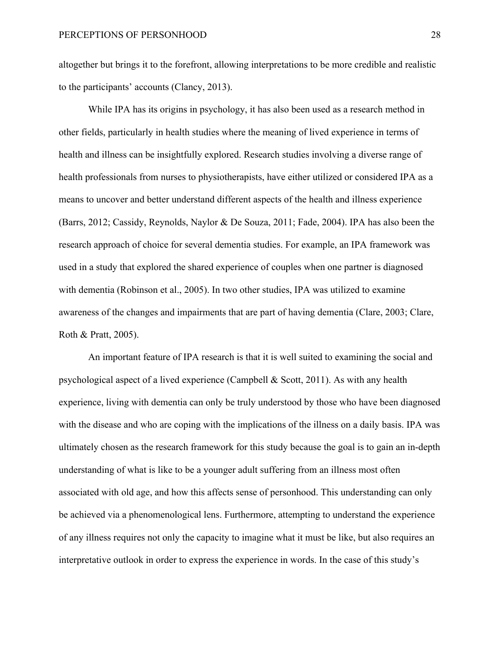altogether but brings it to the forefront, allowing interpretations to be more credible and realistic to the participants' accounts (Clancy, 2013).

While IPA has its origins in psychology, it has also been used as a research method in other fields, particularly in health studies where the meaning of lived experience in terms of health and illness can be insightfully explored. Research studies involving a diverse range of health professionals from nurses to physiotherapists, have either utilized or considered IPA as a means to uncover and better understand different aspects of the health and illness experience (Barrs, 2012; Cassidy, Reynolds, Naylor & De Souza, 2011; Fade, 2004). IPA has also been the research approach of choice for several dementia studies. For example, an IPA framework was used in a study that explored the shared experience of couples when one partner is diagnosed with dementia (Robinson et al., 2005). In two other studies, IPA was utilized to examine awareness of the changes and impairments that are part of having dementia (Clare, 2003; Clare, Roth & Pratt, 2005).

An important feature of IPA research is that it is well suited to examining the social and psychological aspect of a lived experience (Campbell & Scott, 2011). As with any health experience, living with dementia can only be truly understood by those who have been diagnosed with the disease and who are coping with the implications of the illness on a daily basis. IPA was ultimately chosen as the research framework for this study because the goal is to gain an in-depth understanding of what is like to be a younger adult suffering from an illness most often associated with old age, and how this affects sense of personhood. This understanding can only be achieved via a phenomenological lens. Furthermore, attempting to understand the experience of any illness requires not only the capacity to imagine what it must be like, but also requires an interpretative outlook in order to express the experience in words. In the case of this study's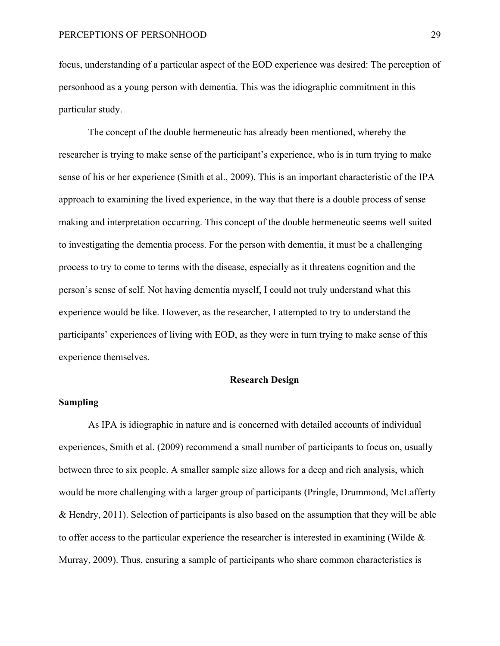focus, understanding of a particular aspect of the EOD experience was desired: The perception of personhood as a young person with dementia. This was the idiographic commitment in this particular study.

The concept of the double hermeneutic has already been mentioned, whereby the researcher is trying to make sense of the participant's experience, who is in turn trying to make sense of his or her experience (Smith et al., 2009). This is an important characteristic of the IPA approach to examining the lived experience, in the way that there is a double process of sense making and interpretation occurring. This concept of the double hermeneutic seems well suited to investigating the dementia process. For the person with dementia, it must be a challenging process to try to come to terms with the disease, especially as it threatens cognition and the person's sense of self. Not having dementia myself, I could not truly understand what this experience would be like. However, as the researcher, I attempted to try to understand the participants' experiences of living with EOD, as they were in turn trying to make sense of this experience themselves.

### **Research Design**

# **Sampling**

As IPA is idiographic in nature and is concerned with detailed accounts of individual experiences, Smith et al. (2009) recommend a small number of participants to focus on, usually between three to six people. A smaller sample size allows for a deep and rich analysis, which would be more challenging with a larger group of participants (Pringle, Drummond, McLafferty & Hendry, 2011). Selection of participants is also based on the assumption that they will be able to offer access to the particular experience the researcher is interested in examining (Wilde  $\&$ Murray, 2009). Thus, ensuring a sample of participants who share common characteristics is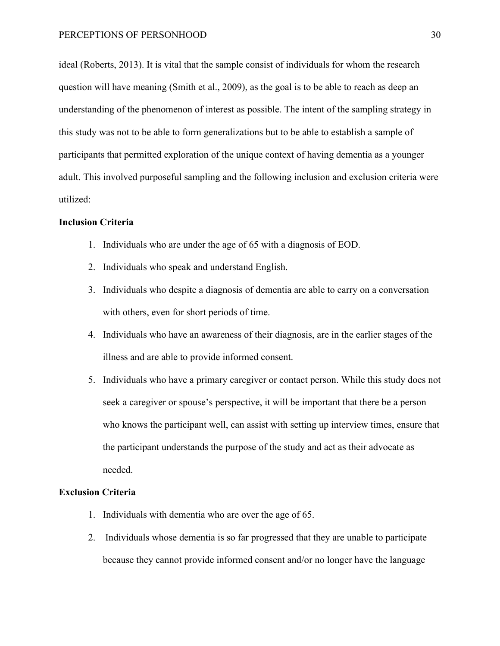ideal (Roberts, 2013). It is vital that the sample consist of individuals for whom the research question will have meaning (Smith et al., 2009), as the goal is to be able to reach as deep an understanding of the phenomenon of interest as possible. The intent of the sampling strategy in this study was not to be able to form generalizations but to be able to establish a sample of participants that permitted exploration of the unique context of having dementia as a younger adult. This involved purposeful sampling and the following inclusion and exclusion criteria were utilized:

# **Inclusion Criteria**

- 1. Individuals who are under the age of 65 with a diagnosis of EOD.
- 2. Individuals who speak and understand English.
- 3. Individuals who despite a diagnosis of dementia are able to carry on a conversation with others, even for short periods of time.
- 4. Individuals who have an awareness of their diagnosis, are in the earlier stages of the illness and are able to provide informed consent.
- 5. Individuals who have a primary caregiver or contact person. While this study does not seek a caregiver or spouse's perspective, it will be important that there be a person who knows the participant well, can assist with setting up interview times, ensure that the participant understands the purpose of the study and act as their advocate as needed.

## **Exclusion Criteria**

- 1. Individuals with dementia who are over the age of 65.
- 2. Individuals whose dementia is so far progressed that they are unable to participate because they cannot provide informed consent and/or no longer have the language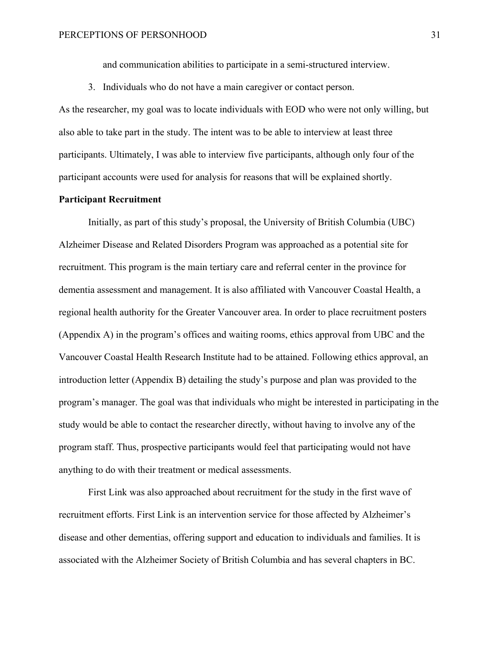and communication abilities to participate in a semi-structured interview.

3. Individuals who do not have a main caregiver or contact person.

As the researcher, my goal was to locate individuals with EOD who were not only willing, but also able to take part in the study. The intent was to be able to interview at least three participants. Ultimately, I was able to interview five participants, although only four of the participant accounts were used for analysis for reasons that will be explained shortly.

# **Participant Recruitment**

Initially, as part of this study's proposal, the University of British Columbia (UBC) Alzheimer Disease and Related Disorders Program was approached as a potential site for recruitment. This program is the main tertiary care and referral center in the province for dementia assessment and management. It is also affiliated with Vancouver Coastal Health, a regional health authority for the Greater Vancouver area. In order to place recruitment posters (Appendix A) in the program's offices and waiting rooms, ethics approval from UBC and the Vancouver Coastal Health Research Institute had to be attained. Following ethics approval, an introduction letter (Appendix B) detailing the study's purpose and plan was provided to the program's manager. The goal was that individuals who might be interested in participating in the study would be able to contact the researcher directly, without having to involve any of the program staff. Thus, prospective participants would feel that participating would not have anything to do with their treatment or medical assessments.

First Link was also approached about recruitment for the study in the first wave of recruitment efforts. First Link is an intervention service for those affected by Alzheimer's disease and other dementias, offering support and education to individuals and families. It is associated with the Alzheimer Society of British Columbia and has several chapters in BC.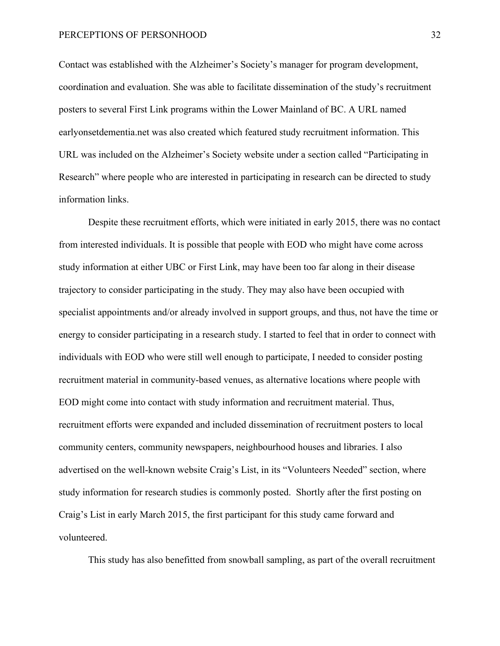Contact was established with the Alzheimer's Society's manager for program development, coordination and evaluation. She was able to facilitate dissemination of the study's recruitment posters to several First Link programs within the Lower Mainland of BC. A URL named earlyonsetdementia.net was also created which featured study recruitment information. This URL was included on the Alzheimer's Society website under a section called "Participating in Research" where people who are interested in participating in research can be directed to study information links.

Despite these recruitment efforts, which were initiated in early 2015, there was no contact from interested individuals. It is possible that people with EOD who might have come across study information at either UBC or First Link, may have been too far along in their disease trajectory to consider participating in the study. They may also have been occupied with specialist appointments and/or already involved in support groups, and thus, not have the time or energy to consider participating in a research study. I started to feel that in order to connect with individuals with EOD who were still well enough to participate, I needed to consider posting recruitment material in community-based venues, as alternative locations where people with EOD might come into contact with study information and recruitment material. Thus, recruitment efforts were expanded and included dissemination of recruitment posters to local community centers, community newspapers, neighbourhood houses and libraries. I also advertised on the well-known website Craig's List, in its "Volunteers Needed" section, where study information for research studies is commonly posted. Shortly after the first posting on Craig's List in early March 2015, the first participant for this study came forward and volunteered.

This study has also benefitted from snowball sampling, as part of the overall recruitment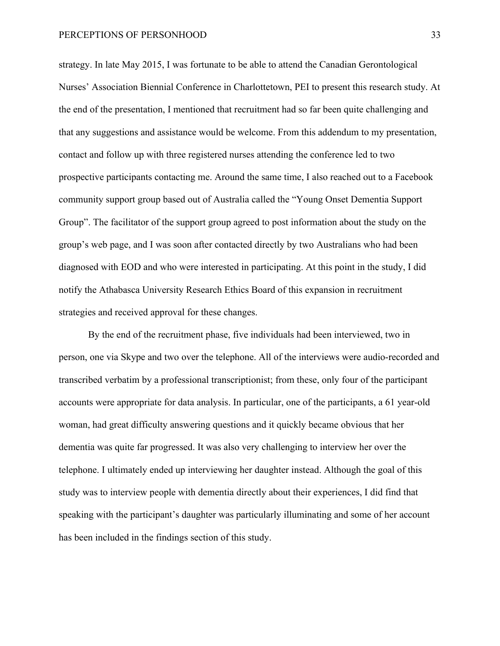strategy. In late May 2015, I was fortunate to be able to attend the Canadian Gerontological Nurses' Association Biennial Conference in Charlottetown, PEI to present this research study. At the end of the presentation, I mentioned that recruitment had so far been quite challenging and that any suggestions and assistance would be welcome. From this addendum to my presentation, contact and follow up with three registered nurses attending the conference led to two prospective participants contacting me. Around the same time, I also reached out to a Facebook community support group based out of Australia called the "Young Onset Dementia Support Group". The facilitator of the support group agreed to post information about the study on the group's web page, and I was soon after contacted directly by two Australians who had been diagnosed with EOD and who were interested in participating. At this point in the study, I did notify the Athabasca University Research Ethics Board of this expansion in recruitment strategies and received approval for these changes.

By the end of the recruitment phase, five individuals had been interviewed, two in person, one via Skype and two over the telephone. All of the interviews were audio-recorded and transcribed verbatim by a professional transcriptionist; from these, only four of the participant accounts were appropriate for data analysis. In particular, one of the participants, a 61 year-old woman, had great difficulty answering questions and it quickly became obvious that her dementia was quite far progressed. It was also very challenging to interview her over the telephone. I ultimately ended up interviewing her daughter instead. Although the goal of this study was to interview people with dementia directly about their experiences, I did find that speaking with the participant's daughter was particularly illuminating and some of her account has been included in the findings section of this study.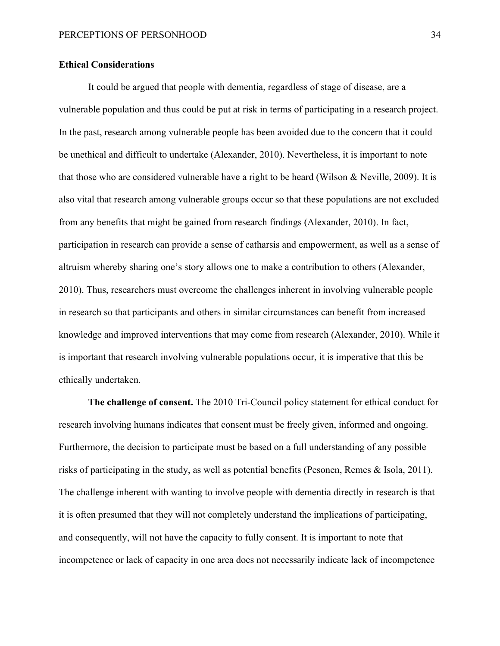# **Ethical Considerations**

It could be argued that people with dementia, regardless of stage of disease, are a vulnerable population and thus could be put at risk in terms of participating in a research project. In the past, research among vulnerable people has been avoided due to the concern that it could be unethical and difficult to undertake (Alexander, 2010). Nevertheless, it is important to note that those who are considered vulnerable have a right to be heard (Wilson & Neville, 2009). It is also vital that research among vulnerable groups occur so that these populations are not excluded from any benefits that might be gained from research findings (Alexander, 2010). In fact, participation in research can provide a sense of catharsis and empowerment, as well as a sense of altruism whereby sharing one's story allows one to make a contribution to others (Alexander, 2010). Thus, researchers must overcome the challenges inherent in involving vulnerable people in research so that participants and others in similar circumstances can benefit from increased knowledge and improved interventions that may come from research (Alexander, 2010). While it is important that research involving vulnerable populations occur, it is imperative that this be ethically undertaken.

**The challenge of consent.** The 2010 Tri-Council policy statement for ethical conduct for research involving humans indicates that consent must be freely given, informed and ongoing. Furthermore, the decision to participate must be based on a full understanding of any possible risks of participating in the study, as well as potential benefits (Pesonen, Remes & Isola, 2011). The challenge inherent with wanting to involve people with dementia directly in research is that it is often presumed that they will not completely understand the implications of participating, and consequently, will not have the capacity to fully consent. It is important to note that incompetence or lack of capacity in one area does not necessarily indicate lack of incompetence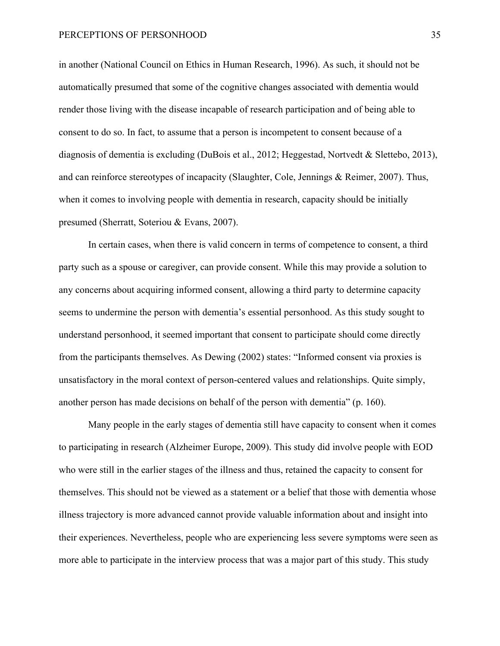in another (National Council on Ethics in Human Research, 1996). As such, it should not be automatically presumed that some of the cognitive changes associated with dementia would render those living with the disease incapable of research participation and of being able to consent to do so. In fact, to assume that a person is incompetent to consent because of a diagnosis of dementia is excluding (DuBois et al., 2012; Heggestad, Nortvedt & Slettebo, 2013), and can reinforce stereotypes of incapacity (Slaughter, Cole, Jennings & Reimer, 2007). Thus, when it comes to involving people with dementia in research, capacity should be initially presumed (Sherratt, Soteriou & Evans, 2007).

In certain cases, when there is valid concern in terms of competence to consent, a third party such as a spouse or caregiver, can provide consent. While this may provide a solution to any concerns about acquiring informed consent, allowing a third party to determine capacity seems to undermine the person with dementia's essential personhood. As this study sought to understand personhood, it seemed important that consent to participate should come directly from the participants themselves. As Dewing (2002) states: "Informed consent via proxies is unsatisfactory in the moral context of person-centered values and relationships. Quite simply, another person has made decisions on behalf of the person with dementia" (p. 160).

Many people in the early stages of dementia still have capacity to consent when it comes to participating in research (Alzheimer Europe, 2009). This study did involve people with EOD who were still in the earlier stages of the illness and thus, retained the capacity to consent for themselves. This should not be viewed as a statement or a belief that those with dementia whose illness trajectory is more advanced cannot provide valuable information about and insight into their experiences. Nevertheless, people who are experiencing less severe symptoms were seen as more able to participate in the interview process that was a major part of this study. This study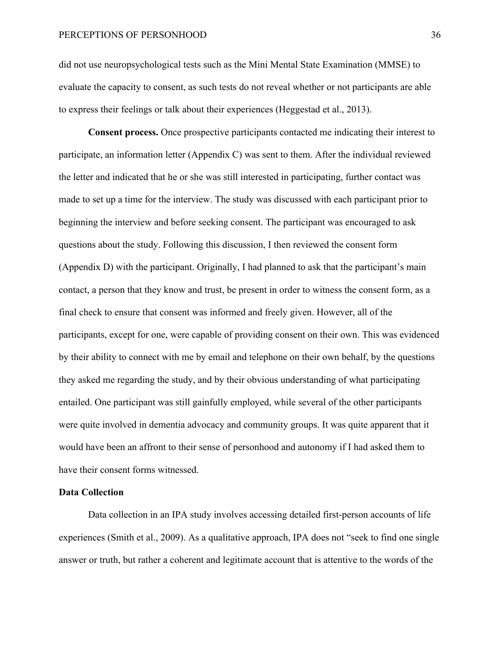did not use neuropsychological tests such as the Mini Mental State Examination (MMSE) to evaluate the capacity to consent, as such tests do not reveal whether or not participants are able to express their feelings or talk about their experiences (Heggestad et al., 2013).

**Consent process.** Once prospective participants contacted me indicating their interest to participate, an information letter (Appendix C) was sent to them. After the individual reviewed the letter and indicated that he or she was still interested in participating, further contact was made to set up a time for the interview. The study was discussed with each participant prior to beginning the interview and before seeking consent. The participant was encouraged to ask questions about the study. Following this discussion, I then reviewed the consent form (Appendix D) with the participant. Originally, I had planned to ask that the participant's main contact, a person that they know and trust, be present in order to witness the consent form, as a final check to ensure that consent was informed and freely given. However, all of the participants, except for one, were capable of providing consent on their own. This was evidenced by their ability to connect with me by email and telephone on their own behalf, by the questions they asked me regarding the study, and by their obvious understanding of what participating entailed. One participant was still gainfully employed, while several of the other participants were quite involved in dementia advocacy and community groups. It was quite apparent that it would have been an affront to their sense of personhood and autonomy if I had asked them to have their consent forms witnessed.

## **Data Collection**

Data collection in an IPA study involves accessing detailed first-person accounts of life experiences (Smith et al., 2009). As a qualitative approach, IPA does not "seek to find one single answer or truth, but rather a coherent and legitimate account that is attentive to the words of the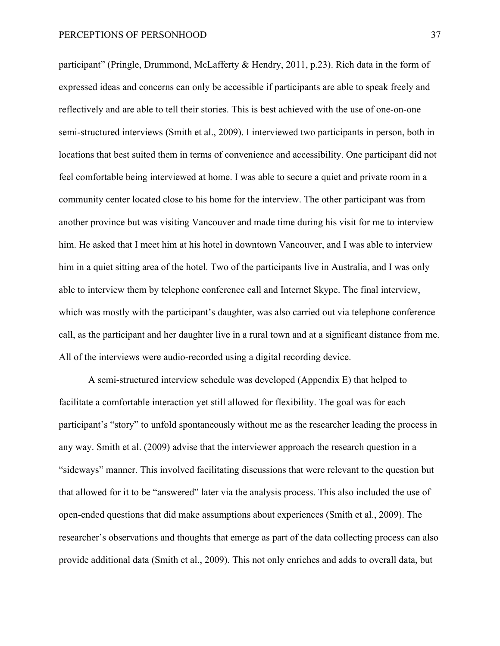participant" (Pringle, Drummond, McLafferty & Hendry, 2011, p.23). Rich data in the form of expressed ideas and concerns can only be accessible if participants are able to speak freely and reflectively and are able to tell their stories. This is best achieved with the use of one-on-one semi-structured interviews (Smith et al., 2009). I interviewed two participants in person, both in locations that best suited them in terms of convenience and accessibility. One participant did not feel comfortable being interviewed at home. I was able to secure a quiet and private room in a community center located close to his home for the interview. The other participant was from another province but was visiting Vancouver and made time during his visit for me to interview him. He asked that I meet him at his hotel in downtown Vancouver, and I was able to interview him in a quiet sitting area of the hotel. Two of the participants live in Australia, and I was only able to interview them by telephone conference call and Internet Skype. The final interview, which was mostly with the participant's daughter, was also carried out via telephone conference call, as the participant and her daughter live in a rural town and at a significant distance from me. All of the interviews were audio-recorded using a digital recording device.

A semi-structured interview schedule was developed (Appendix E) that helped to facilitate a comfortable interaction yet still allowed for flexibility. The goal was for each participant's "story" to unfold spontaneously without me as the researcher leading the process in any way. Smith et al. (2009) advise that the interviewer approach the research question in a "sideways" manner. This involved facilitating discussions that were relevant to the question but that allowed for it to be "answered" later via the analysis process. This also included the use of open-ended questions that did make assumptions about experiences (Smith et al., 2009). The researcher's observations and thoughts that emerge as part of the data collecting process can also provide additional data (Smith et al., 2009). This not only enriches and adds to overall data, but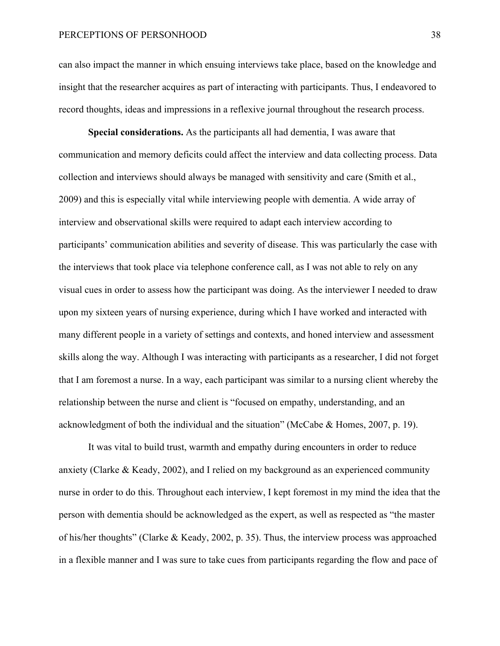can also impact the manner in which ensuing interviews take place, based on the knowledge and insight that the researcher acquires as part of interacting with participants. Thus, I endeavored to record thoughts, ideas and impressions in a reflexive journal throughout the research process.

**Special considerations.** As the participants all had dementia, I was aware that communication and memory deficits could affect the interview and data collecting process. Data collection and interviews should always be managed with sensitivity and care (Smith et al., 2009) and this is especially vital while interviewing people with dementia. A wide array of interview and observational skills were required to adapt each interview according to participants' communication abilities and severity of disease. This was particularly the case with the interviews that took place via telephone conference call, as I was not able to rely on any visual cues in order to assess how the participant was doing. As the interviewer I needed to draw upon my sixteen years of nursing experience, during which I have worked and interacted with many different people in a variety of settings and contexts, and honed interview and assessment skills along the way. Although I was interacting with participants as a researcher, I did not forget that I am foremost a nurse. In a way, each participant was similar to a nursing client whereby the relationship between the nurse and client is "focused on empathy, understanding, and an acknowledgment of both the individual and the situation" (McCabe & Homes, 2007, p. 19).

It was vital to build trust, warmth and empathy during encounters in order to reduce anxiety (Clarke & Keady, 2002), and I relied on my background as an experienced community nurse in order to do this. Throughout each interview, I kept foremost in my mind the idea that the person with dementia should be acknowledged as the expert, as well as respected as "the master of his/her thoughts" (Clarke & Keady, 2002, p. 35). Thus, the interview process was approached in a flexible manner and I was sure to take cues from participants regarding the flow and pace of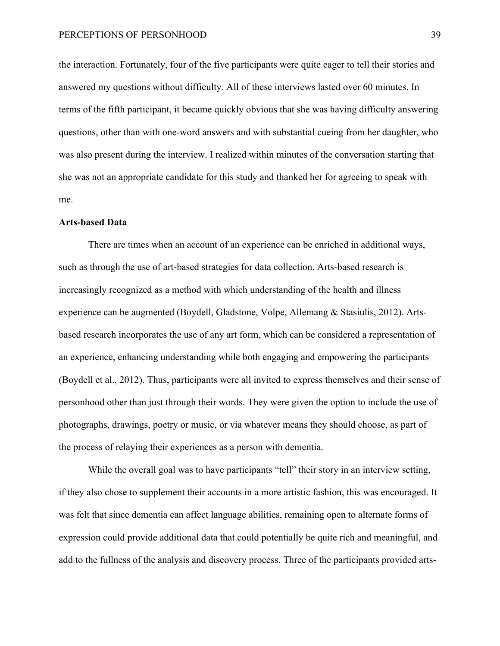the interaction. Fortunately, four of the five participants were quite eager to tell their stories and answered my questions without difficulty. All of these interviews lasted over 60 minutes. In terms of the fifth participant, it became quickly obvious that she was having difficulty answering questions, other than with one-word answers and with substantial cueing from her daughter, who was also present during the interview. I realized within minutes of the conversation starting that she was not an appropriate candidate for this study and thanked her for agreeing to speak with me.

### **Arts-based Data**

There are times when an account of an experience can be enriched in additional ways, such as through the use of art-based strategies for data collection. Arts-based research is increasingly recognized as a method with which understanding of the health and illness experience can be augmented (Boydell, Gladstone, Volpe, Allemang & Stasiulis, 2012). Artsbased research incorporates the use of any art form, which can be considered a representation of an experience, enhancing understanding while both engaging and empowering the participants (Boydell et al., 2012). Thus, participants were all invited to express themselves and their sense of personhood other than just through their words. They were given the option to include the use of photographs, drawings, poetry or music, or via whatever means they should choose, as part of the process of relaying their experiences as a person with dementia.

While the overall goal was to have participants "tell" their story in an interview setting, if they also chose to supplement their accounts in a more artistic fashion, this was encouraged. It was felt that since dementia can affect language abilities, remaining open to alternate forms of expression could provide additional data that could potentially be quite rich and meaningful, and add to the fullness of the analysis and discovery process. Three of the participants provided arts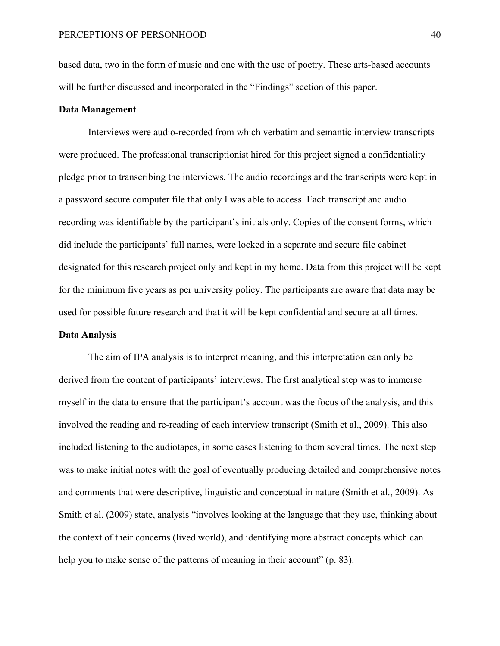based data, two in the form of music and one with the use of poetry. These arts-based accounts will be further discussed and incorporated in the "Findings" section of this paper.

# **Data Management**

Interviews were audio-recorded from which verbatim and semantic interview transcripts were produced. The professional transcriptionist hired for this project signed a confidentiality pledge prior to transcribing the interviews. The audio recordings and the transcripts were kept in a password secure computer file that only I was able to access. Each transcript and audio recording was identifiable by the participant's initials only. Copies of the consent forms, which did include the participants' full names, were locked in a separate and secure file cabinet designated for this research project only and kept in my home. Data from this project will be kept for the minimum five years as per university policy. The participants are aware that data may be used for possible future research and that it will be kept confidential and secure at all times.

# **Data Analysis**

The aim of IPA analysis is to interpret meaning, and this interpretation can only be derived from the content of participants' interviews. The first analytical step was to immerse myself in the data to ensure that the participant's account was the focus of the analysis, and this involved the reading and re-reading of each interview transcript (Smith et al., 2009). This also included listening to the audiotapes, in some cases listening to them several times. The next step was to make initial notes with the goal of eventually producing detailed and comprehensive notes and comments that were descriptive, linguistic and conceptual in nature (Smith et al., 2009). As Smith et al. (2009) state, analysis "involves looking at the language that they use, thinking about the context of their concerns (lived world), and identifying more abstract concepts which can help you to make sense of the patterns of meaning in their account" (p. 83).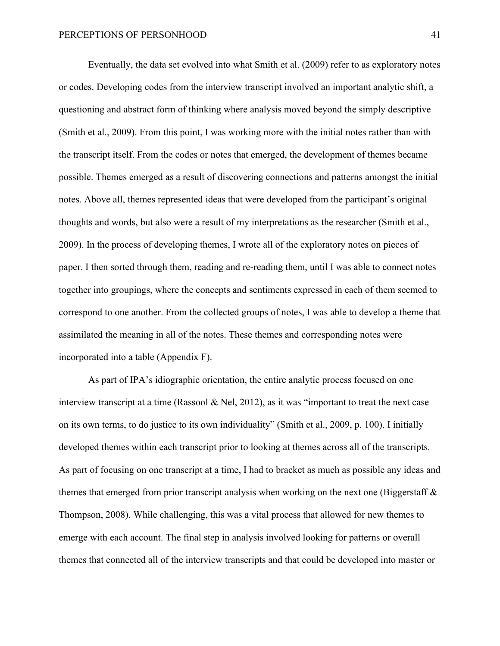Eventually, the data set evolved into what Smith et al. (2009) refer to as exploratory notes or codes. Developing codes from the interview transcript involved an important analytic shift, a questioning and abstract form of thinking where analysis moved beyond the simply descriptive (Smith et al., 2009). From this point, I was working more with the initial notes rather than with the transcript itself. From the codes or notes that emerged, the development of themes became possible. Themes emerged as a result of discovering connections and patterns amongst the initial notes. Above all, themes represented ideas that were developed from the participant's original thoughts and words, but also were a result of my interpretations as the researcher (Smith et al., 2009). In the process of developing themes, I wrote all of the exploratory notes on pieces of paper. I then sorted through them, reading and re-reading them, until I was able to connect notes together into groupings, where the concepts and sentiments expressed in each of them seemed to correspond to one another. From the collected groups of notes, I was able to develop a theme that assimilated the meaning in all of the notes. These themes and corresponding notes were incorporated into a table (Appendix F).

As part of IPA's idiographic orientation, the entire analytic process focused on one interview transcript at a time (Rassool & Nel, 2012), as it was "important to treat the next case on its own terms, to do justice to its own individuality" (Smith et al., 2009, p. 100). I initially developed themes within each transcript prior to looking at themes across all of the transcripts. As part of focusing on one transcript at a time, I had to bracket as much as possible any ideas and themes that emerged from prior transcript analysis when working on the next one (Biggerstaff  $\&$ Thompson, 2008). While challenging, this was a vital process that allowed for new themes to emerge with each account. The final step in analysis involved looking for patterns or overall themes that connected all of the interview transcripts and that could be developed into master or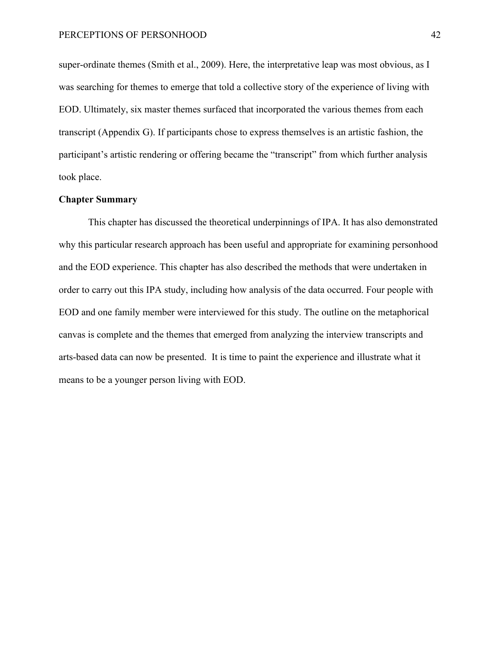super-ordinate themes (Smith et al., 2009). Here, the interpretative leap was most obvious, as I was searching for themes to emerge that told a collective story of the experience of living with EOD. Ultimately, six master themes surfaced that incorporated the various themes from each transcript (Appendix G). If participants chose to express themselves is an artistic fashion, the participant's artistic rendering or offering became the "transcript" from which further analysis took place.

# **Chapter Summary**

This chapter has discussed the theoretical underpinnings of IPA. It has also demonstrated why this particular research approach has been useful and appropriate for examining personhood and the EOD experience. This chapter has also described the methods that were undertaken in order to carry out this IPA study, including how analysis of the data occurred. Four people with EOD and one family member were interviewed for this study. The outline on the metaphorical canvas is complete and the themes that emerged from analyzing the interview transcripts and arts-based data can now be presented. It is time to paint the experience and illustrate what it means to be a younger person living with EOD.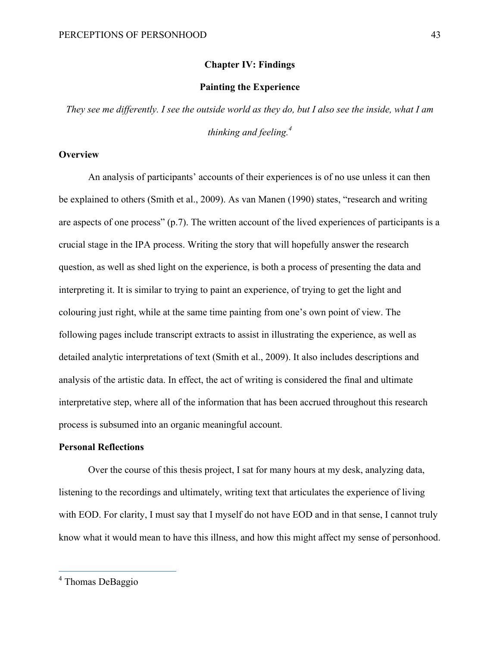## **Chapter IV: Findings**

# **Painting the Experience**

*They see me differently. I see the outside world as they do, but I also see the inside, what I am thinking and feeling. 4*

# **Overview**

An analysis of participants' accounts of their experiences is of no use unless it can then be explained to others (Smith et al., 2009). As van Manen (1990) states, "research and writing are aspects of one process" (p.7). The written account of the lived experiences of participants is a crucial stage in the IPA process. Writing the story that will hopefully answer the research question, as well as shed light on the experience, is both a process of presenting the data and interpreting it. It is similar to trying to paint an experience, of trying to get the light and colouring just right, while at the same time painting from one's own point of view. The following pages include transcript extracts to assist in illustrating the experience, as well as detailed analytic interpretations of text (Smith et al., 2009). It also includes descriptions and analysis of the artistic data. In effect, the act of writing is considered the final and ultimate interpretative step, where all of the information that has been accrued throughout this research process is subsumed into an organic meaningful account.

## **Personal Reflections**

Over the course of this thesis project, I sat for many hours at my desk, analyzing data, listening to the recordings and ultimately, writing text that articulates the experience of living with EOD. For clarity, I must say that I myself do not have EOD and in that sense, I cannot truly know what it would mean to have this illness, and how this might affect my sense of personhood.

 <sup>4</sup> Thomas DeBaggio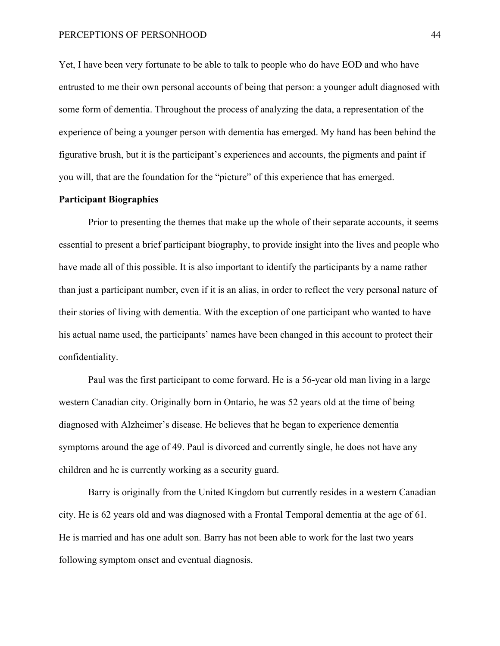Yet, I have been very fortunate to be able to talk to people who do have EOD and who have entrusted to me their own personal accounts of being that person: a younger adult diagnosed with some form of dementia. Throughout the process of analyzing the data, a representation of the experience of being a younger person with dementia has emerged. My hand has been behind the figurative brush, but it is the participant's experiences and accounts, the pigments and paint if you will, that are the foundation for the "picture" of this experience that has emerged.

# **Participant Biographies**

Prior to presenting the themes that make up the whole of their separate accounts, it seems essential to present a brief participant biography, to provide insight into the lives and people who have made all of this possible. It is also important to identify the participants by a name rather than just a participant number, even if it is an alias, in order to reflect the very personal nature of their stories of living with dementia. With the exception of one participant who wanted to have his actual name used, the participants' names have been changed in this account to protect their confidentiality.

Paul was the first participant to come forward. He is a 56-year old man living in a large western Canadian city. Originally born in Ontario, he was 52 years old at the time of being diagnosed with Alzheimer's disease. He believes that he began to experience dementia symptoms around the age of 49. Paul is divorced and currently single, he does not have any children and he is currently working as a security guard.

Barry is originally from the United Kingdom but currently resides in a western Canadian city. He is 62 years old and was diagnosed with a Frontal Temporal dementia at the age of 61. He is married and has one adult son. Barry has not been able to work for the last two years following symptom onset and eventual diagnosis.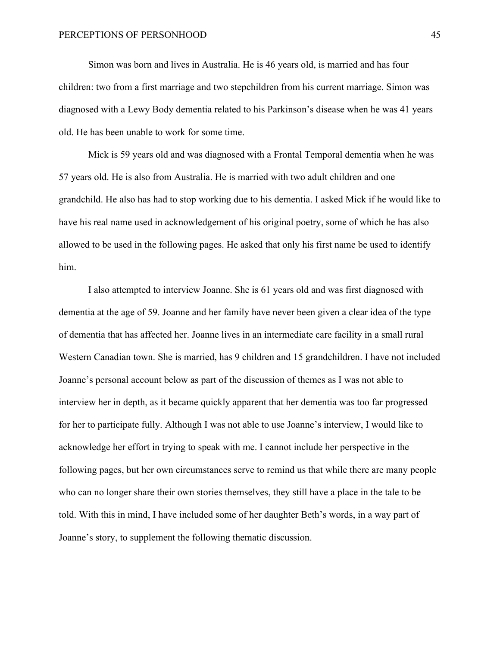Simon was born and lives in Australia. He is 46 years old, is married and has four children: two from a first marriage and two stepchildren from his current marriage. Simon was diagnosed with a Lewy Body dementia related to his Parkinson's disease when he was 41 years old. He has been unable to work for some time.

Mick is 59 years old and was diagnosed with a Frontal Temporal dementia when he was 57 years old. He is also from Australia. He is married with two adult children and one grandchild. He also has had to stop working due to his dementia. I asked Mick if he would like to have his real name used in acknowledgement of his original poetry, some of which he has also allowed to be used in the following pages. He asked that only his first name be used to identify him.

I also attempted to interview Joanne. She is 61 years old and was first diagnosed with dementia at the age of 59. Joanne and her family have never been given a clear idea of the type of dementia that has affected her. Joanne lives in an intermediate care facility in a small rural Western Canadian town. She is married, has 9 children and 15 grandchildren. I have not included Joanne's personal account below as part of the discussion of themes as I was not able to interview her in depth, as it became quickly apparent that her dementia was too far progressed for her to participate fully. Although I was not able to use Joanne's interview, I would like to acknowledge her effort in trying to speak with me. I cannot include her perspective in the following pages, but her own circumstances serve to remind us that while there are many people who can no longer share their own stories themselves, they still have a place in the tale to be told. With this in mind, I have included some of her daughter Beth's words, in a way part of Joanne's story, to supplement the following thematic discussion.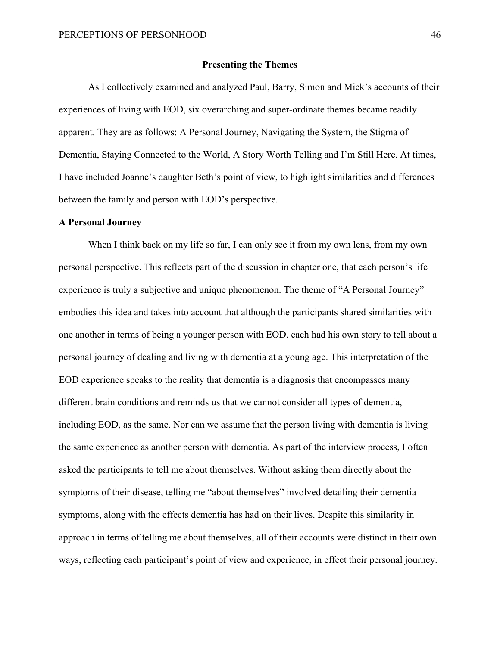### **Presenting the Themes**

As I collectively examined and analyzed Paul, Barry, Simon and Mick's accounts of their experiences of living with EOD, six overarching and super-ordinate themes became readily apparent. They are as follows: A Personal Journey, Navigating the System, the Stigma of Dementia, Staying Connected to the World, A Story Worth Telling and I'm Still Here. At times, I have included Joanne's daughter Beth's point of view, to highlight similarities and differences between the family and person with EOD's perspective.

### **A Personal Journey**

When I think back on my life so far, I can only see it from my own lens, from my own personal perspective. This reflects part of the discussion in chapter one, that each person's life experience is truly a subjective and unique phenomenon. The theme of "A Personal Journey" embodies this idea and takes into account that although the participants shared similarities with one another in terms of being a younger person with EOD, each had his own story to tell about a personal journey of dealing and living with dementia at a young age. This interpretation of the EOD experience speaks to the reality that dementia is a diagnosis that encompasses many different brain conditions and reminds us that we cannot consider all types of dementia, including EOD, as the same. Nor can we assume that the person living with dementia is living the same experience as another person with dementia. As part of the interview process, I often asked the participants to tell me about themselves. Without asking them directly about the symptoms of their disease, telling me "about themselves" involved detailing their dementia symptoms, along with the effects dementia has had on their lives. Despite this similarity in approach in terms of telling me about themselves, all of their accounts were distinct in their own ways, reflecting each participant's point of view and experience, in effect their personal journey.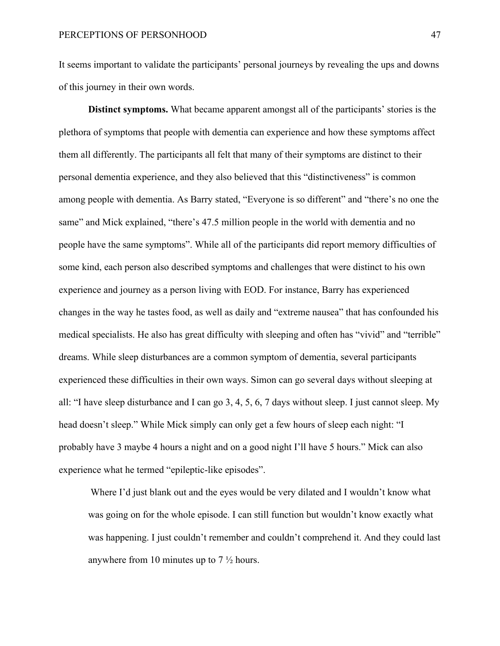It seems important to validate the participants' personal journeys by revealing the ups and downs of this journey in their own words.

**Distinct symptoms.** What became apparent amongst all of the participants' stories is the plethora of symptoms that people with dementia can experience and how these symptoms affect them all differently. The participants all felt that many of their symptoms are distinct to their personal dementia experience, and they also believed that this "distinctiveness" is common among people with dementia. As Barry stated, "Everyone is so different" and "there's no one the same" and Mick explained, "there's 47.5 million people in the world with dementia and no people have the same symptoms". While all of the participants did report memory difficulties of some kind, each person also described symptoms and challenges that were distinct to his own experience and journey as a person living with EOD. For instance, Barry has experienced changes in the way he tastes food, as well as daily and "extreme nausea" that has confounded his medical specialists. He also has great difficulty with sleeping and often has "vivid" and "terrible" dreams. While sleep disturbances are a common symptom of dementia, several participants experienced these difficulties in their own ways. Simon can go several days without sleeping at all: "I have sleep disturbance and I can go 3, 4, 5, 6, 7 days without sleep. I just cannot sleep. My head doesn't sleep." While Mick simply can only get a few hours of sleep each night: "I probably have 3 maybe 4 hours a night and on a good night I'll have 5 hours." Mick can also experience what he termed "epileptic-like episodes".

Where I'd just blank out and the eyes would be very dilated and I wouldn't know what was going on for the whole episode. I can still function but wouldn't know exactly what was happening. I just couldn't remember and couldn't comprehend it. And they could last anywhere from 10 minutes up to  $7\frac{1}{2}$  hours.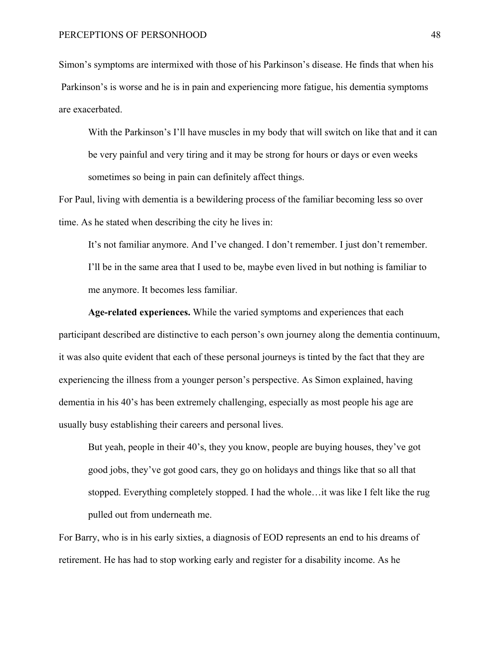Simon's symptoms are intermixed with those of his Parkinson's disease. He finds that when his Parkinson's is worse and he is in pain and experiencing more fatigue, his dementia symptoms are exacerbated.

With the Parkinson's I'll have muscles in my body that will switch on like that and it can be very painful and very tiring and it may be strong for hours or days or even weeks sometimes so being in pain can definitely affect things.

For Paul, living with dementia is a bewildering process of the familiar becoming less so over time. As he stated when describing the city he lives in:

It's not familiar anymore. And I've changed. I don't remember. I just don't remember. I'll be in the same area that I used to be, maybe even lived in but nothing is familiar to me anymore. It becomes less familiar.

**Age-related experiences.** While the varied symptoms and experiences that each participant described are distinctive to each person's own journey along the dementia continuum, it was also quite evident that each of these personal journeys is tinted by the fact that they are experiencing the illness from a younger person's perspective. As Simon explained, having dementia in his 40's has been extremely challenging, especially as most people his age are usually busy establishing their careers and personal lives.

But yeah, people in their 40's, they you know, people are buying houses, they've got good jobs, they've got good cars, they go on holidays and things like that so all that stopped. Everything completely stopped. I had the whole…it was like I felt like the rug pulled out from underneath me.

For Barry, who is in his early sixties, a diagnosis of EOD represents an end to his dreams of retirement. He has had to stop working early and register for a disability income. As he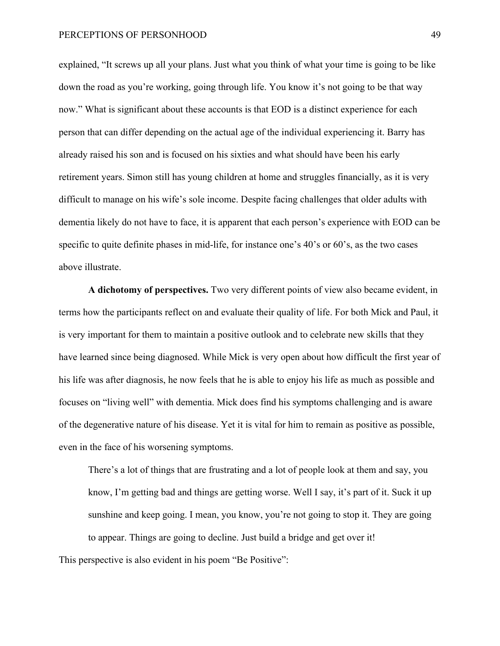explained, "It screws up all your plans. Just what you think of what your time is going to be like down the road as you're working, going through life. You know it's not going to be that way now." What is significant about these accounts is that EOD is a distinct experience for each person that can differ depending on the actual age of the individual experiencing it. Barry has already raised his son and is focused on his sixties and what should have been his early retirement years. Simon still has young children at home and struggles financially, as it is very difficult to manage on his wife's sole income. Despite facing challenges that older adults with dementia likely do not have to face, it is apparent that each person's experience with EOD can be specific to quite definite phases in mid-life, for instance one's 40's or 60's, as the two cases above illustrate.

**A dichotomy of perspectives.** Two very different points of view also became evident, in terms how the participants reflect on and evaluate their quality of life. For both Mick and Paul, it is very important for them to maintain a positive outlook and to celebrate new skills that they have learned since being diagnosed. While Mick is very open about how difficult the first year of his life was after diagnosis, he now feels that he is able to enjoy his life as much as possible and focuses on "living well" with dementia. Mick does find his symptoms challenging and is aware of the degenerative nature of his disease. Yet it is vital for him to remain as positive as possible, even in the face of his worsening symptoms.

There's a lot of things that are frustrating and a lot of people look at them and say, you know, I'm getting bad and things are getting worse. Well I say, it's part of it. Suck it up sunshine and keep going. I mean, you know, you're not going to stop it. They are going to appear. Things are going to decline. Just build a bridge and get over it!

This perspective is also evident in his poem "Be Positive":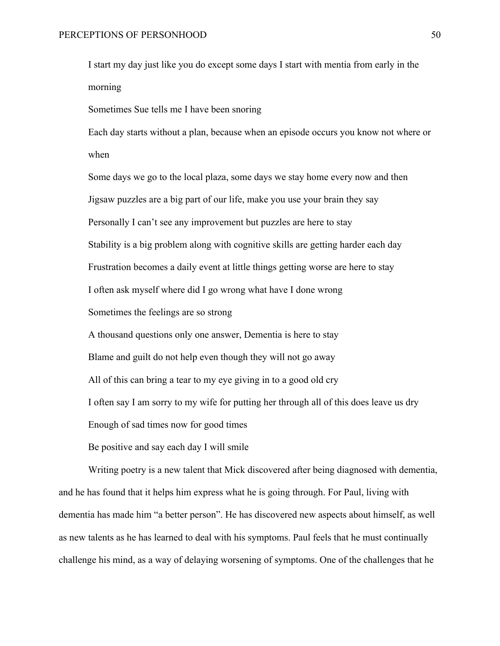I start my day just like you do except some days I start with mentia from early in the morning

Sometimes Sue tells me I have been snoring

Each day starts without a plan, because when an episode occurs you know not where or when

Some days we go to the local plaza, some days we stay home every now and then Jigsaw puzzles are a big part of our life, make you use your brain they say Personally I can't see any improvement but puzzles are here to stay Stability is a big problem along with cognitive skills are getting harder each day Frustration becomes a daily event at little things getting worse are here to stay I often ask myself where did I go wrong what have I done wrong Sometimes the feelings are so strong A thousand questions only one answer, Dementia is here to stay Blame and guilt do not help even though they will not go away

All of this can bring a tear to my eye giving in to a good old cry

I often say I am sorry to my wife for putting her through all of this does leave us dry

Enough of sad times now for good times

Be positive and say each day I will smile

Writing poetry is a new talent that Mick discovered after being diagnosed with dementia, and he has found that it helps him express what he is going through. For Paul, living with dementia has made him "a better person". He has discovered new aspects about himself, as well as new talents as he has learned to deal with his symptoms. Paul feels that he must continually challenge his mind, as a way of delaying worsening of symptoms. One of the challenges that he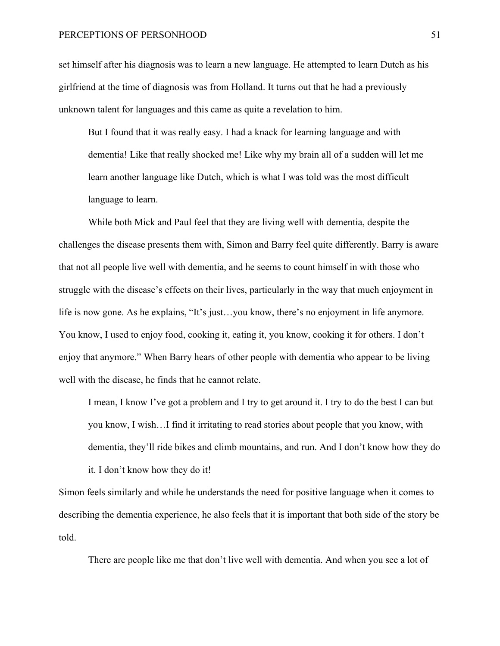set himself after his diagnosis was to learn a new language. He attempted to learn Dutch as his girlfriend at the time of diagnosis was from Holland. It turns out that he had a previously unknown talent for languages and this came as quite a revelation to him.

But I found that it was really easy. I had a knack for learning language and with dementia! Like that really shocked me! Like why my brain all of a sudden will let me learn another language like Dutch, which is what I was told was the most difficult language to learn.

While both Mick and Paul feel that they are living well with dementia, despite the challenges the disease presents them with, Simon and Barry feel quite differently. Barry is aware that not all people live well with dementia, and he seems to count himself in with those who struggle with the disease's effects on their lives, particularly in the way that much enjoyment in life is now gone. As he explains, "It's just…you know, there's no enjoyment in life anymore. You know, I used to enjoy food, cooking it, eating it, you know, cooking it for others. I don't enjoy that anymore." When Barry hears of other people with dementia who appear to be living well with the disease, he finds that he cannot relate.

I mean, I know I've got a problem and I try to get around it. I try to do the best I can but you know, I wish…I find it irritating to read stories about people that you know, with dementia, they'll ride bikes and climb mountains, and run. And I don't know how they do it. I don't know how they do it!

Simon feels similarly and while he understands the need for positive language when it comes to describing the dementia experience, he also feels that it is important that both side of the story be told.

There are people like me that don't live well with dementia. And when you see a lot of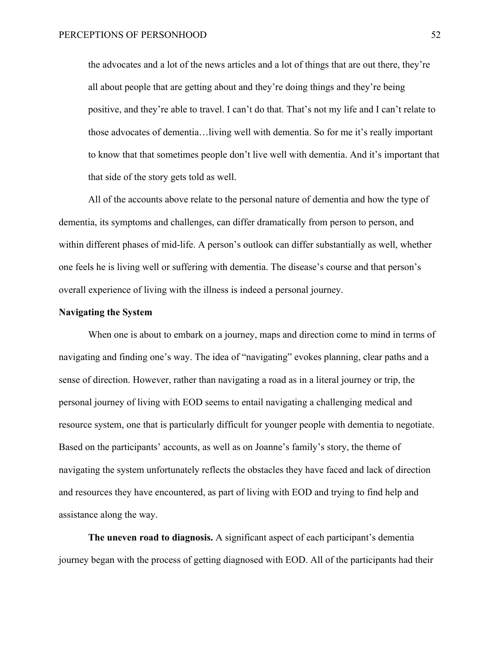the advocates and a lot of the news articles and a lot of things that are out there, they're all about people that are getting about and they're doing things and they're being positive, and they're able to travel. I can't do that. That's not my life and I can't relate to those advocates of dementia…living well with dementia. So for me it's really important to know that that sometimes people don't live well with dementia. And it's important that that side of the story gets told as well.

All of the accounts above relate to the personal nature of dementia and how the type of dementia, its symptoms and challenges, can differ dramatically from person to person, and within different phases of mid-life. A person's outlook can differ substantially as well, whether one feels he is living well or suffering with dementia. The disease's course and that person's overall experience of living with the illness is indeed a personal journey.

## **Navigating the System**

When one is about to embark on a journey, maps and direction come to mind in terms of navigating and finding one's way. The idea of "navigating" evokes planning, clear paths and a sense of direction. However, rather than navigating a road as in a literal journey or trip, the personal journey of living with EOD seems to entail navigating a challenging medical and resource system, one that is particularly difficult for younger people with dementia to negotiate. Based on the participants' accounts, as well as on Joanne's family's story, the theme of navigating the system unfortunately reflects the obstacles they have faced and lack of direction and resources they have encountered, as part of living with EOD and trying to find help and assistance along the way.

**The uneven road to diagnosis.** A significant aspect of each participant's dementia journey began with the process of getting diagnosed with EOD. All of the participants had their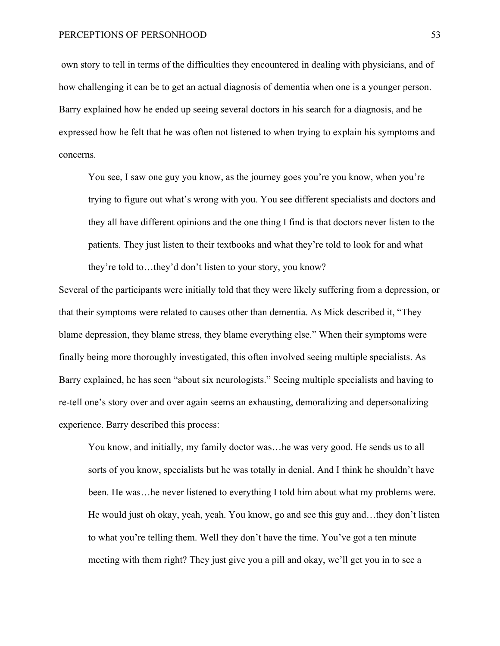own story to tell in terms of the difficulties they encountered in dealing with physicians, and of how challenging it can be to get an actual diagnosis of dementia when one is a younger person. Barry explained how he ended up seeing several doctors in his search for a diagnosis, and he expressed how he felt that he was often not listened to when trying to explain his symptoms and concerns.

You see, I saw one guy you know, as the journey goes you're you know, when you're trying to figure out what's wrong with you. You see different specialists and doctors and they all have different opinions and the one thing I find is that doctors never listen to the patients. They just listen to their textbooks and what they're told to look for and what they're told to…they'd don't listen to your story, you know?

Several of the participants were initially told that they were likely suffering from a depression, or that their symptoms were related to causes other than dementia. As Mick described it, "They blame depression, they blame stress, they blame everything else." When their symptoms were finally being more thoroughly investigated, this often involved seeing multiple specialists. As Barry explained, he has seen "about six neurologists." Seeing multiple specialists and having to re-tell one's story over and over again seems an exhausting, demoralizing and depersonalizing experience. Barry described this process:

You know, and initially, my family doctor was…he was very good. He sends us to all sorts of you know, specialists but he was totally in denial. And I think he shouldn't have been. He was…he never listened to everything I told him about what my problems were. He would just oh okay, yeah, yeah. You know, go and see this guy and…they don't listen to what you're telling them. Well they don't have the time. You've got a ten minute meeting with them right? They just give you a pill and okay, we'll get you in to see a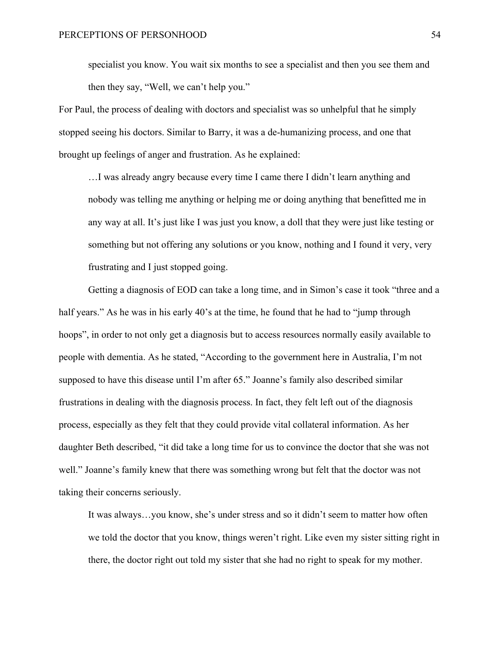specialist you know. You wait six months to see a specialist and then you see them and then they say, "Well, we can't help you."

For Paul, the process of dealing with doctors and specialist was so unhelpful that he simply stopped seeing his doctors. Similar to Barry, it was a de-humanizing process, and one that brought up feelings of anger and frustration. As he explained:

…I was already angry because every time I came there I didn't learn anything and nobody was telling me anything or helping me or doing anything that benefitted me in any way at all. It's just like I was just you know, a doll that they were just like testing or something but not offering any solutions or you know, nothing and I found it very, very frustrating and I just stopped going.

Getting a diagnosis of EOD can take a long time, and in Simon's case it took "three and a half years." As he was in his early 40's at the time, he found that he had to "jump through hoops", in order to not only get a diagnosis but to access resources normally easily available to people with dementia. As he stated, "According to the government here in Australia, I'm not supposed to have this disease until I'm after 65." Joanne's family also described similar frustrations in dealing with the diagnosis process. In fact, they felt left out of the diagnosis process, especially as they felt that they could provide vital collateral information. As her daughter Beth described, "it did take a long time for us to convince the doctor that she was not well." Joanne's family knew that there was something wrong but felt that the doctor was not taking their concerns seriously.

It was always…you know, she's under stress and so it didn't seem to matter how often we told the doctor that you know, things weren't right. Like even my sister sitting right in there, the doctor right out told my sister that she had no right to speak for my mother.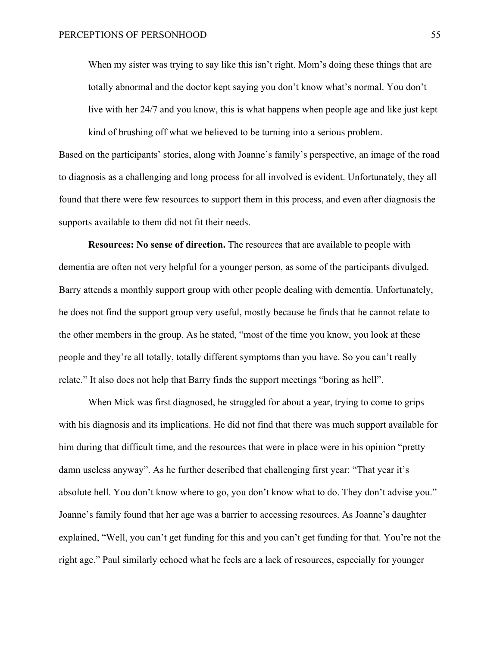When my sister was trying to say like this isn't right. Mom's doing these things that are totally abnormal and the doctor kept saying you don't know what's normal. You don't live with her 24/7 and you know, this is what happens when people age and like just kept

Based on the participants' stories, along with Joanne's family's perspective, an image of the road to diagnosis as a challenging and long process for all involved is evident. Unfortunately, they all found that there were few resources to support them in this process, and even after diagnosis the supports available to them did not fit their needs.

kind of brushing off what we believed to be turning into a serious problem.

**Resources: No sense of direction.** The resources that are available to people with dementia are often not very helpful for a younger person, as some of the participants divulged. Barry attends a monthly support group with other people dealing with dementia. Unfortunately, he does not find the support group very useful, mostly because he finds that he cannot relate to the other members in the group. As he stated, "most of the time you know, you look at these people and they're all totally, totally different symptoms than you have. So you can't really relate." It also does not help that Barry finds the support meetings "boring as hell".

When Mick was first diagnosed, he struggled for about a year, trying to come to grips with his diagnosis and its implications. He did not find that there was much support available for him during that difficult time, and the resources that were in place were in his opinion "pretty damn useless anyway". As he further described that challenging first year: "That year it's absolute hell. You don't know where to go, you don't know what to do. They don't advise you." Joanne's family found that her age was a barrier to accessing resources. As Joanne's daughter explained, "Well, you can't get funding for this and you can't get funding for that. You're not the right age." Paul similarly echoed what he feels are a lack of resources, especially for younger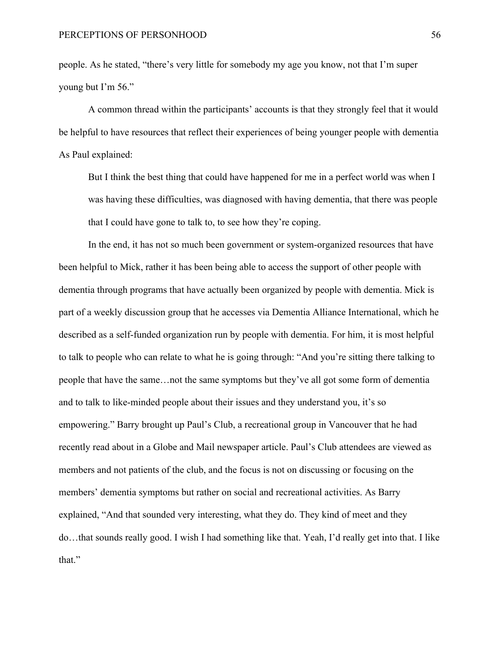people. As he stated, "there's very little for somebody my age you know, not that I'm super young but I'm 56."

A common thread within the participants' accounts is that they strongly feel that it would be helpful to have resources that reflect their experiences of being younger people with dementia As Paul explained:

But I think the best thing that could have happened for me in a perfect world was when I was having these difficulties, was diagnosed with having dementia, that there was people that I could have gone to talk to, to see how they're coping.

In the end, it has not so much been government or system-organized resources that have been helpful to Mick, rather it has been being able to access the support of other people with dementia through programs that have actually been organized by people with dementia. Mick is part of a weekly discussion group that he accesses via Dementia Alliance International, which he described as a self-funded organization run by people with dementia. For him, it is most helpful to talk to people who can relate to what he is going through: "And you're sitting there talking to people that have the same…not the same symptoms but they've all got some form of dementia and to talk to like-minded people about their issues and they understand you, it's so empowering." Barry brought up Paul's Club, a recreational group in Vancouver that he had recently read about in a Globe and Mail newspaper article. Paul's Club attendees are viewed as members and not patients of the club, and the focus is not on discussing or focusing on the members' dementia symptoms but rather on social and recreational activities. As Barry explained, "And that sounded very interesting, what they do. They kind of meet and they do…that sounds really good. I wish I had something like that. Yeah, I'd really get into that. I like that."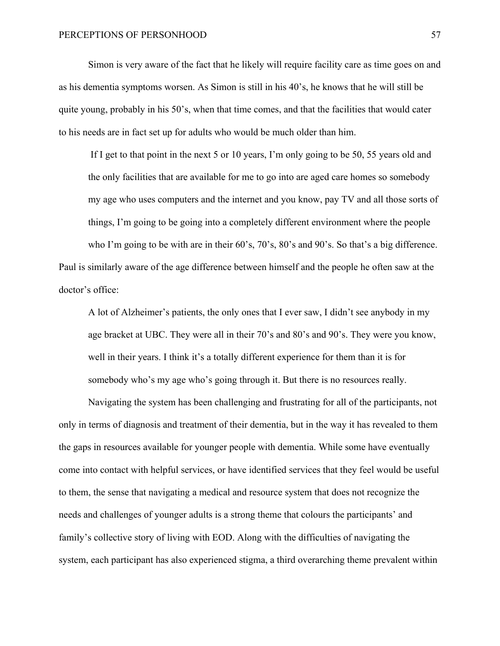Simon is very aware of the fact that he likely will require facility care as time goes on and as his dementia symptoms worsen. As Simon is still in his 40's, he knows that he will still be quite young, probably in his 50's, when that time comes, and that the facilities that would cater to his needs are in fact set up for adults who would be much older than him.

If I get to that point in the next 5 or 10 years, I'm only going to be 50, 55 years old and the only facilities that are available for me to go into are aged care homes so somebody my age who uses computers and the internet and you know, pay TV and all those sorts of things, I'm going to be going into a completely different environment where the people

who I'm going to be with are in their 60's, 70's, 80's and 90's. So that's a big difference. Paul is similarly aware of the age difference between himself and the people he often saw at the doctor's office:

A lot of Alzheimer's patients, the only ones that I ever saw, I didn't see anybody in my age bracket at UBC. They were all in their 70's and 80's and 90's. They were you know, well in their years. I think it's a totally different experience for them than it is for somebody who's my age who's going through it. But there is no resources really.

Navigating the system has been challenging and frustrating for all of the participants, not only in terms of diagnosis and treatment of their dementia, but in the way it has revealed to them the gaps in resources available for younger people with dementia. While some have eventually come into contact with helpful services, or have identified services that they feel would be useful to them, the sense that navigating a medical and resource system that does not recognize the needs and challenges of younger adults is a strong theme that colours the participants' and family's collective story of living with EOD. Along with the difficulties of navigating the system, each participant has also experienced stigma, a third overarching theme prevalent within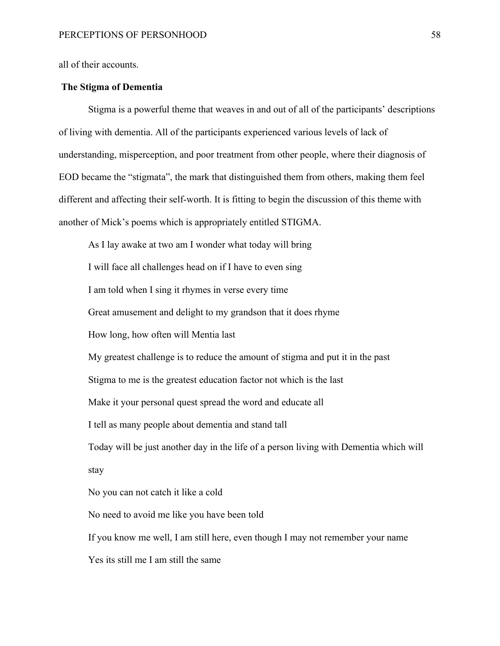all of their accounts.

## **The Stigma of Dementia**

Stigma is a powerful theme that weaves in and out of all of the participants' descriptions of living with dementia. All of the participants experienced various levels of lack of understanding, misperception, and poor treatment from other people, where their diagnosis of EOD became the "stigmata", the mark that distinguished them from others, making them feel different and affecting their self-worth. It is fitting to begin the discussion of this theme with another of Mick's poems which is appropriately entitled STIGMA.

As I lay awake at two am I wonder what today will bring I will face all challenges head on if I have to even sing I am told when I sing it rhymes in verse every time Great amusement and delight to my grandson that it does rhyme How long, how often will Mentia last My greatest challenge is to reduce the amount of stigma and put it in the past Stigma to me is the greatest education factor not which is the last Make it your personal quest spread the word and educate all I tell as many people about dementia and stand tall Today will be just another day in the life of a person living with Dementia which will stay No you can not catch it like a cold No need to avoid me like you have been told If you know me well, I am still here, even though I may not remember your name Yes its still me I am still the same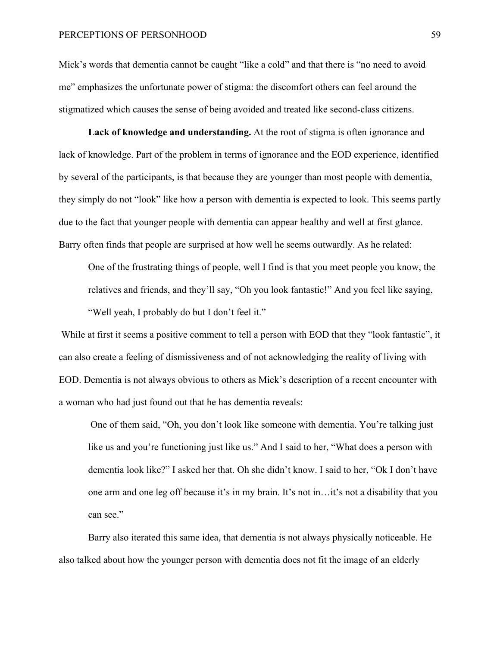Mick's words that dementia cannot be caught "like a cold" and that there is "no need to avoid me" emphasizes the unfortunate power of stigma: the discomfort others can feel around the stigmatized which causes the sense of being avoided and treated like second-class citizens.

**Lack of knowledge and understanding.** At the root of stigma is often ignorance and lack of knowledge. Part of the problem in terms of ignorance and the EOD experience, identified by several of the participants, is that because they are younger than most people with dementia, they simply do not "look" like how a person with dementia is expected to look. This seems partly due to the fact that younger people with dementia can appear healthy and well at first glance. Barry often finds that people are surprised at how well he seems outwardly. As he related:

One of the frustrating things of people, well I find is that you meet people you know, the relatives and friends, and they'll say, "Oh you look fantastic!" And you feel like saying, "Well yeah, I probably do but I don't feel it."

While at first it seems a positive comment to tell a person with EOD that they "look fantastic", it can also create a feeling of dismissiveness and of not acknowledging the reality of living with EOD. Dementia is not always obvious to others as Mick's description of a recent encounter with a woman who had just found out that he has dementia reveals:

One of them said, "Oh, you don't look like someone with dementia. You're talking just like us and you're functioning just like us." And I said to her, "What does a person with dementia look like?" I asked her that. Oh she didn't know. I said to her, "Ok I don't have one arm and one leg off because it's in my brain. It's not in…it's not a disability that you can see."

Barry also iterated this same idea, that dementia is not always physically noticeable. He also talked about how the younger person with dementia does not fit the image of an elderly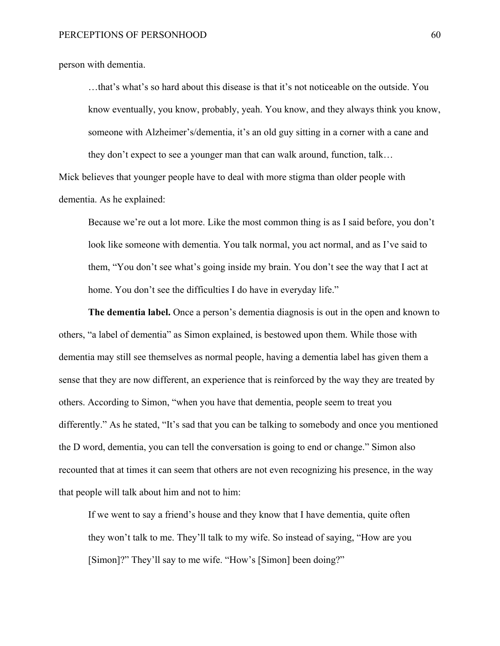person with dementia.

…that's what's so hard about this disease is that it's not noticeable on the outside. You know eventually, you know, probably, yeah. You know, and they always think you know, someone with Alzheimer's/dementia, it's an old guy sitting in a corner with a cane and they don't expect to see a younger man that can walk around, function, talk…

Mick believes that younger people have to deal with more stigma than older people with dementia. As he explained:

Because we're out a lot more. Like the most common thing is as I said before, you don't look like someone with dementia. You talk normal, you act normal, and as I've said to them, "You don't see what's going inside my brain. You don't see the way that I act at home. You don't see the difficulties I do have in everyday life."

**The dementia label.** Once a person's dementia diagnosis is out in the open and known to others, "a label of dementia" as Simon explained, is bestowed upon them. While those with dementia may still see themselves as normal people, having a dementia label has given them a sense that they are now different, an experience that is reinforced by the way they are treated by others. According to Simon, "when you have that dementia, people seem to treat you differently." As he stated, "It's sad that you can be talking to somebody and once you mentioned the D word, dementia, you can tell the conversation is going to end or change." Simon also recounted that at times it can seem that others are not even recognizing his presence, in the way that people will talk about him and not to him:

If we went to say a friend's house and they know that I have dementia, quite often they won't talk to me. They'll talk to my wife. So instead of saying, "How are you [Simon]?" They'll say to me wife. "How's [Simon] been doing?"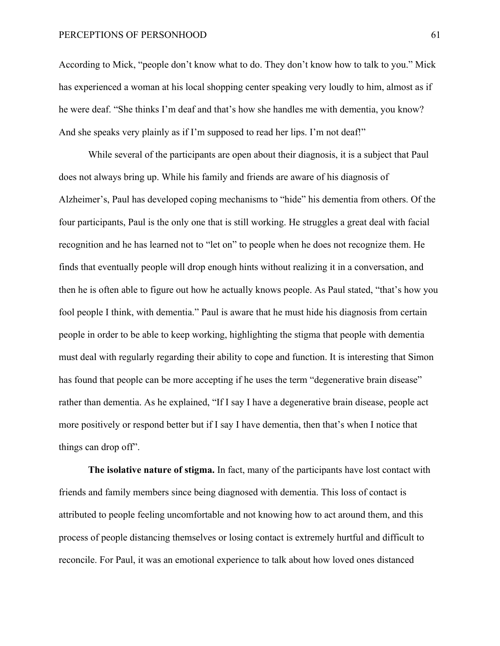According to Mick, "people don't know what to do. They don't know how to talk to you." Mick has experienced a woman at his local shopping center speaking very loudly to him, almost as if he were deaf. "She thinks I'm deaf and that's how she handles me with dementia, you know? And she speaks very plainly as if I'm supposed to read her lips. I'm not deaf!"

While several of the participants are open about their diagnosis, it is a subject that Paul does not always bring up. While his family and friends are aware of his diagnosis of Alzheimer's, Paul has developed coping mechanisms to "hide" his dementia from others. Of the four participants, Paul is the only one that is still working. He struggles a great deal with facial recognition and he has learned not to "let on" to people when he does not recognize them. He finds that eventually people will drop enough hints without realizing it in a conversation, and then he is often able to figure out how he actually knows people. As Paul stated, "that's how you fool people I think, with dementia." Paul is aware that he must hide his diagnosis from certain people in order to be able to keep working, highlighting the stigma that people with dementia must deal with regularly regarding their ability to cope and function. It is interesting that Simon has found that people can be more accepting if he uses the term "degenerative brain disease" rather than dementia. As he explained, "If I say I have a degenerative brain disease, people act more positively or respond better but if I say I have dementia, then that's when I notice that things can drop off".

**The isolative nature of stigma.** In fact, many of the participants have lost contact with friends and family members since being diagnosed with dementia. This loss of contact is attributed to people feeling uncomfortable and not knowing how to act around them, and this process of people distancing themselves or losing contact is extremely hurtful and difficult to reconcile. For Paul, it was an emotional experience to talk about how loved ones distanced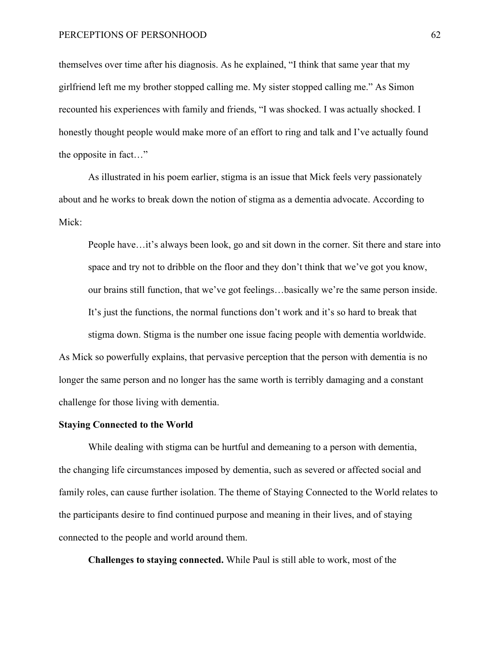themselves over time after his diagnosis. As he explained, "I think that same year that my girlfriend left me my brother stopped calling me. My sister stopped calling me." As Simon recounted his experiences with family and friends, "I was shocked. I was actually shocked. I honestly thought people would make more of an effort to ring and talk and I've actually found the opposite in fact…"

As illustrated in his poem earlier, stigma is an issue that Mick feels very passionately about and he works to break down the notion of stigma as a dementia advocate. According to Mick:

People have…it's always been look, go and sit down in the corner. Sit there and stare into space and try not to dribble on the floor and they don't think that we've got you know, our brains still function, that we've got feelings…basically we're the same person inside. It's just the functions, the normal functions don't work and it's so hard to break that stigma down. Stigma is the number one issue facing people with dementia worldwide.

As Mick so powerfully explains, that pervasive perception that the person with dementia is no longer the same person and no longer has the same worth is terribly damaging and a constant challenge for those living with dementia.

## **Staying Connected to the World**

While dealing with stigma can be hurtful and demeaning to a person with dementia, the changing life circumstances imposed by dementia, such as severed or affected social and family roles, can cause further isolation. The theme of Staying Connected to the World relates to the participants desire to find continued purpose and meaning in their lives, and of staying connected to the people and world around them.

**Challenges to staying connected.** While Paul is still able to work, most of the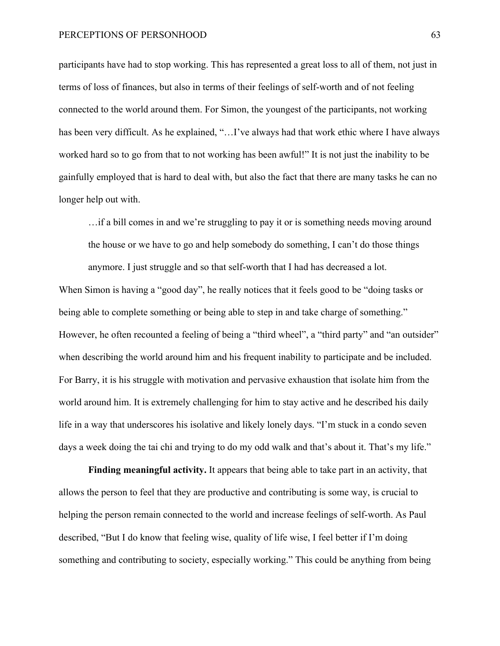participants have had to stop working. This has represented a great loss to all of them, not just in terms of loss of finances, but also in terms of their feelings of self-worth and of not feeling connected to the world around them. For Simon, the youngest of the participants, not working has been very difficult. As he explained, "...I've always had that work ethic where I have always worked hard so to go from that to not working has been awful!" It is not just the inability to be gainfully employed that is hard to deal with, but also the fact that there are many tasks he can no longer help out with.

…if a bill comes in and we're struggling to pay it or is something needs moving around the house or we have to go and help somebody do something, I can't do those things anymore. I just struggle and so that self-worth that I had has decreased a lot.

When Simon is having a "good day", he really notices that it feels good to be "doing tasks or being able to complete something or being able to step in and take charge of something." However, he often recounted a feeling of being a "third wheel", a "third party" and "an outsider" when describing the world around him and his frequent inability to participate and be included. For Barry, it is his struggle with motivation and pervasive exhaustion that isolate him from the world around him. It is extremely challenging for him to stay active and he described his daily life in a way that underscores his isolative and likely lonely days. "I'm stuck in a condo seven days a week doing the tai chi and trying to do my odd walk and that's about it. That's my life."

**Finding meaningful activity.** It appears that being able to take part in an activity, that allows the person to feel that they are productive and contributing is some way, is crucial to helping the person remain connected to the world and increase feelings of self-worth. As Paul described, "But I do know that feeling wise, quality of life wise, I feel better if I'm doing something and contributing to society, especially working." This could be anything from being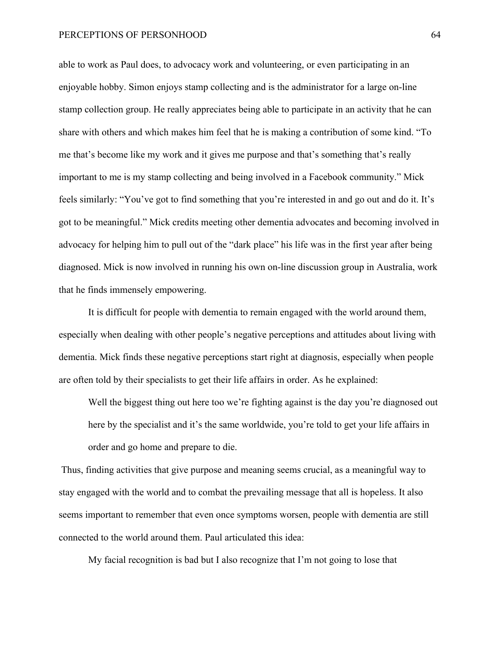able to work as Paul does, to advocacy work and volunteering, or even participating in an enjoyable hobby. Simon enjoys stamp collecting and is the administrator for a large on-line stamp collection group. He really appreciates being able to participate in an activity that he can share with others and which makes him feel that he is making a contribution of some kind. "To me that's become like my work and it gives me purpose and that's something that's really important to me is my stamp collecting and being involved in a Facebook community." Mick feels similarly: "You've got to find something that you're interested in and go out and do it. It's got to be meaningful." Mick credits meeting other dementia advocates and becoming involved in advocacy for helping him to pull out of the "dark place" his life was in the first year after being diagnosed. Mick is now involved in running his own on-line discussion group in Australia, work that he finds immensely empowering.

It is difficult for people with dementia to remain engaged with the world around them, especially when dealing with other people's negative perceptions and attitudes about living with dementia. Mick finds these negative perceptions start right at diagnosis, especially when people are often told by their specialists to get their life affairs in order. As he explained:

Well the biggest thing out here too we're fighting against is the day you're diagnosed out here by the specialist and it's the same worldwide, you're told to get your life affairs in order and go home and prepare to die.

Thus, finding activities that give purpose and meaning seems crucial, as a meaningful way to stay engaged with the world and to combat the prevailing message that all is hopeless. It also seems important to remember that even once symptoms worsen, people with dementia are still connected to the world around them. Paul articulated this idea:

My facial recognition is bad but I also recognize that I'm not going to lose that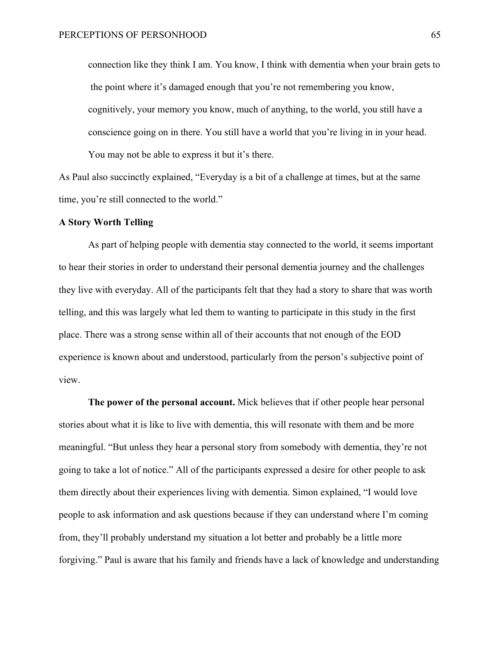connection like they think I am. You know, I think with dementia when your brain gets to the point where it's damaged enough that you're not remembering you know, cognitively, your memory you know, much of anything, to the world, you still have a conscience going on in there. You still have a world that you're living in in your head. You may not be able to express it but it's there.

As Paul also succinctly explained, "Everyday is a bit of a challenge at times, but at the same time, you're still connected to the world."

#### **A Story Worth Telling**

As part of helping people with dementia stay connected to the world, it seems important to hear their stories in order to understand their personal dementia journey and the challenges they live with everyday. All of the participants felt that they had a story to share that was worth telling, and this was largely what led them to wanting to participate in this study in the first place. There was a strong sense within all of their accounts that not enough of the EOD experience is known about and understood, particularly from the person's subjective point of view.

**The power of the personal account.** Mick believes that if other people hear personal stories about what it is like to live with dementia, this will resonate with them and be more meaningful. "But unless they hear a personal story from somebody with dementia, they're not going to take a lot of notice." All of the participants expressed a desire for other people to ask them directly about their experiences living with dementia. Simon explained, "I would love people to ask information and ask questions because if they can understand where I'm coming from, they'll probably understand my situation a lot better and probably be a little more forgiving." Paul is aware that his family and friends have a lack of knowledge and understanding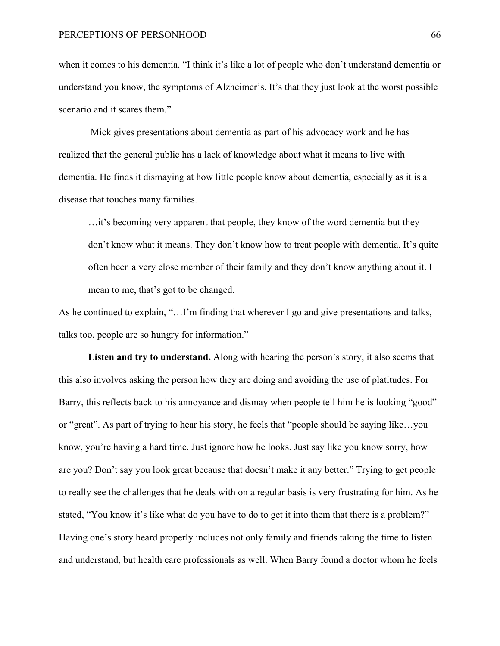when it comes to his dementia. "I think it's like a lot of people who don't understand dementia or understand you know, the symptoms of Alzheimer's. It's that they just look at the worst possible scenario and it scares them."

Mick gives presentations about dementia as part of his advocacy work and he has realized that the general public has a lack of knowledge about what it means to live with dementia. He finds it dismaying at how little people know about dementia, especially as it is a disease that touches many families.

…it's becoming very apparent that people, they know of the word dementia but they don't know what it means. They don't know how to treat people with dementia. It's quite often been a very close member of their family and they don't know anything about it. I mean to me, that's got to be changed.

As he continued to explain, "…I'm finding that wherever I go and give presentations and talks, talks too, people are so hungry for information."

**Listen and try to understand.** Along with hearing the person's story, it also seems that this also involves asking the person how they are doing and avoiding the use of platitudes. For Barry, this reflects back to his annoyance and dismay when people tell him he is looking "good" or "great". As part of trying to hear his story, he feels that "people should be saying like…you know, you're having a hard time. Just ignore how he looks. Just say like you know sorry, how are you? Don't say you look great because that doesn't make it any better." Trying to get people to really see the challenges that he deals with on a regular basis is very frustrating for him. As he stated, "You know it's like what do you have to do to get it into them that there is a problem?" Having one's story heard properly includes not only family and friends taking the time to listen and understand, but health care professionals as well. When Barry found a doctor whom he feels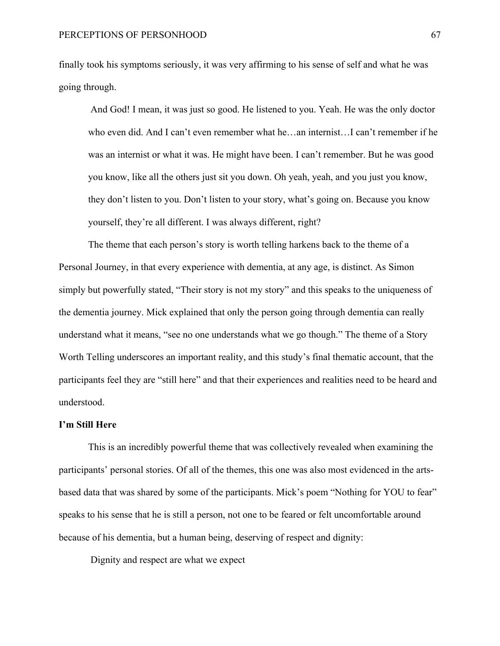finally took his symptoms seriously, it was very affirming to his sense of self and what he was going through.

And God! I mean, it was just so good. He listened to you. Yeah. He was the only doctor who even did. And I can't even remember what he…an internist…I can't remember if he was an internist or what it was. He might have been. I can't remember. But he was good you know, like all the others just sit you down. Oh yeah, yeah, and you just you know, they don't listen to you. Don't listen to your story, what's going on. Because you know yourself, they're all different. I was always different, right?

The theme that each person's story is worth telling harkens back to the theme of a Personal Journey, in that every experience with dementia, at any age, is distinct. As Simon simply but powerfully stated, "Their story is not my story" and this speaks to the uniqueness of the dementia journey. Mick explained that only the person going through dementia can really understand what it means, "see no one understands what we go though." The theme of a Story Worth Telling underscores an important reality, and this study's final thematic account, that the participants feel they are "still here" and that their experiences and realities need to be heard and understood.

#### **I'm Still Here**

This is an incredibly powerful theme that was collectively revealed when examining the participants' personal stories. Of all of the themes, this one was also most evidenced in the artsbased data that was shared by some of the participants. Mick's poem "Nothing for YOU to fear" speaks to his sense that he is still a person, not one to be feared or felt uncomfortable around because of his dementia, but a human being, deserving of respect and dignity:

Dignity and respect are what we expect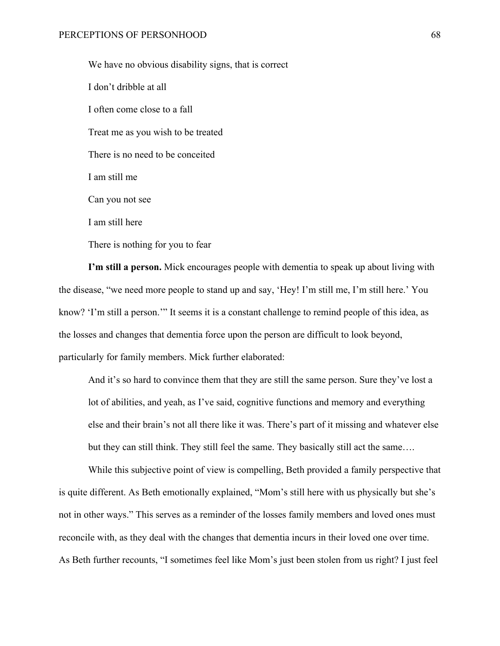We have no obvious disability signs, that is correct I don't dribble at all I often come close to a fall Treat me as you wish to be treated There is no need to be conceited I am still me Can you not see I am still here There is nothing for you to fear

**I'm still a person.** Mick encourages people with dementia to speak up about living with the disease, "we need more people to stand up and say, 'Hey! I'm still me, I'm still here.' You know? 'I'm still a person.'" It seems it is a constant challenge to remind people of this idea, as the losses and changes that dementia force upon the person are difficult to look beyond, particularly for family members. Mick further elaborated:

And it's so hard to convince them that they are still the same person. Sure they've lost a lot of abilities, and yeah, as I've said, cognitive functions and memory and everything else and their brain's not all there like it was. There's part of it missing and whatever else but they can still think. They still feel the same. They basically still act the same….

While this subjective point of view is compelling, Beth provided a family perspective that is quite different. As Beth emotionally explained, "Mom's still here with us physically but she's not in other ways." This serves as a reminder of the losses family members and loved ones must reconcile with, as they deal with the changes that dementia incurs in their loved one over time. As Beth further recounts, "I sometimes feel like Mom's just been stolen from us right? I just feel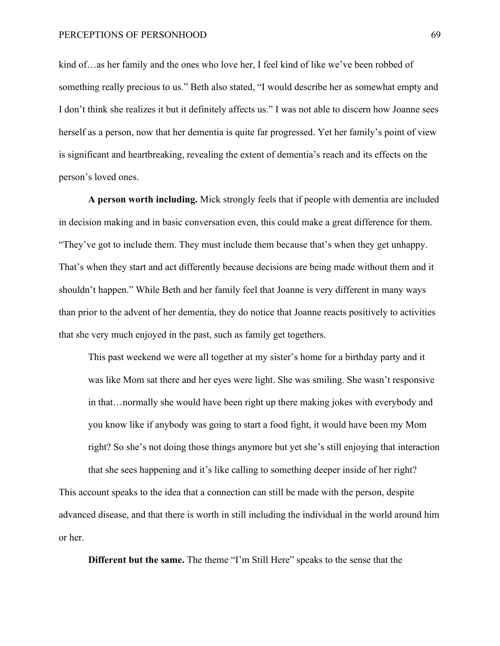#### PERCEPTIONS OF PERSONHOOD 69

kind of…as her family and the ones who love her, I feel kind of like we've been robbed of something really precious to us." Beth also stated, "I would describe her as somewhat empty and I don't think she realizes it but it definitely affects us." I was not able to discern how Joanne sees herself as a person, now that her dementia is quite far progressed. Yet her family's point of view is significant and heartbreaking, revealing the extent of dementia's reach and its effects on the person's loved ones.

**A person worth including.** Mick strongly feels that if people with dementia are included in decision making and in basic conversation even, this could make a great difference for them. "They've got to include them. They must include them because that's when they get unhappy. That's when they start and act differently because decisions are being made without them and it shouldn't happen." While Beth and her family feel that Joanne is very different in many ways than prior to the advent of her dementia, they do notice that Joanne reacts positively to activities that she very much enjoyed in the past, such as family get togethers.

This past weekend we were all together at my sister's home for a birthday party and it was like Mom sat there and her eyes were light. She was smiling. She wasn't responsive in that…normally she would have been right up there making jokes with everybody and you know like if anybody was going to start a food fight, it would have been my Mom right? So she's not doing those things anymore but yet she's still enjoying that interaction that she sees happening and it's like calling to something deeper inside of her right?

This account speaks to the idea that a connection can still be made with the person, despite advanced disease, and that there is worth in still including the individual in the world around him or her.

**Different but the same.** The theme "I'm Still Here" speaks to the sense that the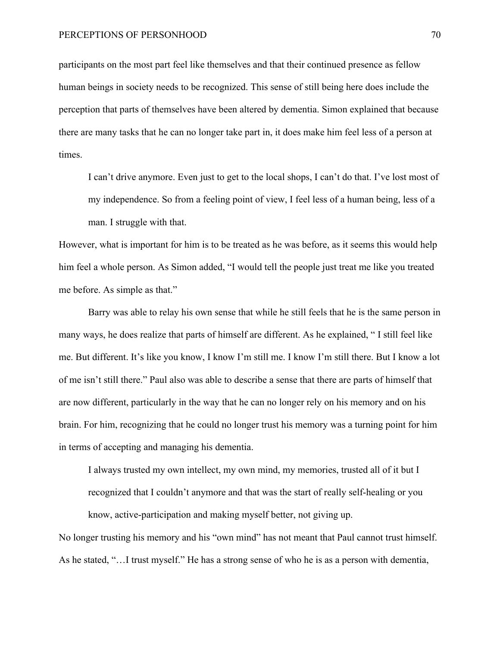participants on the most part feel like themselves and that their continued presence as fellow human beings in society needs to be recognized. This sense of still being here does include the perception that parts of themselves have been altered by dementia. Simon explained that because there are many tasks that he can no longer take part in, it does make him feel less of a person at times.

I can't drive anymore. Even just to get to the local shops, I can't do that. I've lost most of my independence. So from a feeling point of view, I feel less of a human being, less of a man. I struggle with that.

However, what is important for him is to be treated as he was before, as it seems this would help him feel a whole person. As Simon added, "I would tell the people just treat me like you treated me before. As simple as that."

Barry was able to relay his own sense that while he still feels that he is the same person in many ways, he does realize that parts of himself are different. As he explained, " I still feel like me. But different. It's like you know, I know I'm still me. I know I'm still there. But I know a lot of me isn't still there." Paul also was able to describe a sense that there are parts of himself that are now different, particularly in the way that he can no longer rely on his memory and on his brain. For him, recognizing that he could no longer trust his memory was a turning point for him in terms of accepting and managing his dementia.

I always trusted my own intellect, my own mind, my memories, trusted all of it but I recognized that I couldn't anymore and that was the start of really self-healing or you know, active-participation and making myself better, not giving up.

No longer trusting his memory and his "own mind" has not meant that Paul cannot trust himself. As he stated, "…I trust myself." He has a strong sense of who he is as a person with dementia,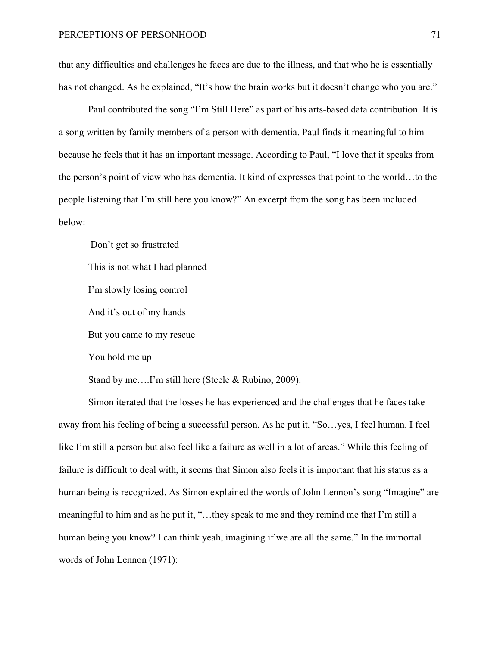that any difficulties and challenges he faces are due to the illness, and that who he is essentially has not changed. As he explained, "It's how the brain works but it doesn't change who you are."

Paul contributed the song "I'm Still Here" as part of his arts-based data contribution. It is a song written by family members of a person with dementia. Paul finds it meaningful to him because he feels that it has an important message. According to Paul, "I love that it speaks from the person's point of view who has dementia. It kind of expresses that point to the world…to the people listening that I'm still here you know?" An excerpt from the song has been included below:

Don't get so frustrated This is not what I had planned I'm slowly losing control And it's out of my hands But you came to my rescue

You hold me up

Stand by me….I'm still here (Steele & Rubino, 2009).

Simon iterated that the losses he has experienced and the challenges that he faces take away from his feeling of being a successful person. As he put it, "So…yes, I feel human. I feel like I'm still a person but also feel like a failure as well in a lot of areas." While this feeling of failure is difficult to deal with, it seems that Simon also feels it is important that his status as a human being is recognized. As Simon explained the words of John Lennon's song "Imagine" are meaningful to him and as he put it, "…they speak to me and they remind me that I'm still a human being you know? I can think yeah, imagining if we are all the same." In the immortal words of John Lennon (1971):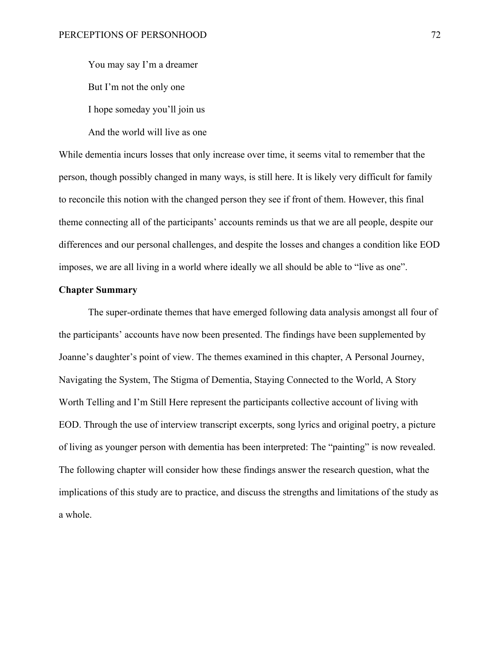You may say I'm a dreamer But I'm not the only one I hope someday you'll join us And the world will live as one

While dementia incurs losses that only increase over time, it seems vital to remember that the person, though possibly changed in many ways, is still here. It is likely very difficult for family to reconcile this notion with the changed person they see if front of them. However, this final theme connecting all of the participants' accounts reminds us that we are all people, despite our differences and our personal challenges, and despite the losses and changes a condition like EOD imposes, we are all living in a world where ideally we all should be able to "live as one".

# **Chapter Summary**

The super-ordinate themes that have emerged following data analysis amongst all four of the participants' accounts have now been presented. The findings have been supplemented by Joanne's daughter's point of view. The themes examined in this chapter, A Personal Journey, Navigating the System, The Stigma of Dementia, Staying Connected to the World, A Story Worth Telling and I'm Still Here represent the participants collective account of living with EOD. Through the use of interview transcript excerpts, song lyrics and original poetry, a picture of living as younger person with dementia has been interpreted: The "painting" is now revealed. The following chapter will consider how these findings answer the research question, what the implications of this study are to practice, and discuss the strengths and limitations of the study as a whole.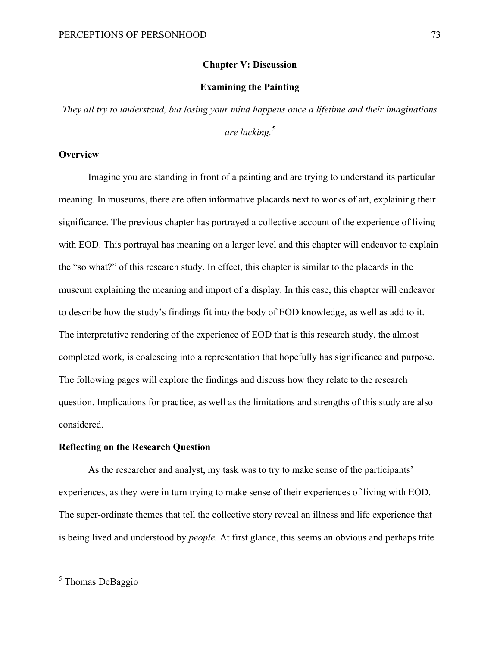### **Chapter V: Discussion**

# **Examining the Painting**

*They all try to understand, but losing your mind happens once a lifetime and their imaginations* 

*are lacking.5*

# **Overview**

Imagine you are standing in front of a painting and are trying to understand its particular meaning. In museums, there are often informative placards next to works of art, explaining their significance. The previous chapter has portrayed a collective account of the experience of living with EOD. This portrayal has meaning on a larger level and this chapter will endeavor to explain the "so what?" of this research study. In effect, this chapter is similar to the placards in the museum explaining the meaning and import of a display. In this case, this chapter will endeavor to describe how the study's findings fit into the body of EOD knowledge, as well as add to it. The interpretative rendering of the experience of EOD that is this research study, the almost completed work, is coalescing into a representation that hopefully has significance and purpose. The following pages will explore the findings and discuss how they relate to the research question. Implications for practice, as well as the limitations and strengths of this study are also considered.

#### **Reflecting on the Research Question**

As the researcher and analyst, my task was to try to make sense of the participants' experiences, as they were in turn trying to make sense of their experiences of living with EOD. The super-ordinate themes that tell the collective story reveal an illness and life experience that is being lived and understood by *people.* At first glance, this seems an obvious and perhaps trite

 <sup>5</sup> Thomas DeBaggio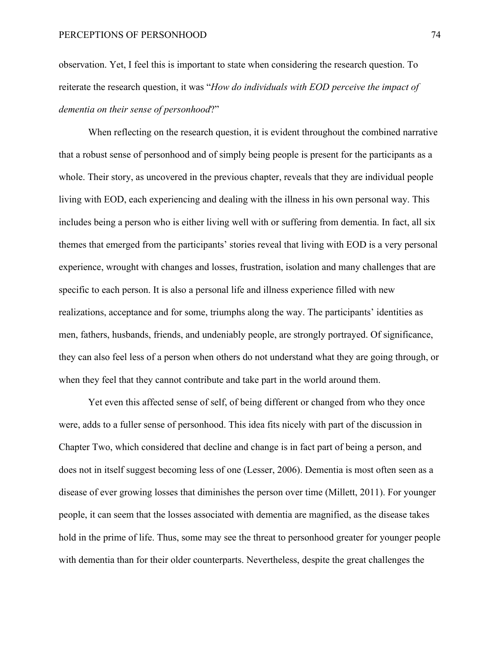observation. Yet, I feel this is important to state when considering the research question. To reiterate the research question, it was "*How do individuals with EOD perceive the impact of dementia on their sense of personhood*?"

When reflecting on the research question, it is evident throughout the combined narrative that a robust sense of personhood and of simply being people is present for the participants as a whole. Their story, as uncovered in the previous chapter, reveals that they are individual people living with EOD, each experiencing and dealing with the illness in his own personal way. This includes being a person who is either living well with or suffering from dementia. In fact, all six themes that emerged from the participants' stories reveal that living with EOD is a very personal experience, wrought with changes and losses, frustration, isolation and many challenges that are specific to each person. It is also a personal life and illness experience filled with new realizations, acceptance and for some, triumphs along the way. The participants' identities as men, fathers, husbands, friends, and undeniably people, are strongly portrayed. Of significance, they can also feel less of a person when others do not understand what they are going through, or when they feel that they cannot contribute and take part in the world around them.

Yet even this affected sense of self, of being different or changed from who they once were, adds to a fuller sense of personhood. This idea fits nicely with part of the discussion in Chapter Two, which considered that decline and change is in fact part of being a person, and does not in itself suggest becoming less of one (Lesser, 2006). Dementia is most often seen as a disease of ever growing losses that diminishes the person over time (Millett, 2011). For younger people, it can seem that the losses associated with dementia are magnified, as the disease takes hold in the prime of life. Thus, some may see the threat to personhood greater for younger people with dementia than for their older counterparts. Nevertheless, despite the great challenges the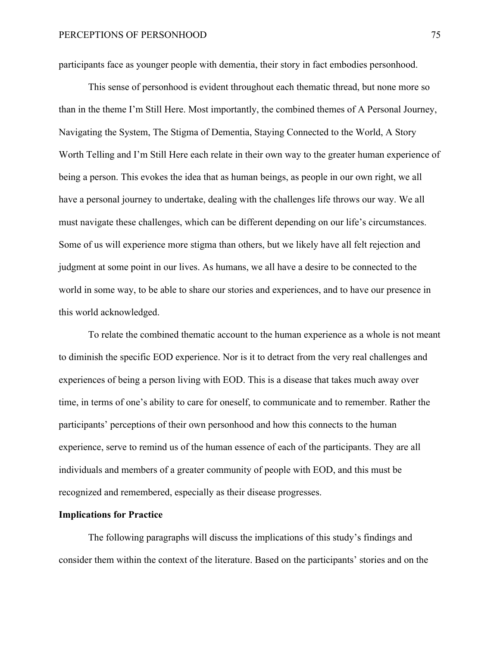participants face as younger people with dementia, their story in fact embodies personhood.

This sense of personhood is evident throughout each thematic thread, but none more so than in the theme I'm Still Here. Most importantly, the combined themes of A Personal Journey, Navigating the System, The Stigma of Dementia, Staying Connected to the World, A Story Worth Telling and I'm Still Here each relate in their own way to the greater human experience of being a person. This evokes the idea that as human beings, as people in our own right, we all have a personal journey to undertake, dealing with the challenges life throws our way. We all must navigate these challenges, which can be different depending on our life's circumstances. Some of us will experience more stigma than others, but we likely have all felt rejection and judgment at some point in our lives. As humans, we all have a desire to be connected to the world in some way, to be able to share our stories and experiences, and to have our presence in this world acknowledged.

To relate the combined thematic account to the human experience as a whole is not meant to diminish the specific EOD experience. Nor is it to detract from the very real challenges and experiences of being a person living with EOD. This is a disease that takes much away over time, in terms of one's ability to care for oneself, to communicate and to remember. Rather the participants' perceptions of their own personhood and how this connects to the human experience, serve to remind us of the human essence of each of the participants. They are all individuals and members of a greater community of people with EOD, and this must be recognized and remembered, especially as their disease progresses.

# **Implications for Practice**

The following paragraphs will discuss the implications of this study's findings and consider them within the context of the literature. Based on the participants' stories and on the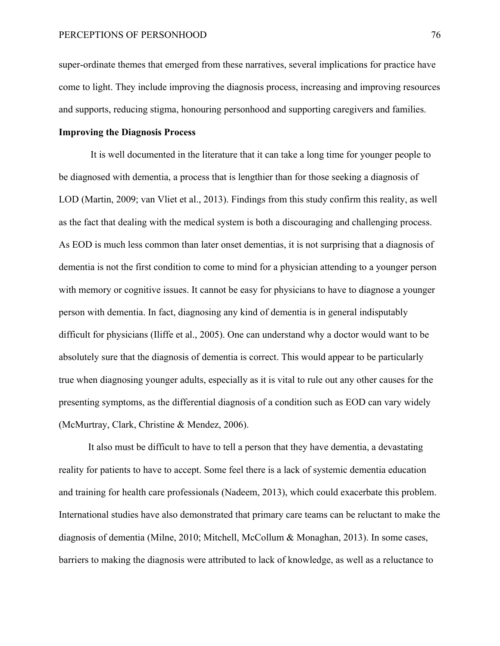super-ordinate themes that emerged from these narratives, several implications for practice have come to light. They include improving the diagnosis process, increasing and improving resources and supports, reducing stigma, honouring personhood and supporting caregivers and families.

# **Improving the Diagnosis Process**

It is well documented in the literature that it can take a long time for younger people to be diagnosed with dementia, a process that is lengthier than for those seeking a diagnosis of LOD (Martin, 2009; van Vliet et al., 2013). Findings from this study confirm this reality, as well as the fact that dealing with the medical system is both a discouraging and challenging process. As EOD is much less common than later onset dementias, it is not surprising that a diagnosis of dementia is not the first condition to come to mind for a physician attending to a younger person with memory or cognitive issues. It cannot be easy for physicians to have to diagnose a younger person with dementia. In fact, diagnosing any kind of dementia is in general indisputably difficult for physicians (Iliffe et al., 2005). One can understand why a doctor would want to be absolutely sure that the diagnosis of dementia is correct. This would appear to be particularly true when diagnosing younger adults, especially as it is vital to rule out any other causes for the presenting symptoms, as the differential diagnosis of a condition such as EOD can vary widely (McMurtray, Clark, Christine & Mendez, 2006).

It also must be difficult to have to tell a person that they have dementia, a devastating reality for patients to have to accept. Some feel there is a lack of systemic dementia education and training for health care professionals (Nadeem, 2013), which could exacerbate this problem. International studies have also demonstrated that primary care teams can be reluctant to make the diagnosis of dementia (Milne, 2010; Mitchell, McCollum & Monaghan, 2013). In some cases, barriers to making the diagnosis were attributed to lack of knowledge, as well as a reluctance to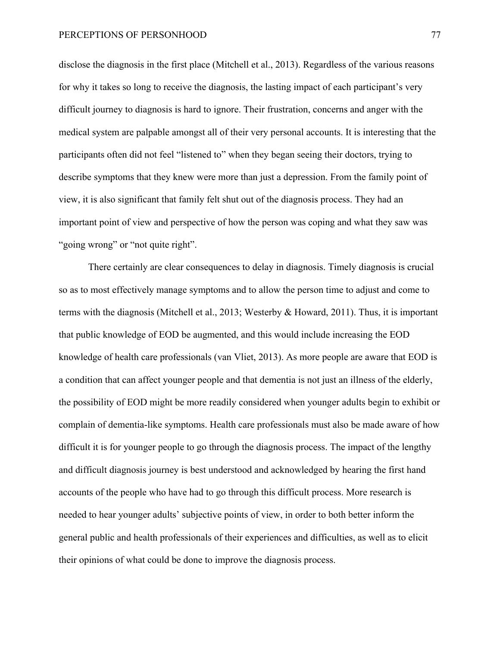disclose the diagnosis in the first place (Mitchell et al., 2013). Regardless of the various reasons for why it takes so long to receive the diagnosis, the lasting impact of each participant's very difficult journey to diagnosis is hard to ignore. Their frustration, concerns and anger with the medical system are palpable amongst all of their very personal accounts. It is interesting that the participants often did not feel "listened to" when they began seeing their doctors, trying to describe symptoms that they knew were more than just a depression. From the family point of view, it is also significant that family felt shut out of the diagnosis process. They had an important point of view and perspective of how the person was coping and what they saw was "going wrong" or "not quite right".

There certainly are clear consequences to delay in diagnosis. Timely diagnosis is crucial so as to most effectively manage symptoms and to allow the person time to adjust and come to terms with the diagnosis (Mitchell et al., 2013; Westerby & Howard, 2011). Thus, it is important that public knowledge of EOD be augmented, and this would include increasing the EOD knowledge of health care professionals (van Vliet, 2013). As more people are aware that EOD is a condition that can affect younger people and that dementia is not just an illness of the elderly, the possibility of EOD might be more readily considered when younger adults begin to exhibit or complain of dementia-like symptoms. Health care professionals must also be made aware of how difficult it is for younger people to go through the diagnosis process. The impact of the lengthy and difficult diagnosis journey is best understood and acknowledged by hearing the first hand accounts of the people who have had to go through this difficult process. More research is needed to hear younger adults' subjective points of view, in order to both better inform the general public and health professionals of their experiences and difficulties, as well as to elicit their opinions of what could be done to improve the diagnosis process.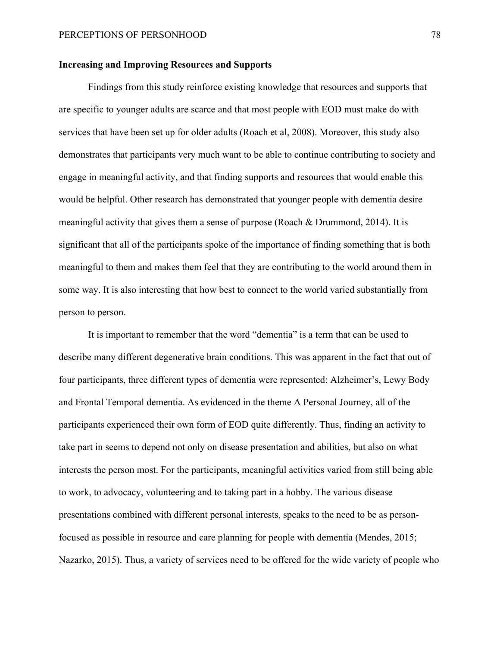### **Increasing and Improving Resources and Supports**

Findings from this study reinforce existing knowledge that resources and supports that are specific to younger adults are scarce and that most people with EOD must make do with services that have been set up for older adults (Roach et al, 2008). Moreover, this study also demonstrates that participants very much want to be able to continue contributing to society and engage in meaningful activity, and that finding supports and resources that would enable this would be helpful. Other research has demonstrated that younger people with dementia desire meaningful activity that gives them a sense of purpose (Roach & Drummond, 2014). It is significant that all of the participants spoke of the importance of finding something that is both meaningful to them and makes them feel that they are contributing to the world around them in some way. It is also interesting that how best to connect to the world varied substantially from person to person.

It is important to remember that the word "dementia" is a term that can be used to describe many different degenerative brain conditions. This was apparent in the fact that out of four participants, three different types of dementia were represented: Alzheimer's, Lewy Body and Frontal Temporal dementia. As evidenced in the theme A Personal Journey, all of the participants experienced their own form of EOD quite differently. Thus, finding an activity to take part in seems to depend not only on disease presentation and abilities, but also on what interests the person most. For the participants, meaningful activities varied from still being able to work, to advocacy, volunteering and to taking part in a hobby. The various disease presentations combined with different personal interests, speaks to the need to be as personfocused as possible in resource and care planning for people with dementia (Mendes, 2015; Nazarko, 2015). Thus, a variety of services need to be offered for the wide variety of people who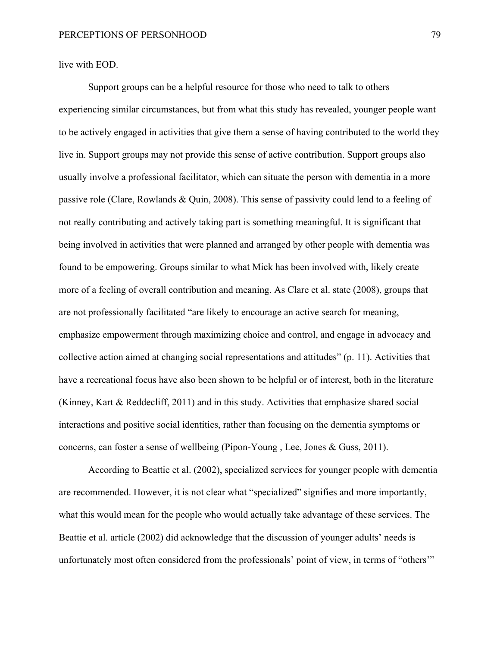live with EOD.

Support groups can be a helpful resource for those who need to talk to others experiencing similar circumstances, but from what this study has revealed, younger people want to be actively engaged in activities that give them a sense of having contributed to the world they live in. Support groups may not provide this sense of active contribution. Support groups also usually involve a professional facilitator, which can situate the person with dementia in a more passive role (Clare, Rowlands & Quin, 2008). This sense of passivity could lend to a feeling of not really contributing and actively taking part is something meaningful. It is significant that being involved in activities that were planned and arranged by other people with dementia was found to be empowering. Groups similar to what Mick has been involved with, likely create more of a feeling of overall contribution and meaning. As Clare et al. state (2008), groups that are not professionally facilitated "are likely to encourage an active search for meaning, emphasize empowerment through maximizing choice and control, and engage in advocacy and collective action aimed at changing social representations and attitudes" (p. 11). Activities that have a recreational focus have also been shown to be helpful or of interest, both in the literature (Kinney, Kart & Reddecliff, 2011) and in this study. Activities that emphasize shared social interactions and positive social identities, rather than focusing on the dementia symptoms or concerns, can foster a sense of wellbeing (Pipon-Young , Lee, Jones & Guss, 2011).

According to Beattie et al. (2002), specialized services for younger people with dementia are recommended. However, it is not clear what "specialized" signifies and more importantly, what this would mean for the people who would actually take advantage of these services. The Beattie et al. article (2002) did acknowledge that the discussion of younger adults' needs is unfortunately most often considered from the professionals' point of view, in terms of "others'"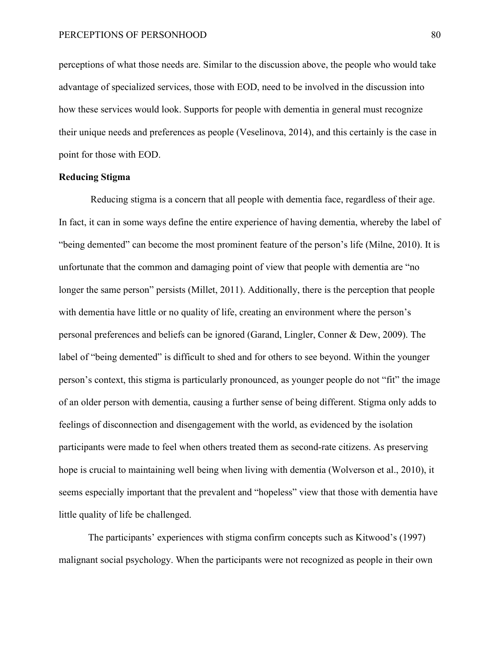perceptions of what those needs are. Similar to the discussion above, the people who would take advantage of specialized services, those with EOD, need to be involved in the discussion into how these services would look. Supports for people with dementia in general must recognize their unique needs and preferences as people (Veselinova, 2014), and this certainly is the case in point for those with EOD.

# **Reducing Stigma**

Reducing stigma is a concern that all people with dementia face, regardless of their age. In fact, it can in some ways define the entire experience of having dementia, whereby the label of "being demented" can become the most prominent feature of the person's life (Milne, 2010). It is unfortunate that the common and damaging point of view that people with dementia are "no longer the same person" persists (Millet, 2011). Additionally, there is the perception that people with dementia have little or no quality of life, creating an environment where the person's personal preferences and beliefs can be ignored (Garand, Lingler, Conner & Dew, 2009). The label of "being demented" is difficult to shed and for others to see beyond. Within the younger person's context, this stigma is particularly pronounced, as younger people do not "fit" the image of an older person with dementia, causing a further sense of being different. Stigma only adds to feelings of disconnection and disengagement with the world, as evidenced by the isolation participants were made to feel when others treated them as second-rate citizens. As preserving hope is crucial to maintaining well being when living with dementia (Wolverson et al., 2010), it seems especially important that the prevalent and "hopeless" view that those with dementia have little quality of life be challenged.

The participants' experiences with stigma confirm concepts such as Kitwood's (1997) malignant social psychology. When the participants were not recognized as people in their own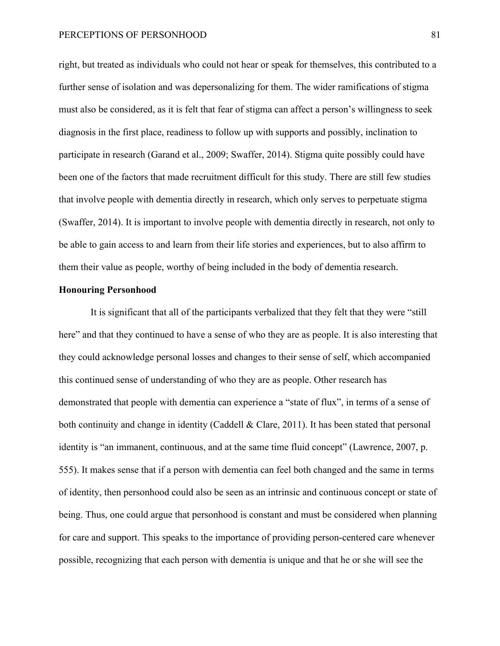#### PERCEPTIONS OF PERSONHOOD 81

right, but treated as individuals who could not hear or speak for themselves, this contributed to a further sense of isolation and was depersonalizing for them. The wider ramifications of stigma must also be considered, as it is felt that fear of stigma can affect a person's willingness to seek diagnosis in the first place, readiness to follow up with supports and possibly, inclination to participate in research (Garand et al., 2009; Swaffer, 2014). Stigma quite possibly could have been one of the factors that made recruitment difficult for this study. There are still few studies that involve people with dementia directly in research, which only serves to perpetuate stigma (Swaffer, 2014). It is important to involve people with dementia directly in research, not only to be able to gain access to and learn from their life stories and experiences, but to also affirm to them their value as people, worthy of being included in the body of dementia research.

# **Honouring Personhood**

It is significant that all of the participants verbalized that they felt that they were "still here" and that they continued to have a sense of who they are as people. It is also interesting that they could acknowledge personal losses and changes to their sense of self, which accompanied this continued sense of understanding of who they are as people. Other research has demonstrated that people with dementia can experience a "state of flux", in terms of a sense of both continuity and change in identity (Caddell & Clare, 2011). It has been stated that personal identity is "an immanent, continuous, and at the same time fluid concept" (Lawrence, 2007, p. 555). It makes sense that if a person with dementia can feel both changed and the same in terms of identity, then personhood could also be seen as an intrinsic and continuous concept or state of being. Thus, one could argue that personhood is constant and must be considered when planning for care and support. This speaks to the importance of providing person-centered care whenever possible, recognizing that each person with dementia is unique and that he or she will see the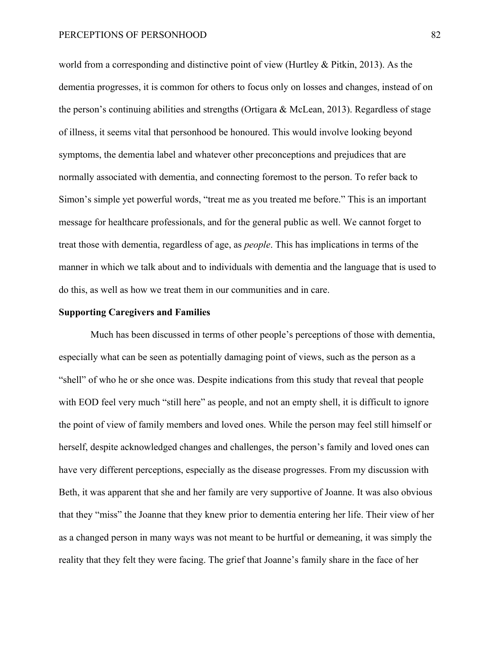#### PERCEPTIONS OF PERSONHOOD 82

world from a corresponding and distinctive point of view (Hurtley & Pitkin, 2013). As the dementia progresses, it is common for others to focus only on losses and changes, instead of on the person's continuing abilities and strengths (Ortigara  $\&$  McLean, 2013). Regardless of stage of illness, it seems vital that personhood be honoured. This would involve looking beyond symptoms, the dementia label and whatever other preconceptions and prejudices that are normally associated with dementia, and connecting foremost to the person. To refer back to Simon's simple yet powerful words, "treat me as you treated me before." This is an important message for healthcare professionals, and for the general public as well. We cannot forget to treat those with dementia, regardless of age, as *people*. This has implications in terms of the manner in which we talk about and to individuals with dementia and the language that is used to do this, as well as how we treat them in our communities and in care.

#### **Supporting Caregivers and Families**

Much has been discussed in terms of other people's perceptions of those with dementia, especially what can be seen as potentially damaging point of views, such as the person as a "shell" of who he or she once was. Despite indications from this study that reveal that people with EOD feel very much "still here" as people, and not an empty shell, it is difficult to ignore the point of view of family members and loved ones. While the person may feel still himself or herself, despite acknowledged changes and challenges, the person's family and loved ones can have very different perceptions, especially as the disease progresses. From my discussion with Beth, it was apparent that she and her family are very supportive of Joanne. It was also obvious that they "miss" the Joanne that they knew prior to dementia entering her life. Their view of her as a changed person in many ways was not meant to be hurtful or demeaning, it was simply the reality that they felt they were facing. The grief that Joanne's family share in the face of her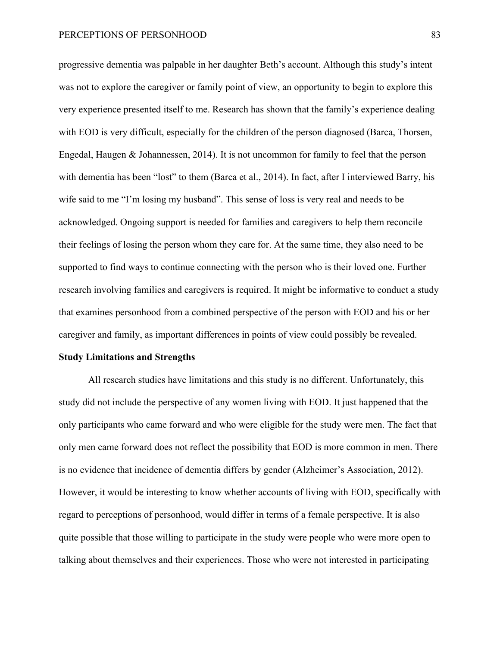progressive dementia was palpable in her daughter Beth's account. Although this study's intent was not to explore the caregiver or family point of view, an opportunity to begin to explore this very experience presented itself to me. Research has shown that the family's experience dealing with EOD is very difficult, especially for the children of the person diagnosed (Barca, Thorsen, Engedal, Haugen & Johannessen, 2014). It is not uncommon for family to feel that the person with dementia has been "lost" to them (Barca et al., 2014). In fact, after I interviewed Barry, his wife said to me "I'm losing my husband". This sense of loss is very real and needs to be acknowledged. Ongoing support is needed for families and caregivers to help them reconcile their feelings of losing the person whom they care for. At the same time, they also need to be supported to find ways to continue connecting with the person who is their loved one. Further research involving families and caregivers is required. It might be informative to conduct a study that examines personhood from a combined perspective of the person with EOD and his or her caregiver and family, as important differences in points of view could possibly be revealed.

#### **Study Limitations and Strengths**

All research studies have limitations and this study is no different. Unfortunately, this study did not include the perspective of any women living with EOD. It just happened that the only participants who came forward and who were eligible for the study were men. The fact that only men came forward does not reflect the possibility that EOD is more common in men. There is no evidence that incidence of dementia differs by gender (Alzheimer's Association, 2012). However, it would be interesting to know whether accounts of living with EOD, specifically with regard to perceptions of personhood, would differ in terms of a female perspective. It is also quite possible that those willing to participate in the study were people who were more open to talking about themselves and their experiences. Those who were not interested in participating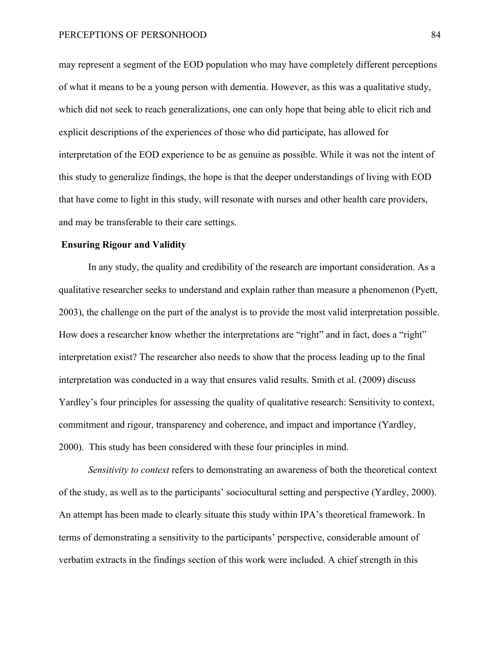may represent a segment of the EOD population who may have completely different perceptions of what it means to be a young person with dementia. However, as this was a qualitative study, which did not seek to reach generalizations, one can only hope that being able to elicit rich and explicit descriptions of the experiences of those who did participate, has allowed for interpretation of the EOD experience to be as genuine as possible. While it was not the intent of this study to generalize findings, the hope is that the deeper understandings of living with EOD that have come to light in this study, will resonate with nurses and other health care providers, and may be transferable to their care settings.

### **Ensuring Rigour and Validity**

In any study, the quality and credibility of the research are important consideration. As a qualitative researcher seeks to understand and explain rather than measure a phenomenon (Pyett, 2003), the challenge on the part of the analyst is to provide the most valid interpretation possible. How does a researcher know whether the interpretations are "right" and in fact, does a "right" interpretation exist? The researcher also needs to show that the process leading up to the final interpretation was conducted in a way that ensures valid results. Smith et al. (2009) discuss Yardley's four principles for assessing the quality of qualitative research: Sensitivity to context, commitment and rigour, transparency and coherence, and impact and importance (Yardley, 2000). This study has been considered with these four principles in mind.

*Sensitivity to context* refers to demonstrating an awareness of both the theoretical context of the study, as well as to the participants' sociocultural setting and perspective (Yardley, 2000). An attempt has been made to clearly situate this study within IPA's theoretical framework. In terms of demonstrating a sensitivity to the participants' perspective, considerable amount of verbatim extracts in the findings section of this work were included. A chief strength in this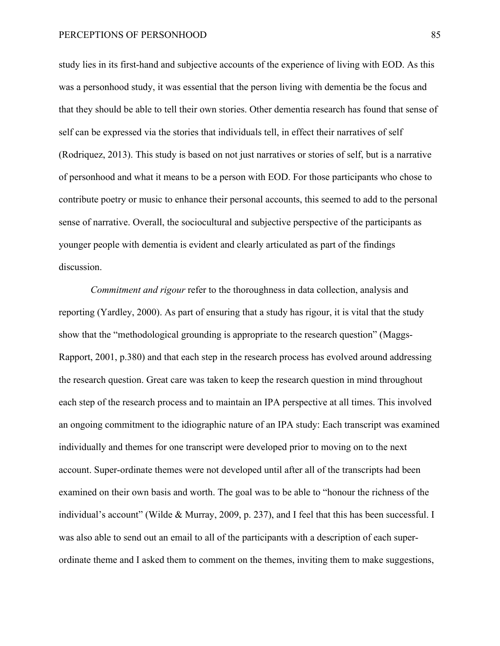#### PERCEPTIONS OF PERSONHOOD 85

study lies in its first-hand and subjective accounts of the experience of living with EOD. As this was a personhood study, it was essential that the person living with dementia be the focus and that they should be able to tell their own stories. Other dementia research has found that sense of self can be expressed via the stories that individuals tell, in effect their narratives of self (Rodriquez, 2013). This study is based on not just narratives or stories of self, but is a narrative of personhood and what it means to be a person with EOD. For those participants who chose to contribute poetry or music to enhance their personal accounts, this seemed to add to the personal sense of narrative. Overall, the sociocultural and subjective perspective of the participants as younger people with dementia is evident and clearly articulated as part of the findings discussion.

*Commitment and rigour* refer to the thoroughness in data collection, analysis and reporting (Yardley, 2000). As part of ensuring that a study has rigour, it is vital that the study show that the "methodological grounding is appropriate to the research question" (Maggs-Rapport, 2001, p.380) and that each step in the research process has evolved around addressing the research question. Great care was taken to keep the research question in mind throughout each step of the research process and to maintain an IPA perspective at all times. This involved an ongoing commitment to the idiographic nature of an IPA study: Each transcript was examined individually and themes for one transcript were developed prior to moving on to the next account. Super-ordinate themes were not developed until after all of the transcripts had been examined on their own basis and worth. The goal was to be able to "honour the richness of the individual's account" (Wilde & Murray, 2009, p. 237), and I feel that this has been successful. I was also able to send out an email to all of the participants with a description of each superordinate theme and I asked them to comment on the themes, inviting them to make suggestions,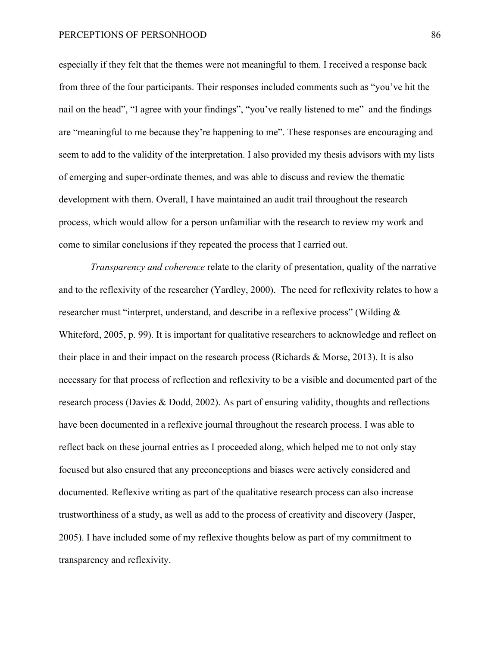especially if they felt that the themes were not meaningful to them. I received a response back from three of the four participants. Their responses included comments such as "you've hit the nail on the head", "I agree with your findings", "you've really listened to me" and the findings are "meaningful to me because they're happening to me". These responses are encouraging and seem to add to the validity of the interpretation. I also provided my thesis advisors with my lists of emerging and super-ordinate themes, and was able to discuss and review the thematic development with them. Overall, I have maintained an audit trail throughout the research process, which would allow for a person unfamiliar with the research to review my work and come to similar conclusions if they repeated the process that I carried out.

*Transparency and coherence* relate to the clarity of presentation, quality of the narrative and to the reflexivity of the researcher (Yardley, 2000). The need for reflexivity relates to how a researcher must "interpret, understand, and describe in a reflexive process" (Wilding & Whiteford, 2005, p. 99). It is important for qualitative researchers to acknowledge and reflect on their place in and their impact on the research process (Richards & Morse, 2013). It is also necessary for that process of reflection and reflexivity to be a visible and documented part of the research process (Davies & Dodd, 2002). As part of ensuring validity, thoughts and reflections have been documented in a reflexive journal throughout the research process. I was able to reflect back on these journal entries as I proceeded along, which helped me to not only stay focused but also ensured that any preconceptions and biases were actively considered and documented. Reflexive writing as part of the qualitative research process can also increase trustworthiness of a study, as well as add to the process of creativity and discovery (Jasper, 2005). I have included some of my reflexive thoughts below as part of my commitment to transparency and reflexivity.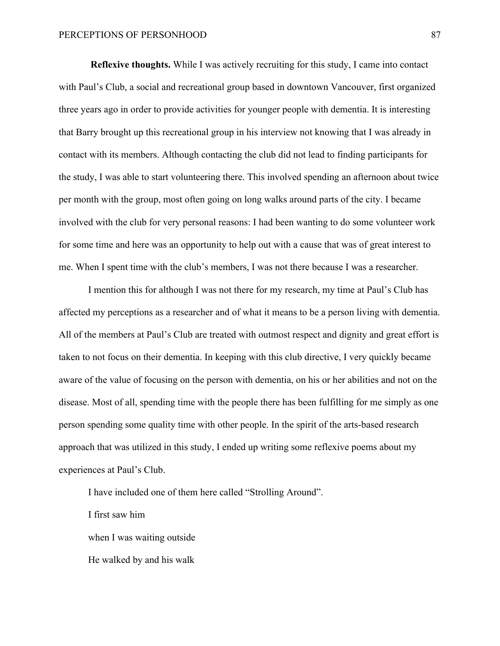**Reflexive thoughts.** While I was actively recruiting for this study, I came into contact with Paul's Club, a social and recreational group based in downtown Vancouver, first organized three years ago in order to provide activities for younger people with dementia. It is interesting that Barry brought up this recreational group in his interview not knowing that I was already in contact with its members. Although contacting the club did not lead to finding participants for the study, I was able to start volunteering there. This involved spending an afternoon about twice per month with the group, most often going on long walks around parts of the city. I became involved with the club for very personal reasons: I had been wanting to do some volunteer work for some time and here was an opportunity to help out with a cause that was of great interest to me. When I spent time with the club's members, I was not there because I was a researcher.

I mention this for although I was not there for my research, my time at Paul's Club has affected my perceptions as a researcher and of what it means to be a person living with dementia. All of the members at Paul's Club are treated with outmost respect and dignity and great effort is taken to not focus on their dementia. In keeping with this club directive, I very quickly became aware of the value of focusing on the person with dementia, on his or her abilities and not on the disease. Most of all, spending time with the people there has been fulfilling for me simply as one person spending some quality time with other people. In the spirit of the arts-based research approach that was utilized in this study, I ended up writing some reflexive poems about my experiences at Paul's Club.

I have included one of them here called "Strolling Around".

I first saw him

when I was waiting outside

He walked by and his walk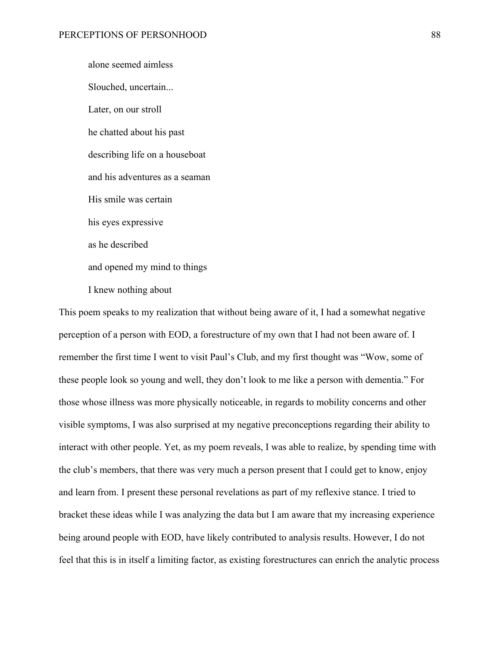alone seemed aimless Slouched, uncertain... Later, on our stroll he chatted about his past describing life on a houseboat and his adventures as a seaman His smile was certain his eyes expressive as he described and opened my mind to things I knew nothing about

This poem speaks to my realization that without being aware of it, I had a somewhat negative perception of a person with EOD, a forestructure of my own that I had not been aware of. I remember the first time I went to visit Paul's Club, and my first thought was "Wow, some of these people look so young and well, they don't look to me like a person with dementia." For those whose illness was more physically noticeable, in regards to mobility concerns and other visible symptoms, I was also surprised at my negative preconceptions regarding their ability to interact with other people. Yet, as my poem reveals, I was able to realize, by spending time with the club's members, that there was very much a person present that I could get to know, enjoy and learn from. I present these personal revelations as part of my reflexive stance. I tried to bracket these ideas while I was analyzing the data but I am aware that my increasing experience being around people with EOD, have likely contributed to analysis results. However, I do not feel that this is in itself a limiting factor, as existing forestructures can enrich the analytic process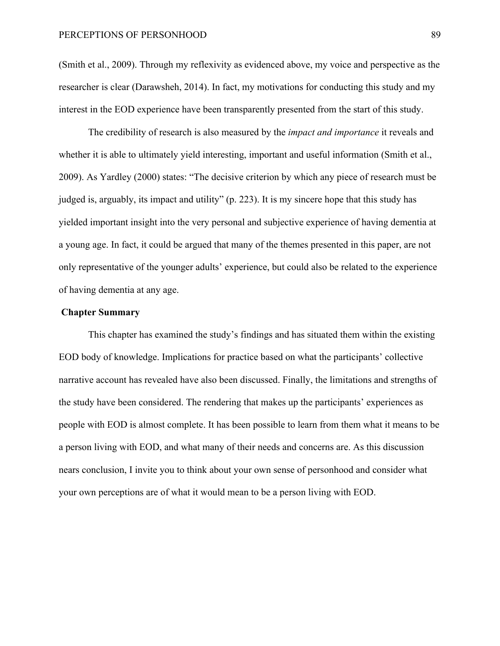# PERCEPTIONS OF PERSONHOOD 89

(Smith et al., 2009). Through my reflexivity as evidenced above, my voice and perspective as the researcher is clear (Darawsheh, 2014). In fact, my motivations for conducting this study and my interest in the EOD experience have been transparently presented from the start of this study.

The credibility of research is also measured by the *impact and importance* it reveals and whether it is able to ultimately yield interesting, important and useful information (Smith et al., 2009). As Yardley (2000) states: "The decisive criterion by which any piece of research must be judged is, arguably, its impact and utility" (p. 223). It is my sincere hope that this study has yielded important insight into the very personal and subjective experience of having dementia at a young age. In fact, it could be argued that many of the themes presented in this paper, are not only representative of the younger adults' experience, but could also be related to the experience of having dementia at any age.

## **Chapter Summary**

This chapter has examined the study's findings and has situated them within the existing EOD body of knowledge. Implications for practice based on what the participants' collective narrative account has revealed have also been discussed. Finally, the limitations and strengths of the study have been considered. The rendering that makes up the participants' experiences as people with EOD is almost complete. It has been possible to learn from them what it means to be a person living with EOD, and what many of their needs and concerns are. As this discussion nears conclusion, I invite you to think about your own sense of personhood and consider what your own perceptions are of what it would mean to be a person living with EOD.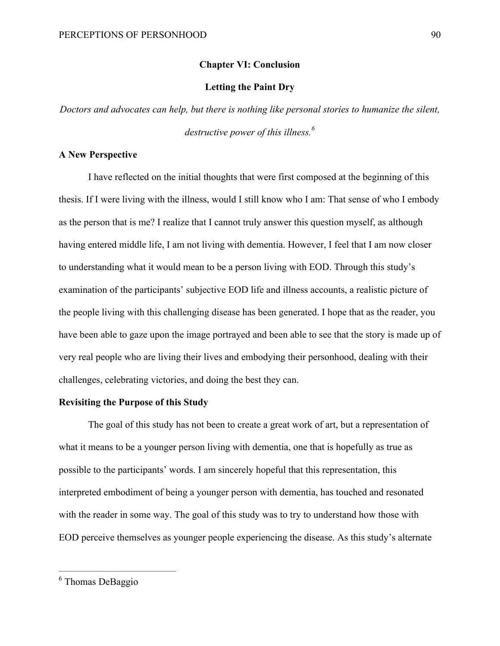### **Chapter VI: Conclusion**

# **Letting the Paint Dry**

*Doctors and advocates can help, but there is nothing like personal stories to humanize the silent, destructive power of this illness.<sup>6</sup>*

# **A New Perspective**

I have reflected on the initial thoughts that were first composed at the beginning of this thesis. If I were living with the illness, would I still know who I am: That sense of who I embody as the person that is me? I realize that I cannot truly answer this question myself, as although having entered middle life, I am not living with dementia. However, I feel that I am now closer to understanding what it would mean to be a person living with EOD. Through this study's examination of the participants' subjective EOD life and illness accounts, a realistic picture of the people living with this challenging disease has been generated. I hope that as the reader, you have been able to gaze upon the image portrayed and been able to see that the story is made up of very real people who are living their lives and embodying their personhood, dealing with their challenges, celebrating victories, and doing the best they can.

# **Revisiting the Purpose of this Study**

The goal of this study has not been to create a great work of art, but a representation of what it means to be a younger person living with dementia, one that is hopefully as true as possible to the participants' words. I am sincerely hopeful that this representation, this interpreted embodiment of being a younger person with dementia, has touched and resonated with the reader in some way. The goal of this study was to try to understand how those with EOD perceive themselves as younger people experiencing the disease. As this study's alternate

 <sup>6</sup> Thomas DeBaggio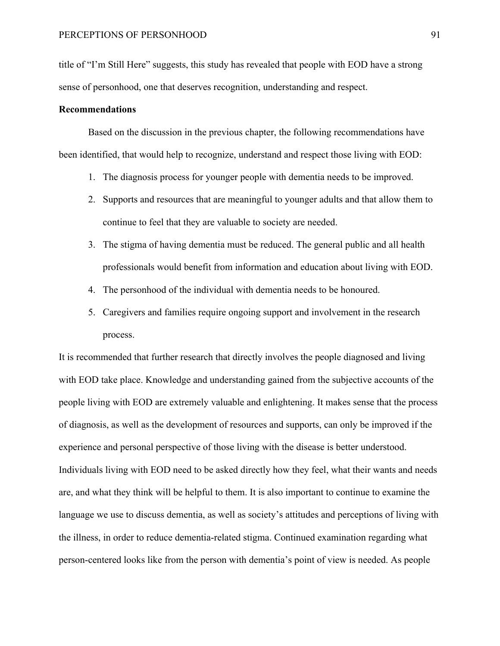title of "I'm Still Here" suggests, this study has revealed that people with EOD have a strong sense of personhood, one that deserves recognition, understanding and respect.

# **Recommendations**

Based on the discussion in the previous chapter, the following recommendations have been identified, that would help to recognize, understand and respect those living with EOD:

- 1. The diagnosis process for younger people with dementia needs to be improved.
- 2. Supports and resources that are meaningful to younger adults and that allow them to continue to feel that they are valuable to society are needed.
- 3. The stigma of having dementia must be reduced. The general public and all health professionals would benefit from information and education about living with EOD.
- 4. The personhood of the individual with dementia needs to be honoured.
- 5. Caregivers and families require ongoing support and involvement in the research process.

It is recommended that further research that directly involves the people diagnosed and living with EOD take place. Knowledge and understanding gained from the subjective accounts of the people living with EOD are extremely valuable and enlightening. It makes sense that the process of diagnosis, as well as the development of resources and supports, can only be improved if the experience and personal perspective of those living with the disease is better understood. Individuals living with EOD need to be asked directly how they feel, what their wants and needs are, and what they think will be helpful to them. It is also important to continue to examine the language we use to discuss dementia, as well as society's attitudes and perceptions of living with the illness, in order to reduce dementia-related stigma. Continued examination regarding what person-centered looks like from the person with dementia's point of view is needed. As people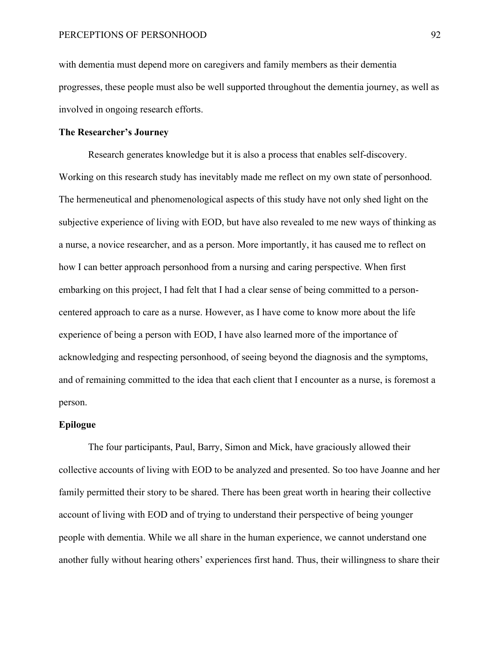with dementia must depend more on caregivers and family members as their dementia progresses, these people must also be well supported throughout the dementia journey, as well as involved in ongoing research efforts.

# **The Researcher's Journey**

Research generates knowledge but it is also a process that enables self-discovery. Working on this research study has inevitably made me reflect on my own state of personhood. The hermeneutical and phenomenological aspects of this study have not only shed light on the subjective experience of living with EOD, but have also revealed to me new ways of thinking as a nurse, a novice researcher, and as a person. More importantly, it has caused me to reflect on how I can better approach personhood from a nursing and caring perspective. When first embarking on this project, I had felt that I had a clear sense of being committed to a personcentered approach to care as a nurse. However, as I have come to know more about the life experience of being a person with EOD, I have also learned more of the importance of acknowledging and respecting personhood, of seeing beyond the diagnosis and the symptoms, and of remaining committed to the idea that each client that I encounter as a nurse, is foremost a person.

### **Epilogue**

The four participants, Paul, Barry, Simon and Mick, have graciously allowed their collective accounts of living with EOD to be analyzed and presented. So too have Joanne and her family permitted their story to be shared. There has been great worth in hearing their collective account of living with EOD and of trying to understand their perspective of being younger people with dementia. While we all share in the human experience, we cannot understand one another fully without hearing others' experiences first hand. Thus, their willingness to share their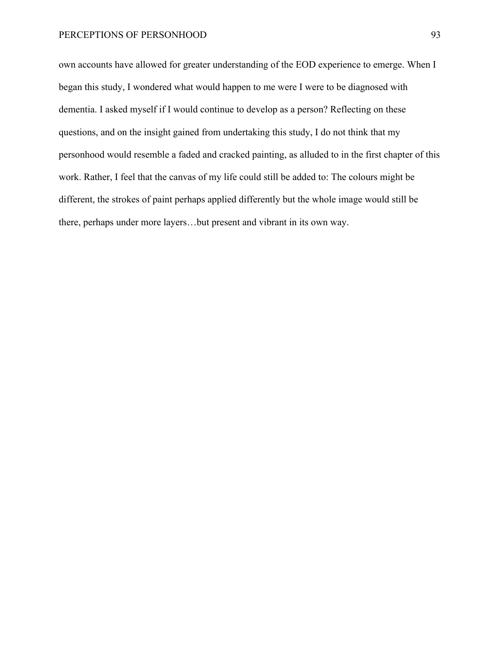# PERCEPTIONS OF PERSONHOOD 93

own accounts have allowed for greater understanding of the EOD experience to emerge. When I began this study, I wondered what would happen to me were I were to be diagnosed with dementia. I asked myself if I would continue to develop as a person? Reflecting on these questions, and on the insight gained from undertaking this study, I do not think that my personhood would resemble a faded and cracked painting, as alluded to in the first chapter of this work. Rather, I feel that the canvas of my life could still be added to: The colours might be different, the strokes of paint perhaps applied differently but the whole image would still be there, perhaps under more layers…but present and vibrant in its own way.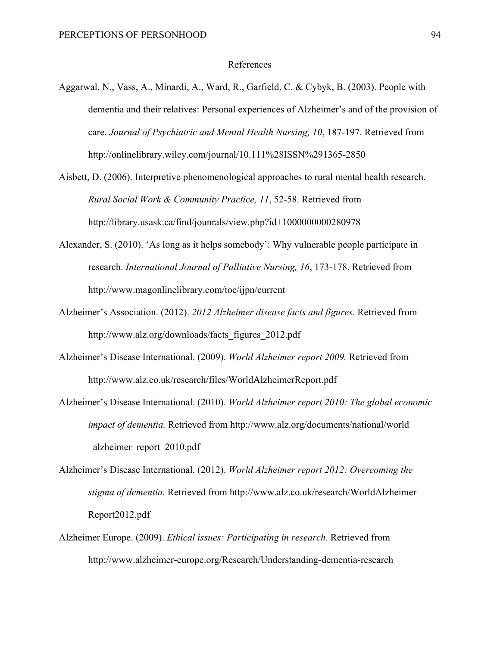#### References

- Aggarwal, N., Vass, A., Minardi, A., Ward, R., Garfield, C. & Cybyk, B. (2003). People with dementia and their relatives: Personal experiences of Alzheimer's and of the provision of care. *Journal of Psychiatric and Mental Health Nursing, 10*, 187-197. Retrieved from http://onlinelibrary.wiley.com/journal/10.111%28ISSN%291365-2850
- Aisbett, D. (2006). Interpretive phenomenological approaches to rural mental health research. *Rural Social Work & Community Practice, 11*, 52-58. Retrieved from http://library.usask.ca/find/jounrals/view.php?id+1000000000280978
- Alexander, S. (2010). 'As long as it helps somebody': Why vulnerable people participate in research. *International Journal of Palliative Nursing, 16*, 173-178. Retrieved from http://www.magonlinelibrary.com/toc/ijpn/current
- Alzheimer's Association. (2012). *2012 Alzheimer disease facts and figures.* Retrieved from http://www.alz.org/downloads/facts\_figures\_2012.pdf
- Alzheimer's Disease International. (2009). *World Alzheimer report 2009.* Retrieved from http://www.alz.co.uk/research/files/WorldAlzheimerReport.pdf
- Alzheimer's Disease International. (2010). *World Alzheimer report 2010: The global economic impact of dementia.* Retrieved from http://www.alz.org/documents/national/world \_alzheimer\_report\_2010.pdf
- Alzheimer's Disease International. (2012). *World Alzheimer report 2012: Overcoming the stigma of dementia.* Retrieved from http://www.alz.co.uk/research/WorldAlzheimer Report2012.pdf
- Alzheimer Europe. (2009). *Ethical issues: Participating in research.* Retrieved from http://www.alzheimer-europe.org/Research/Understanding-dementia-research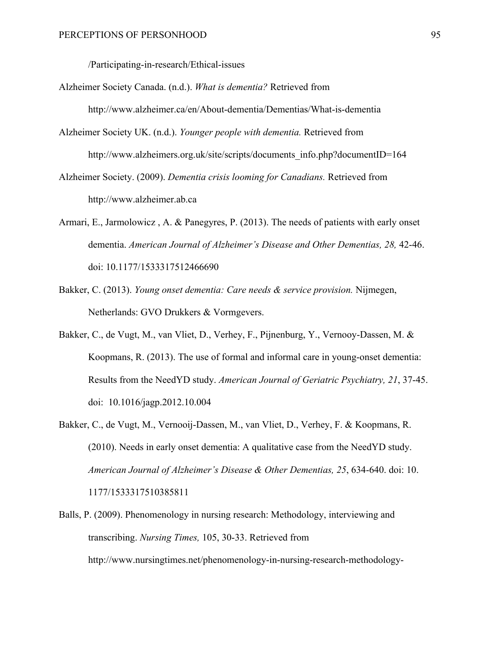/Participating-in-research/Ethical-issues

- Alzheimer Society Canada. (n.d.). *What is dementia?* Retrieved from http://www.alzheimer.ca/en/About-dementia/Dementias/What-is-dementia
- Alzheimer Society UK. (n.d.). *Younger people with dementia.* Retrieved from http://www.alzheimers.org.uk/site/scripts/documents\_info.php?documentID=164
- Alzheimer Society. (2009). *Dementia crisis looming for Canadians.* Retrieved from http://www.alzheimer.ab.ca
- Armari, E., Jarmolowicz , A. & Panegyres, P. (2013). The needs of patients with early onset dementia. *American Journal of Alzheimer's Disease and Other Dementias, 28, 42-46.* doi: 10.1177/1533317512466690
- Bakker, C. (2013). *Young onset dementia: Care needs & service provision.* Nijmegen, Netherlands: GVO Drukkers & Vormgevers.
- Bakker, C., de Vugt, M., van Vliet, D., Verhey, F., Pijnenburg, Y., Vernooy-Dassen, M. & Koopmans, R. (2013). The use of formal and informal care in young-onset dementia: Results from the NeedYD study. *American Journal of Geriatric Psychiatry, 21*, 37-45. doi:10.1016/jagp.2012.10.004
- Bakker, C., de Vugt, M., Vernooij-Dassen, M., van Vliet, D., Verhey, F. & Koopmans, R. (2010). Needs in early onset dementia: A qualitative case from the NeedYD study. *American Journal of Alzheimer's Disease & Other Dementias, 25*, 634-640. doi: 10. 1177/1533317510385811
- Balls, P. (2009). Phenomenology in nursing research: Methodology, interviewing and transcribing. *Nursing Times,* 105, 30-33. Retrieved from http://www.nursingtimes.net/phenomenology-in-nursing-research-methodology-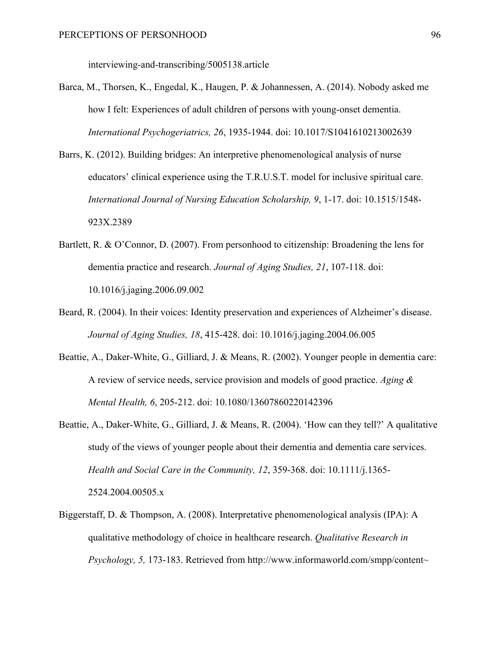interviewing-and-transcribing/5005138.article

- Barca, M., Thorsen, K., Engedal, K., Haugen, P. & Johannessen, A. (2014). Nobody asked me how I felt: Experiences of adult children of persons with young-onset dementia. *International Psychogeriatrics, 26*, 1935-1944. doi: 10.1017/S1041610213002639
- Barrs, K. (2012). Building bridges: An interpretive phenomenological analysis of nurse educators' clinical experience using the T.R.U.S.T. model for inclusive spiritual care. *International Journal of Nursing Education Scholarship, 9*, 1-17. doi: 10.1515/1548- 923X.2389
- Bartlett, R. & O'Connor, D. (2007). From personhood to citizenship: Broadening the lens for dementia practice and research. *Journal of Aging Studies, 21*, 107-118. doi: 10.1016/j.jaging.2006.09.002
- Beard, R. (2004). In their voices: Identity preservation and experiences of Alzheimer's disease. *Journal of Aging Studies, 18*, 415-428. doi: 10.1016/j.jaging.2004.06.005
- Beattie, A., Daker-White, G., Gilliard, J. & Means, R. (2002). Younger people in dementia care: A review of service needs, service provision and models of good practice. *Aging & Mental Health, 6*, 205-212. doi: 10.1080/13607860220142396
- Beattie, A., Daker-White, G., Gilliard, J. & Means, R. (2004). 'How can they tell?' A qualitative study of the views of younger people about their dementia and dementia care services. *Health and Social Care in the Community, 12*, 359-368. doi: 10.1111/j.1365- 2524.2004.00505.x
- Biggerstaff, D. & Thompson, A. (2008). Interpretative phenomenological analysis (IPA): A qualitative methodology of choice in healthcare research. *Qualitative Research in Psychology, 5,* 173-183. Retrieved from http://www.informaworld.com/smpp/content~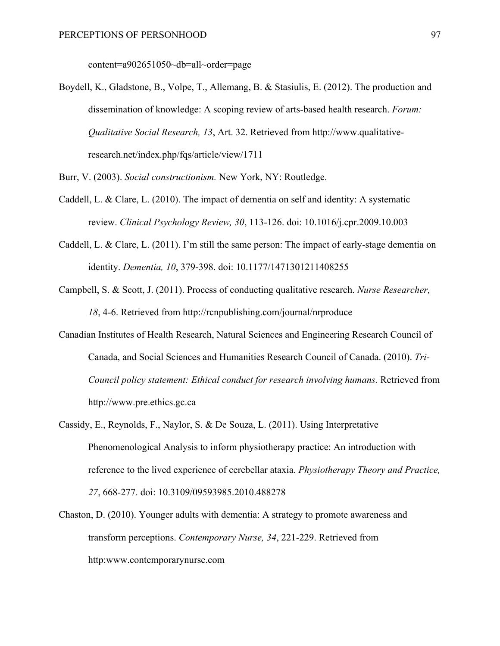content=a902651050~db=all~order=page

Boydell, K., Gladstone, B., Volpe, T., Allemang, B. & Stasiulis, E. (2012). The production and dissemination of knowledge: A scoping review of arts-based health research. *Forum: Qualitative Social Research, 13*, Art. 32. Retrieved from http://www.qualitativeresearch.net/index.php/fqs/article/view/1711

Burr, V. (2003). *Social constructionism.* New York, NY: Routledge.

- Caddell, L. & Clare, L. (2010). The impact of dementia on self and identity: A systematic review. *Clinical Psychology Review, 30*, 113-126. doi: 10.1016/j.cpr.2009.10.003
- Caddell, L. & Clare, L. (2011). I'm still the same person: The impact of early-stage dementia on identity. *Dementia, 10*, 379-398. doi: 10.1177/1471301211408255
- Campbell, S. & Scott, J. (2011). Process of conducting qualitative research. *Nurse Researcher, 18*, 4-6. Retrieved from http://rcnpublishing.com/journal/nrproduce
- Canadian Institutes of Health Research, Natural Sciences and Engineering Research Council of Canada, and Social Sciences and Humanities Research Council of Canada. (2010). *Tri-Council policy statement: Ethical conduct for research involving humans.* Retrieved from http://www.pre.ethics.gc.ca
- Cassidy, E., Reynolds, F., Naylor, S. & De Souza, L. (2011). Using Interpretative Phenomenological Analysis to inform physiotherapy practice: An introduction with reference to the lived experience of cerebellar ataxia. *Physiotherapy Theory and Practice, 27*, 668-277. doi: 10.3109/09593985.2010.488278
- Chaston, D. (2010). Younger adults with dementia: A strategy to promote awareness and transform perceptions. *Contemporary Nurse, 34*, 221-229. Retrieved from http:www.contemporarynurse.com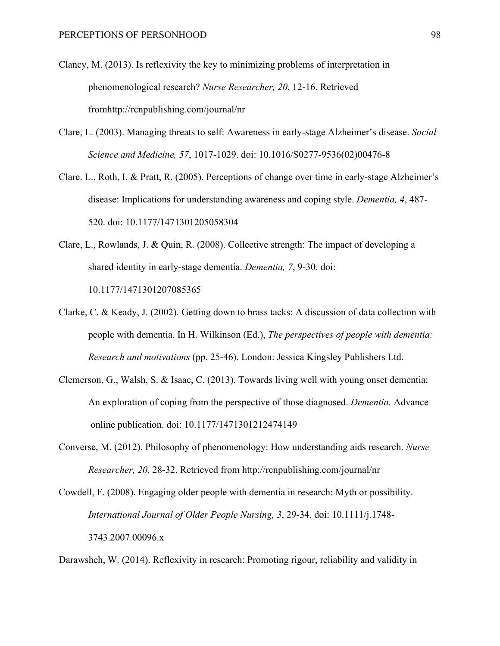- Clancy, M. (2013). Is reflexivity the key to minimizing problems of interpretation in phenomenological research? *Nurse Researcher, 20*, 12-16. Retrieved fromhttp://rcnpublishing.com/journal/nr
- Clare, L. (2003). Managing threats to self: Awareness in early-stage Alzheimer's disease. *Social Science and Medicine, 57*, 1017-1029. doi: 10.1016/S0277-9536(02)00476-8
- Clare. L., Roth, I. & Pratt, R. (2005). Perceptions of change over time in early-stage Alzheimer's disease: Implications for understanding awareness and coping style. *Dementia, 4*, 487- 520. doi: 10.1177/1471301205058304
- Clare, L., Rowlands, J. & Quin, R. (2008). Collective strength: The impact of developing a shared identity in early-stage dementia. *Dementia, 7*, 9-30. doi: 10.1177/1471301207085365
- Clarke, C. & Keady, J. (2002). Getting down to brass tacks: A discussion of data collection with people with dementia. In H. Wilkinson (Ed.), *The perspectives of people with dementia: Research and motivations* (pp. 25-46). London: Jessica Kingsley Publishers Ltd.
- Clemerson, G., Walsh, S. & Isaac, C. (2013). Towards living well with young onset dementia: An exploration of coping from the perspective of those diagnosed. *Dementia.* Advance online publication. doi: 10.1177/1471301212474149
- Converse, M. (2012). Philosophy of phenomenology: How understanding aids research. *Nurse Researcher, 20,* 28-32. Retrieved from http://rcnpublishing.com/journal/nr

Cowdell, F. (2008). Engaging older people with dementia in research: Myth or possibility. *International Journal of Older People Nursing, 3*, 29-34. doi: 10.1111/j.1748- 3743.2007.00096.x

Darawsheh, W. (2014). Reflexivity in research: Promoting rigour, reliability and validity in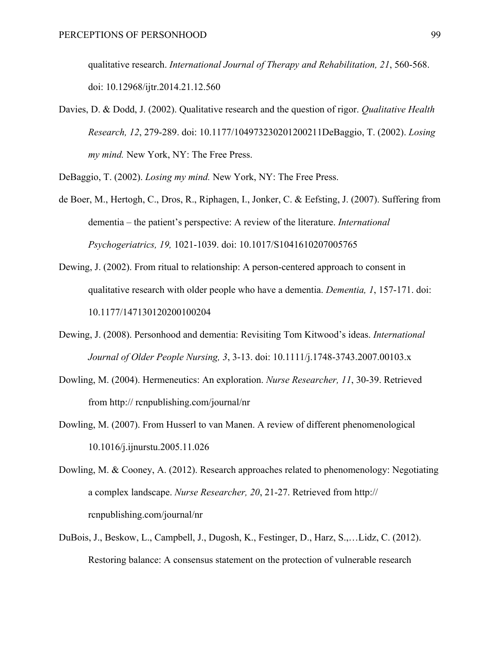qualitative research. *International Journal of Therapy and Rehabilitation, 21*, 560-568. doi: 10.12968/ijtr.2014.21.12.560

Davies, D. & Dodd, J. (2002). Qualitative research and the question of rigor. *Qualitative Health Research, 12*, 279-289. doi: 10.1177/104973230201200211DeBaggio, T. (2002). *Losing my mind.* New York, NY: The Free Press.

DeBaggio, T. (2002). *Losing my mind.* New York, NY: The Free Press.

- de Boer, M., Hertogh, C., Dros, R., Riphagen, I., Jonker, C. & Eefsting, J. (2007). Suffering from dementia – the patient's perspective: A review of the literature. *International Psychogeriatrics, 19,* 1021-1039. doi: 10.1017/S1041610207005765
- Dewing, J. (2002). From ritual to relationship: A person-centered approach to consent in qualitative research with older people who have a dementia. *Dementia, 1*, 157-171. doi: 10.1177/147130120200100204
- Dewing, J. (2008). Personhood and dementia: Revisiting Tom Kitwood's ideas. *International Journal of Older People Nursing, 3*, 3-13. doi: 10.1111/j.1748-3743.2007.00103.x
- Dowling, M. (2004). Hermeneutics: An exploration. *Nurse Researcher, 11*, 30-39. Retrieved from http:// rcnpublishing.com/journal/nr
- Dowling, M. (2007). From Husserl to van Manen. A review of different phenomenological 10.1016/j.ijnurstu.2005.11.026
- Dowling, M. & Cooney, A. (2012). Research approaches related to phenomenology: Negotiating a complex landscape. *Nurse Researcher, 20*, 21-27. Retrieved from http:// rcnpublishing.com/journal/nr
- DuBois, J., Beskow, L., Campbell, J., Dugosh, K., Festinger, D., Harz, S.,…Lidz, C. (2012). Restoring balance: A consensus statement on the protection of vulnerable research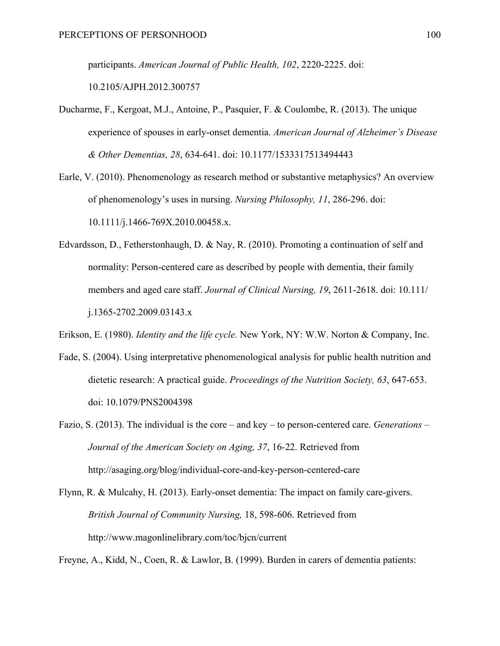participants. *American Journal of Public Health, 102*, 2220-2225. doi:

10.2105/AJPH.2012.300757

- Ducharme, F., Kergoat, M.J., Antoine, P., Pasquier, F. & Coulombe, R. (2013). The unique experience of spouses in early-onset dementia. *American Journal of Alzheimer's Disease & Other Dementias, 28*, 634-641. doi: 10.1177/1533317513494443
- Earle, V. (2010). Phenomenology as research method or substantive metaphysics? An overview of phenomenology's uses in nursing. *Nursing Philosophy, 11*, 286-296. doi: 10.1111/j.1466-769X.2010.00458.x.
- Edvardsson, D., Fetherstonhaugh, D. & Nay, R. (2010). Promoting a continuation of self and normality: Person-centered care as described by people with dementia, their family members and aged care staff. *Journal of Clinical Nursing, 19*, 2611-2618. doi: 10.111/ j.1365-2702.2009.03143.x

Erikson, E. (1980). *Identity and the life cycle.* New York, NY: W.W. Norton & Company, Inc.

- Fade, S. (2004). Using interpretative phenomenological analysis for public health nutrition and dietetic research: A practical guide. *Proceedings of the Nutrition Society, 63*, 647-653. doi: 10.1079/PNS2004398
- Fazio, S. (2013). The individual is the core and key to person-centered care. *Generations – Journal of the American Society on Aging, 37*, 16-22. Retrieved from http://asaging.org/blog/individual-core-and-key-person-centered-care
- Flynn, R. & Mulcahy, H. (2013). Early-onset dementia: The impact on family care-givers. *British Journal of Community Nursing,* 18, 598-606. Retrieved from http://www.magonlinelibrary.com/toc/bjcn/current

Freyne, A., Kidd, N., Coen, R. & Lawlor, B. (1999). Burden in carers of dementia patients: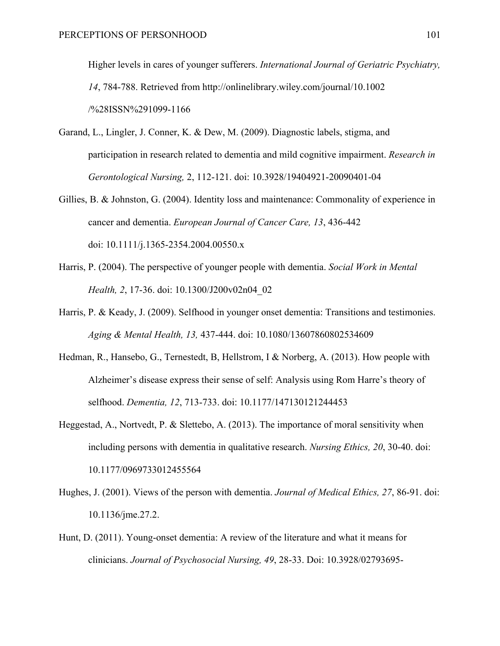Higher levels in cares of younger sufferers. *International Journal of Geriatric Psychiatry, 14*, 784-788. Retrieved from http://onlinelibrary.wiley.com/journal/10.1002 /%28ISSN%291099-1166

- Garand, L., Lingler, J. Conner, K. & Dew, M. (2009). Diagnostic labels, stigma, and participation in research related to dementia and mild cognitive impairment. *Research in Gerontological Nursing,* 2, 112-121. doi: 10.3928/19404921-20090401-04
- Gillies, B. & Johnston, G. (2004). Identity loss and maintenance: Commonality of experience in cancer and dementia. *European Journal of Cancer Care, 13*, 436-442 doi: 10.1111/j.1365-2354.2004.00550.x
- Harris, P. (2004). The perspective of younger people with dementia. *Social Work in Mental Health, 2*, 17-36. doi: 10.1300/J200v02n04\_02
- Harris, P. & Keady, J. (2009). Selfhood in younger onset dementia: Transitions and testimonies. *Aging & Mental Health, 13,* 437-444. doi: 10.1080/13607860802534609
- Hedman, R., Hansebo, G., Ternestedt, B, Hellstrom, I & Norberg, A. (2013). How people with Alzheimer's disease express their sense of self: Analysis using Rom Harre's theory of selfhood. *Dementia, 12*, 713-733. doi: 10.1177/147130121244453
- Heggestad, A., Nortvedt, P. & Slettebo, A. (2013). The importance of moral sensitivity when including persons with dementia in qualitative research. *Nursing Ethics, 20*, 30-40. doi: 10.1177/0969733012455564
- Hughes, J. (2001). Views of the person with dementia. *Journal of Medical Ethics, 27*, 86-91. doi: 10.1136/jme.27.2.
- Hunt, D. (2011). Young-onset dementia: A review of the literature and what it means for clinicians. *Journal of Psychosocial Nursing, 49*, 28-33. Doi: 10.3928/02793695-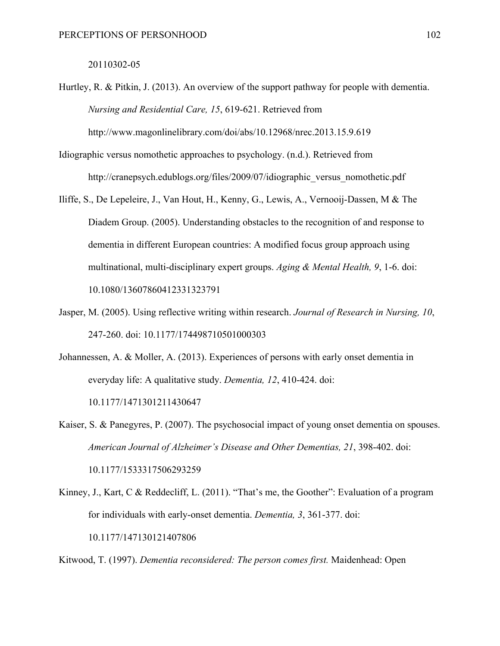#### 20110302-05

- Hurtley, R. & Pitkin, J. (2013). An overview of the support pathway for people with dementia. *Nursing and Residential Care, 15*, 619-621. Retrieved from http://www.magonlinelibrary.com/doi/abs/10.12968/nrec.2013.15.9.619
- Idiographic versus nomothetic approaches to psychology. (n.d.). Retrieved from http://cranepsych.edublogs.org/files/2009/07/idiographic versus nomothetic.pdf
- Iliffe, S., De Lepeleire, J., Van Hout, H., Kenny, G., Lewis, A., Vernooij-Dassen, M & The Diadem Group. (2005). Understanding obstacles to the recognition of and response to dementia in different European countries: A modified focus group approach using multinational, multi-disciplinary expert groups. *Aging & Mental Health, 9*, 1-6. doi: 10.1080/13607860412331323791
- Jasper, M. (2005). Using reflective writing within research. *Journal of Research in Nursing, 10*, 247-260. doi: 10.1177/174498710501000303
- Johannessen, A. & Moller, A. (2013). Experiences of persons with early onset dementia in everyday life: A qualitative study. *Dementia, 12*, 410-424. doi: 10.1177/1471301211430647
- Kaiser, S. & Panegyres, P. (2007). The psychosocial impact of young onset dementia on spouses. *American Journal of Alzheimer's Disease and Other Dementias, 21*, 398-402. doi: 10.1177/1533317506293259
- Kinney, J., Kart, C & Reddecliff, L. (2011). "That's me, the Goother": Evaluation of a program for individuals with early-onset dementia. *Dementia, 3*, 361-377. doi: 10.1177/147130121407806

Kitwood, T. (1997). *Dementia reconsidered: The person comes first.* Maidenhead: Open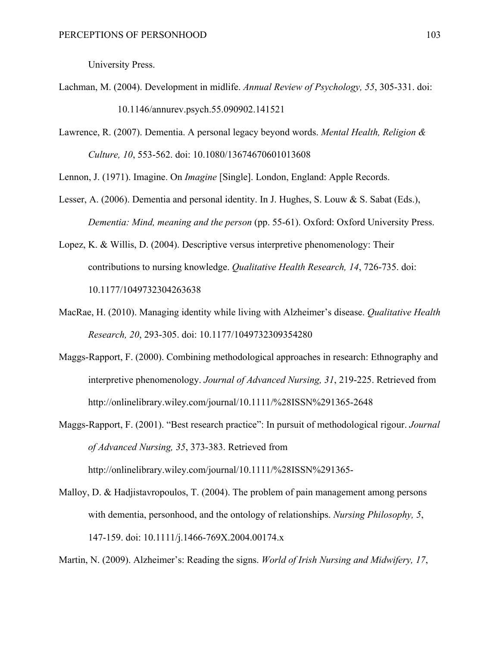University Press.

- Lachman, M. (2004). Development in midlife. *Annual Review of Psychology, 55*, 305-331. doi: 10.1146/annurev.psych.55.090902.141521
- Lawrence, R. (2007). Dementia. A personal legacy beyond words. *Mental Health, Religion & Culture, 10*, 553-562. doi: 10.1080/13674670601013608

Lennon, J. (1971). Imagine. On *Imagine* [Single]. London, England: Apple Records.

- Lesser, A. (2006). Dementia and personal identity. In J. Hughes, S. Louw & S. Sabat (Eds.), *Dementia: Mind, meaning and the person* (pp. 55-61). Oxford: Oxford University Press.
- Lopez, K. & Willis, D. (2004). Descriptive versus interpretive phenomenology: Their contributions to nursing knowledge. *Qualitative Health Research, 14*, 726-735. doi: 10.1177/1049732304263638
- MacRae, H. (2010). Managing identity while living with Alzheimer's disease. *Qualitative Health Research, 20*, 293-305. doi: 10.1177/1049732309354280
- Maggs-Rapport, F. (2000). Combining methodological approaches in research: Ethnography and interpretive phenomenology. *Journal of Advanced Nursing, 31*, 219-225. Retrieved from http://onlinelibrary.wiley.com/journal/10.1111/%28ISSN%291365-2648
- Maggs-Rapport, F. (2001). "Best research practice": In pursuit of methodological rigour. *Journal of Advanced Nursing, 35*, 373-383. Retrieved from http://onlinelibrary.wiley.com/journal/10.1111/%28ISSN%291365-
- Malloy, D. & Hadjistavropoulos, T. (2004). The problem of pain management among persons with dementia, personhood, and the ontology of relationships. *Nursing Philosophy, 5*, 147-159. doi: 10.1111/j.1466-769X.2004.00174.x

Martin, N. (2009). Alzheimer's: Reading the signs. *World of Irish Nursing and Midwifery, 17*,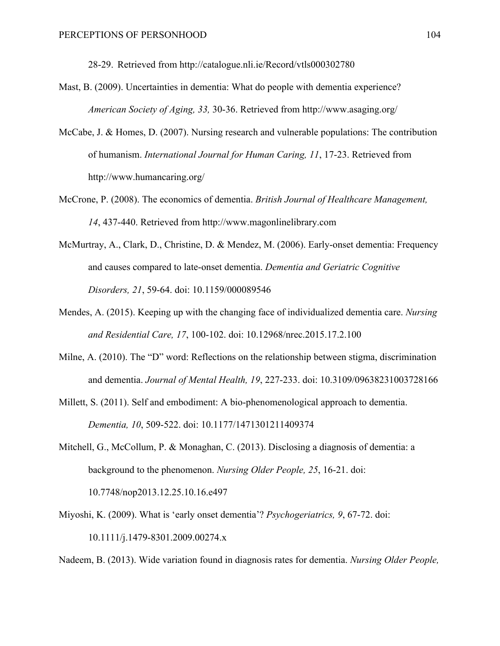28-29. Retrieved from http://catalogue.nli.ie/Record/vtls000302780

- Mast, B. (2009). Uncertainties in dementia: What do people with dementia experience? *American Society of Aging, 33,* 30-36. Retrieved from http://www.asaging.org/
- McCabe, J. & Homes, D. (2007). Nursing research and vulnerable populations: The contribution of humanism. *International Journal for Human Caring, 11*, 17-23. Retrieved from http://www.humancaring.org/
- McCrone, P. (2008). The economics of dementia. *British Journal of Healthcare Management, 14*, 437-440. Retrieved from http://www.magonlinelibrary.com
- McMurtray, A., Clark, D., Christine, D. & Mendez, M. (2006). Early-onset dementia: Frequency and causes compared to late-onset dementia. *Dementia and Geriatric Cognitive Disorders, 21*, 59-64. doi: 10.1159/000089546
- Mendes, A. (2015). Keeping up with the changing face of individualized dementia care. *Nursing and Residential Care, 17*, 100-102. doi: 10.12968/nrec.2015.17.2.100
- Milne, A. (2010). The "D" word: Reflections on the relationship between stigma, discrimination and dementia. *Journal of Mental Health, 19*, 227-233. doi: 10.3109/09638231003728166
- Millett, S. (2011). Self and embodiment: A bio-phenomenological approach to dementia. *Dementia, 10*, 509-522. doi: 10.1177/1471301211409374
- Mitchell, G., McCollum, P. & Monaghan, C. (2013). Disclosing a diagnosis of dementia: a background to the phenomenon. *Nursing Older People, 25*, 16-21. doi: 10.7748/nop2013.12.25.10.16.e497
- Miyoshi, K. (2009). What is 'early onset dementia'? *Psychogeriatrics, 9*, 67-72. doi: 10.1111/j.1479-8301.2009.00274.x

Nadeem, B. (2013). Wide variation found in diagnosis rates for dementia. *Nursing Older People,*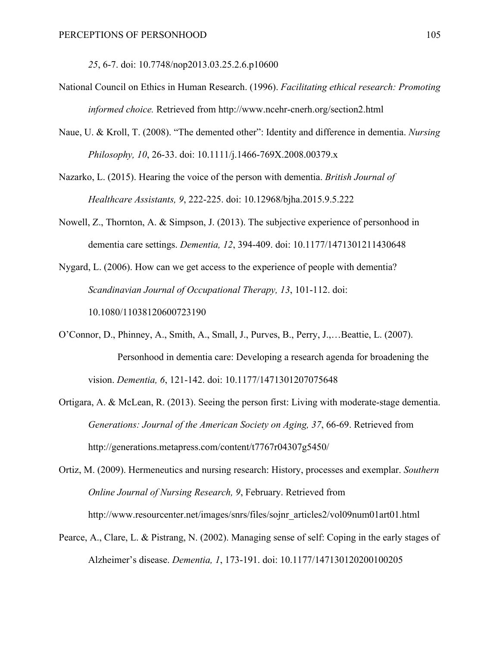*25*, 6-7. doi: 10.7748/nop2013.03.25.2.6.p10600

- National Council on Ethics in Human Research. (1996). *Facilitating ethical research: Promoting informed choice.* Retrieved from http://www.ncehr-cnerh.org/section2.html
- Naue, U. & Kroll, T. (2008). "The demented other": Identity and difference in dementia. *Nursing Philosophy, 10*, 26-33. doi: 10.1111/j.1466-769X.2008.00379.x

Nazarko, L. (2015). Hearing the voice of the person with dementia. *British Journal of Healthcare Assistants, 9*, 222-225. doi: 10.12968/bjha.2015.9.5.222

Nowell, Z., Thornton, A. & Simpson, J. (2013). The subjective experience of personhood in dementia care settings. *Dementia, 12*, 394-409. doi: 10.1177/1471301211430648

Nygard, L. (2006). How can we get access to the experience of people with dementia? *Scandinavian Journal of Occupational Therapy, 13*, 101-112. doi: 10.1080/11038120600723190

- O'Connor, D., Phinney, A., Smith, A., Small, J., Purves, B., Perry, J.,…Beattie, L. (2007). Personhood in dementia care: Developing a research agenda for broadening the vision. *Dementia, 6*, 121-142. doi: 10.1177/1471301207075648
- Ortigara, A. & McLean, R. (2013). Seeing the person first: Living with moderate-stage dementia. *Generations: Journal of the American Society on Aging, 37*, 66-69. Retrieved from http://generations.metapress.com/content/t7767r04307g5450/

Ortiz, M. (2009). Hermeneutics and nursing research: History, processes and exemplar. *Southern Online Journal of Nursing Research, 9*, February. Retrieved from http://www.resourcenter.net/images/snrs/files/sojnr\_articles2/vol09num01art01.html

Pearce, A., Clare, L. & Pistrang, N. (2002). Managing sense of self: Coping in the early stages of Alzheimer's disease. *Dementia, 1*, 173-191. doi: 10.1177/147130120200100205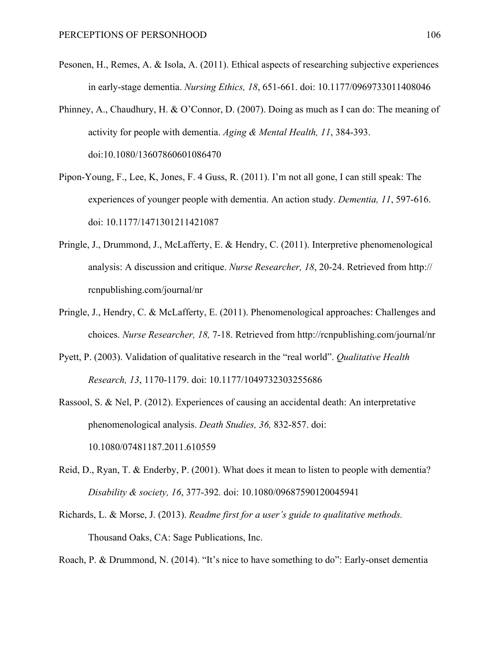- Pesonen, H., Remes, A. & Isola, A. (2011). Ethical aspects of researching subjective experiences in early-stage dementia. *Nursing Ethics, 18*, 651-661. doi: 10.1177/0969733011408046
- Phinney, A., Chaudhury, H. & O'Connor, D. (2007). Doing as much as I can do: The meaning of activity for people with dementia. *Aging & Mental Health, 11*, 384-393. doi:10.1080/13607860601086470
- Pipon-Young, F., Lee, K, Jones, F. 4 Guss, R. (2011). I'm not all gone, I can still speak: The experiences of younger people with dementia. An action study. *Dementia, 11*, 597-616. doi: 10.1177/1471301211421087
- Pringle, J., Drummond, J., McLafferty, E. & Hendry, C. (2011). Interpretive phenomenological analysis: A discussion and critique. *Nurse Researcher, 18*, 20-24. Retrieved from http:// rcnpublishing.com/journal/nr
- Pringle, J., Hendry, C. & McLafferty, E. (2011). Phenomenological approaches: Challenges and choices. *Nurse Researcher, 18,* 7-18. Retrieved from http://rcnpublishing.com/journal/nr
- Pyett, P. (2003). Validation of qualitative research in the "real world". *Qualitative Health Research, 13*, 1170-1179. doi: 10.1177/1049732303255686
- Rassool, S. & Nel, P. (2012). Experiences of causing an accidental death: An interpretative phenomenological analysis. *Death Studies, 36,* 832-857. doi: 10.1080/07481187.2011.610559
- Reid, D., Ryan, T. & Enderby, P. (2001). What does it mean to listen to people with dementia? *Disability & society, 16*, 377-392*.* doi: 10.1080/09687590120045941
- Richards, L. & Morse, J. (2013). *Readme first for a user's guide to qualitative methods.* Thousand Oaks, CA: Sage Publications, Inc.

Roach, P. & Drummond, N. (2014). "It's nice to have something to do": Early-onset dementia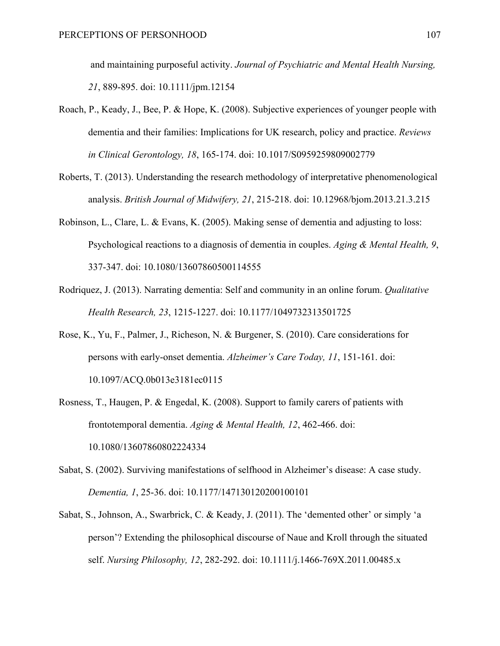and maintaining purposeful activity. *Journal of Psychiatric and Mental Health Nursing, 21*, 889-895. doi: 10.1111/jpm.12154

- Roach, P., Keady, J., Bee, P. & Hope, K. (2008). Subjective experiences of younger people with dementia and their families: Implications for UK research, policy and practice. *Reviews in Clinical Gerontology, 18*, 165-174. doi: 10.1017/S0959259809002779
- Roberts, T. (2013). Understanding the research methodology of interpretative phenomenological analysis. *British Journal of Midwifery, 21*, 215-218. doi: 10.12968/bjom.2013.21.3.215
- Robinson, L., Clare, L. & Evans, K. (2005). Making sense of dementia and adjusting to loss: Psychological reactions to a diagnosis of dementia in couples. *Aging & Mental Health, 9*, 337-347. doi: 10.1080/13607860500114555
- Rodriquez, J. (2013). Narrating dementia: Self and community in an online forum. *Qualitative Health Research, 23*, 1215-1227. doi: 10.1177/1049732313501725
- Rose, K., Yu, F., Palmer, J., Richeson, N. & Burgener, S. (2010). Care considerations for persons with early-onset dementia. *Alzheimer's Care Today, 11*, 151-161. doi: 10.1097/ACQ.0b013e3181ec0115
- Rosness, T., Haugen, P. & Engedal, K. (2008). Support to family carers of patients with frontotemporal dementia. *Aging & Mental Health, 12*, 462-466. doi: 10.1080/13607860802224334
- Sabat, S. (2002). Surviving manifestations of selfhood in Alzheimer's disease: A case study. *Dementia, 1*, 25-36. doi: 10.1177/147130120200100101
- Sabat, S., Johnson, A., Swarbrick, C. & Keady, J. (2011). The 'demented other' or simply 'a person'? Extending the philosophical discourse of Naue and Kroll through the situated self. *Nursing Philosophy, 12*, 282-292. doi: 10.1111/j.1466-769X.2011.00485.x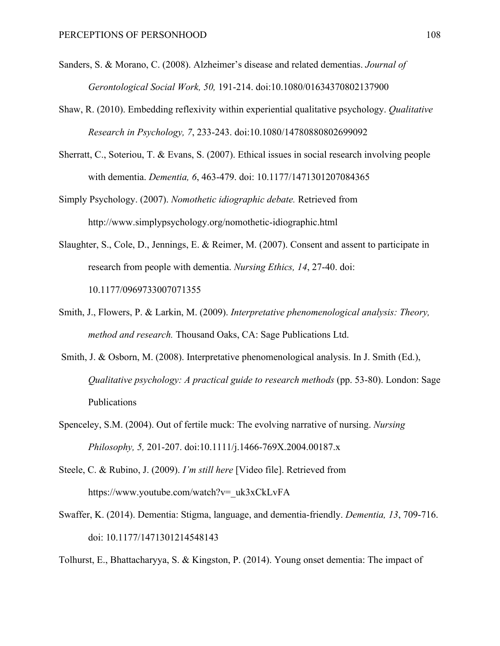- Sanders, S. & Morano, C. (2008). Alzheimer's disease and related dementias. *Journal of Gerontological Social Work, 50,* 191-214. doi:10.1080/01634370802137900
- Shaw, R. (2010). Embedding reflexivity within experiential qualitative psychology. *Qualitative Research in Psychology, 7*, 233-243. doi:10.1080/14780880802699092
- Sherratt, C., Soteriou, T. & Evans, S. (2007). Ethical issues in social research involving people with dementia. *Dementia, 6*, 463-479. doi: 10.1177/1471301207084365
- Simply Psychology. (2007). *Nomothetic idiographic debate.* Retrieved from http://www.simplypsychology.org/nomothetic-idiographic.html
- Slaughter, S., Cole, D., Jennings, E. & Reimer, M. (2007). Consent and assent to participate in research from people with dementia. *Nursing Ethics, 14*, 27-40. doi: 10.1177/0969733007071355
- Smith, J., Flowers, P. & Larkin, M. (2009). *Interpretative phenomenological analysis: Theory, method and research.* Thousand Oaks, CA: Sage Publications Ltd.
- Smith, J. & Osborn, M. (2008). Interpretative phenomenological analysis. In J. Smith (Ed.), *Qualitative psychology: A practical guide to research methods* (pp. 53-80). London: Sage Publications
- Spenceley, S.M. (2004). Out of fertile muck: The evolving narrative of nursing. *Nursing Philosophy, 5,* 201-207. doi:10.1111/j.1466-769X.2004.00187.x
- Steele, C. & Rubino, J. (2009). *I'm still here* [Video file]. Retrieved from https://www.youtube.com/watch?v=\_uk3xCkLvFA
- Swaffer, K. (2014). Dementia: Stigma, language, and dementia-friendly. *Dementia, 13*, 709-716. doi: 10.1177/1471301214548143

Tolhurst, E., Bhattacharyya, S. & Kingston, P. (2014). Young onset dementia: The impact of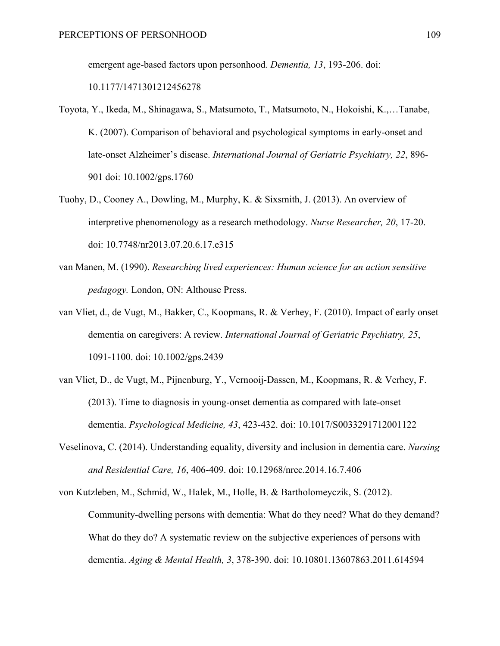emergent age-based factors upon personhood. *Dementia, 13*, 193-206. doi:

10.1177/1471301212456278

- Toyota, Y., Ikeda, M., Shinagawa, S., Matsumoto, T., Matsumoto, N., Hokoishi, K.,…Tanabe, K. (2007). Comparison of behavioral and psychological symptoms in early-onset and late-onset Alzheimer's disease. *International Journal of Geriatric Psychiatry, 22*, 896- 901 doi: 10.1002/gps.1760
- Tuohy, D., Cooney A., Dowling, M., Murphy, K. & Sixsmith, J. (2013). An overview of interpretive phenomenology as a research methodology. *Nurse Researcher, 20*, 17-20. doi: 10.7748/nr2013.07.20.6.17.e315
- van Manen, M. (1990). *Researching lived experiences: Human science for an action sensitive pedagogy.* London, ON: Althouse Press.
- van Vliet, d., de Vugt, M., Bakker, C., Koopmans, R. & Verhey, F. (2010). Impact of early onset dementia on caregivers: A review. *International Journal of Geriatric Psychiatry, 25*, 1091-1100. doi: 10.1002/gps.2439
- van Vliet, D., de Vugt, M., Pijnenburg, Y., Vernooij-Dassen, M., Koopmans, R. & Verhey, F. (2013). Time to diagnosis in young-onset dementia as compared with late-onset dementia. *Psychological Medicine, 43*, 423-432. doi: 10.1017/S0033291712001122
- Veselinova, C. (2014). Understanding equality, diversity and inclusion in dementia care. *Nursing and Residential Care, 16*, 406-409. doi: 10.12968/nrec.2014.16.7.406
- von Kutzleben, M., Schmid, W., Halek, M., Holle, B. & Bartholomeyczik, S. (2012). Community-dwelling persons with dementia: What do they need? What do they demand? What do they do? A systematic review on the subjective experiences of persons with dementia. *Aging & Mental Health, 3*, 378-390. doi: 10.10801.13607863.2011.614594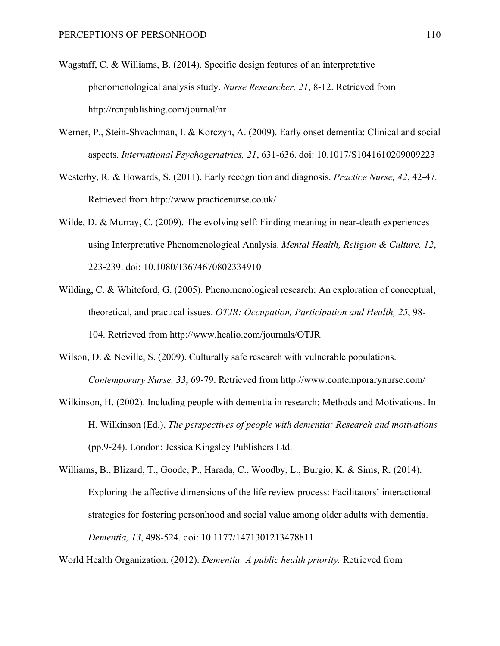- Wagstaff, C. & Williams, B. (2014). Specific design features of an interpretative phenomenological analysis study. *Nurse Researcher, 21*, 8-12. Retrieved from http://rcnpublishing.com/journal/nr
- Werner, P., Stein-Shvachman, I. & Korczyn, A. (2009). Early onset dementia: Clinical and social aspects. *International Psychogeriatrics, 21*, 631-636. doi: 10.1017/S1041610209009223
- Westerby, R. & Howards, S. (2011). Early recognition and diagnosis. *Practice Nurse, 42*, 42-47*.*  Retrieved from http://www.practicenurse.co.uk/
- Wilde, D. & Murray, C. (2009). The evolving self: Finding meaning in near-death experiences using Interpretative Phenomenological Analysis. *Mental Health, Religion & Culture, 12*, 223-239. doi: 10.1080/13674670802334910
- Wilding, C. & Whiteford, G. (2005). Phenomenological research: An exploration of conceptual, theoretical, and practical issues. *OTJR: Occupation, Participation and Health, 25*, 98- 104. Retrieved from http://www.healio.com/journals/OTJR
- Wilson, D. & Neville, S. (2009). Culturally safe research with vulnerable populations. *Contemporary Nurse, 33*, 69-79. Retrieved from http://www.contemporarynurse.com/
- Wilkinson, H. (2002). Including people with dementia in research: Methods and Motivations. In H. Wilkinson (Ed.), *The perspectives of people with dementia: Research and motivations*  (pp.9-24). London: Jessica Kingsley Publishers Ltd.

Williams, B., Blizard, T., Goode, P., Harada, C., Woodby, L., Burgio, K. & Sims, R. (2014). Exploring the affective dimensions of the life review process: Facilitators' interactional strategies for fostering personhood and social value among older adults with dementia. *Dementia, 13*, 498-524. doi: 10.1177/1471301213478811

World Health Organization. (2012). *Dementia: A public health priority.* Retrieved from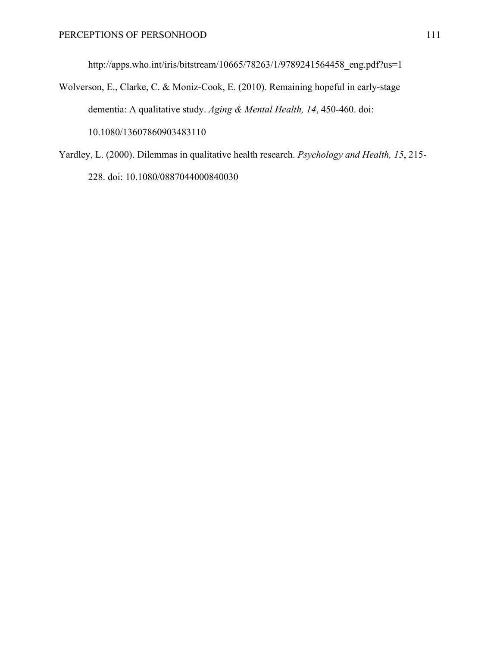http://apps.who.int/iris/bitstream/10665/78263/1/9789241564458\_eng.pdf?us=1

Wolverson, E., Clarke, C. & Moniz-Cook, E. (2010). Remaining hopeful in early-stage dementia: A qualitative study. *Aging & Mental Health, 14*, 450-460. doi: 10.1080/13607860903483110

Yardley, L. (2000). Dilemmas in qualitative health research. *Psychology and Health, 15*, 215- 228. doi: 10.1080/0887044000840030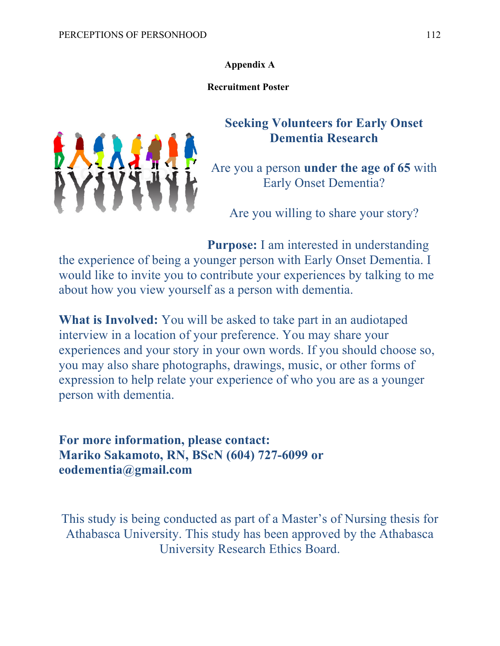**Appendix A**

**Recruitment Poster**



# **Seeking Volunteers for Early Onset Dementia Research**

Are you a person **under the age of 65** with Early Onset Dementia?

Are you willing to share your story?

**Purpose:** I am interested in understanding the experience of being a younger person with Early Onset Dementia. I would like to invite you to contribute your experiences by talking to me about how you view yourself as a person with dementia.

**What is Involved:** You will be asked to take part in an audiotaped interview in a location of your preference. You may share your experiences and your story in your own words. If you should choose so, you may also share photographs, drawings, music, or other forms of expression to help relate your experience of who you are as a younger person with dementia.

**For more information, please contact: Mariko Sakamoto, RN, BScN (604) 727-6099 or eodementia@gmail.com**

This study is being conducted as part of a Master's of Nursing thesis for Athabasca University. This study has been approved by the Athabasca University Research Ethics Board.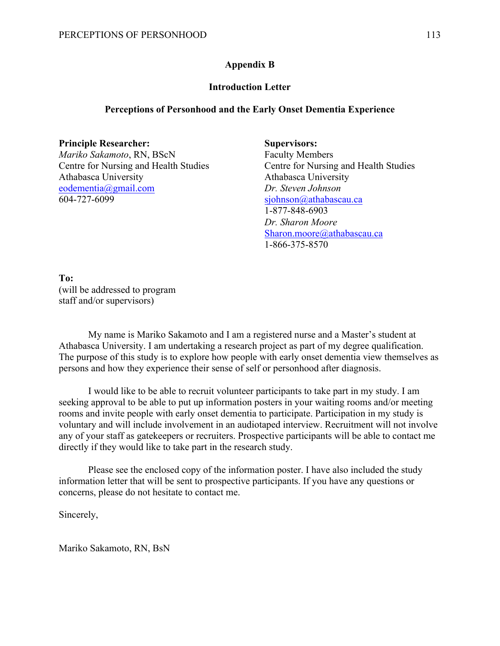## **Appendix B**

#### **Introduction Letter**

#### **Perceptions of Personhood and the Early Onset Dementia Experience**

#### **Principle Researcher: Supervisors:**

*Mariko Sakamoto*, RN, BScN Faculty Members Centre for Nursing and Health Studies Centre for Nursing and Health Studies Athabasca University Athabasca University eodementia@gmail.com *Dr. Steven Johnson* 604-727-6099 sjohnson@athabascau.ca

1-877-848-6903 *Dr. Sharon Moore* Sharon.moore@athabascau.ca 1-866-375-8570

**To:** (will be addressed to program staff and/or supervisors)

My name is Mariko Sakamoto and I am a registered nurse and a Master's student at Athabasca University. I am undertaking a research project as part of my degree qualification. The purpose of this study is to explore how people with early onset dementia view themselves as persons and how they experience their sense of self or personhood after diagnosis.

I would like to be able to recruit volunteer participants to take part in my study. I am seeking approval to be able to put up information posters in your waiting rooms and/or meeting rooms and invite people with early onset dementia to participate. Participation in my study is voluntary and will include involvement in an audiotaped interview. Recruitment will not involve any of your staff as gatekeepers or recruiters. Prospective participants will be able to contact me directly if they would like to take part in the research study.

Please see the enclosed copy of the information poster. I have also included the study information letter that will be sent to prospective participants. If you have any questions or concerns, please do not hesitate to contact me.

Sincerely,

Mariko Sakamoto, RN, BsN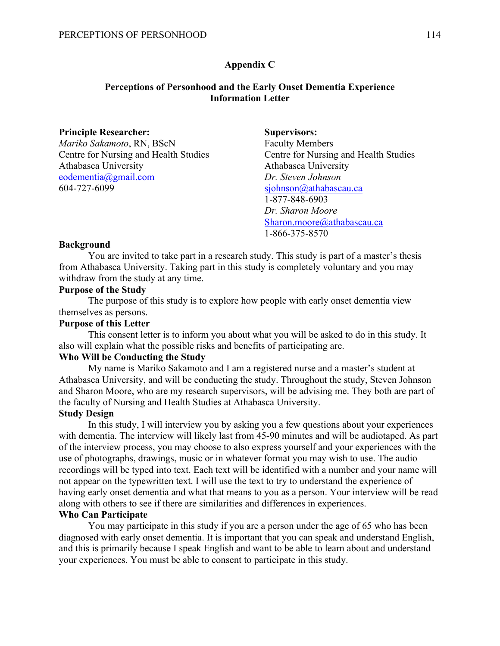## **Appendix C**

## **Perceptions of Personhood and the Early Onset Dementia Experience Information Letter**

| <b>Principle Researcher:</b>          | <b>Supervisors:</b>                   |
|---------------------------------------|---------------------------------------|
| Mariko Sakamoto, RN, BScN             | <b>Faculty Members</b>                |
| Centre for Nursing and Health Studies | Centre for Nursing and Health Studies |
| Athabasca University                  | Athabasca University                  |
| eodementia@gmail.com                  | Dr. Steven Johnson                    |
| 604-727-6099                          | sjohnson@athabascau.ca                |
|                                       | 1-877-848-6903                        |
|                                       | Dr. Sharon Moore                      |
|                                       | Sharon.moore@athabascau.ca            |
|                                       | 1-866-375-8570                        |

#### **Background**

You are invited to take part in a research study. This study is part of a master's thesis from Athabasca University. Taking part in this study is completely voluntary and you may withdraw from the study at any time.

#### **Purpose of the Study**

The purpose of this study is to explore how people with early onset dementia view themselves as persons.

#### **Purpose of this Letter**

This consent letter is to inform you about what you will be asked to do in this study. It also will explain what the possible risks and benefits of participating are.

#### **Who Will be Conducting the Study**

My name is Mariko Sakamoto and I am a registered nurse and a master's student at Athabasca University, and will be conducting the study. Throughout the study, Steven Johnson and Sharon Moore, who are my research supervisors, will be advising me. They both are part of the faculty of Nursing and Health Studies at Athabasca University.

#### **Study Design**

In this study, I will interview you by asking you a few questions about your experiences with dementia. The interview will likely last from 45-90 minutes and will be audiotaped. As part of the interview process, you may choose to also express yourself and your experiences with the use of photographs, drawings, music or in whatever format you may wish to use. The audio recordings will be typed into text. Each text will be identified with a number and your name will not appear on the typewritten text. I will use the text to try to understand the experience of having early onset dementia and what that means to you as a person. Your interview will be read along with others to see if there are similarities and differences in experiences.

#### **Who Can Participate**

You may participate in this study if you are a person under the age of 65 who has been diagnosed with early onset dementia. It is important that you can speak and understand English, and this is primarily because I speak English and want to be able to learn about and understand your experiences. You must be able to consent to participate in this study.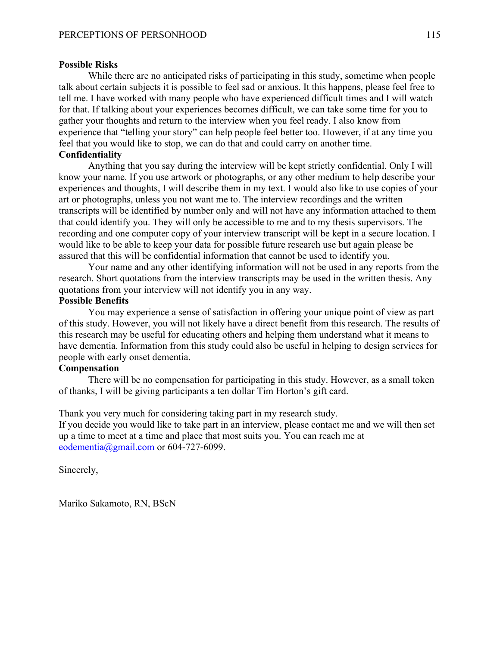#### **Possible Risks**

While there are no anticipated risks of participating in this study, sometime when people talk about certain subjects it is possible to feel sad or anxious. It this happens, please feel free to tell me. I have worked with many people who have experienced difficult times and I will watch for that. If talking about your experiences becomes difficult, we can take some time for you to gather your thoughts and return to the interview when you feel ready. I also know from experience that "telling your story" can help people feel better too. However, if at any time you feel that you would like to stop, we can do that and could carry on another time.

#### **Confidentiality**

Anything that you say during the interview will be kept strictly confidential. Only I will know your name. If you use artwork or photographs, or any other medium to help describe your experiences and thoughts, I will describe them in my text. I would also like to use copies of your art or photographs, unless you not want me to. The interview recordings and the written transcripts will be identified by number only and will not have any information attached to them that could identify you. They will only be accessible to me and to my thesis supervisors. The recording and one computer copy of your interview transcript will be kept in a secure location. I would like to be able to keep your data for possible future research use but again please be assured that this will be confidential information that cannot be used to identify you.

Your name and any other identifying information will not be used in any reports from the research. Short quotations from the interview transcripts may be used in the written thesis. Any quotations from your interview will not identify you in any way.

#### **Possible Benefits**

You may experience a sense of satisfaction in offering your unique point of view as part of this study. However, you will not likely have a direct benefit from this research. The results of this research may be useful for educating others and helping them understand what it means to have dementia. Information from this study could also be useful in helping to design services for people with early onset dementia.

## **Compensation**

There will be no compensation for participating in this study. However, as a small token of thanks, I will be giving participants a ten dollar Tim Horton's gift card.

Thank you very much for considering taking part in my research study.

If you decide you would like to take part in an interview, please contact me and we will then set up a time to meet at a time and place that most suits you. You can reach me at eodementia@gmail.com or 604-727-6099.

Sincerely,

Mariko Sakamoto, RN, BScN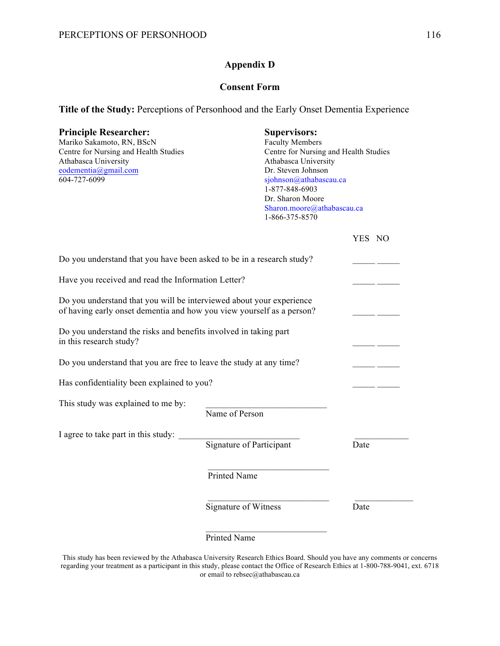## **Appendix D**

#### **Consent Form**

**Title of the Study:** Perceptions of Personhood and the Early Onset Dementia Experience

#### **Principle Researcher: Supervisors:**

Mariko Sakamoto, RN, BScN Faculty Members Centre for Nursing and Health Studies Centre for Nursing and Health Studies Athabasca University Athabasca University eodementia@gmail.com<br>604-727-6099 Dr. Steven Johnson<br>sjohnson@athabasca

sjohnson@athabascau.ca 1-877-848-6903 Dr. Sharon Moore Sharon.moore@athabascau.ca 1-866-375-8570

YES NO

| Do you understand that you have been asked to be in a research study?                       |                                                                                                                                               |      |  |  |  |  |
|---------------------------------------------------------------------------------------------|-----------------------------------------------------------------------------------------------------------------------------------------------|------|--|--|--|--|
| Have you received and read the Information Letter?                                          |                                                                                                                                               |      |  |  |  |  |
|                                                                                             | Do you understand that you will be interviewed about your experience<br>of having early onset dementia and how you view yourself as a person? |      |  |  |  |  |
| Do you understand the risks and benefits involved in taking part<br>in this research study? |                                                                                                                                               |      |  |  |  |  |
| Do you understand that you are free to leave the study at any time?                         |                                                                                                                                               |      |  |  |  |  |
| Has confidentiality been explained to you?                                                  |                                                                                                                                               |      |  |  |  |  |
| This study was explained to me by:                                                          | Name of Person                                                                                                                                |      |  |  |  |  |
| I agree to take part in this study:                                                         | Signature of Participant                                                                                                                      | Date |  |  |  |  |
|                                                                                             | <b>Printed Name</b>                                                                                                                           |      |  |  |  |  |
|                                                                                             | Signature of Witness                                                                                                                          | Date |  |  |  |  |

Printed Name

This study has been reviewed by the Athabasca University Research Ethics Board. Should you have any comments or concerns regarding your treatment as a participant in this study, please contact the Office of Research Ethics at 1-800-788-9041, ext. 6718 or email to rebsec@athabascau.ca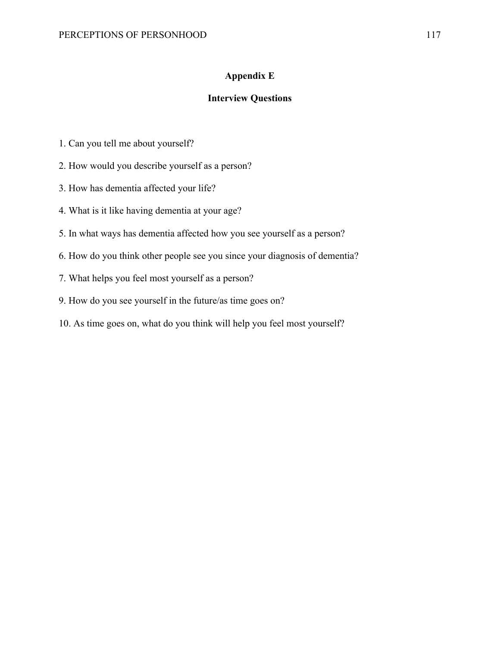## **Appendix E**

# **Interview Questions**

- 1. Can you tell me about yourself?
- 2. How would you describe yourself as a person?
- 3. How has dementia affected your life?
- 4. What is it like having dementia at your age?
- 5. In what ways has dementia affected how you see yourself as a person?
- 6. How do you think other people see you since your diagnosis of dementia?
- 7. What helps you feel most yourself as a person?
- 9. How do you see yourself in the future/as time goes on?
- 10. As time goes on, what do you think will help you feel most yourself?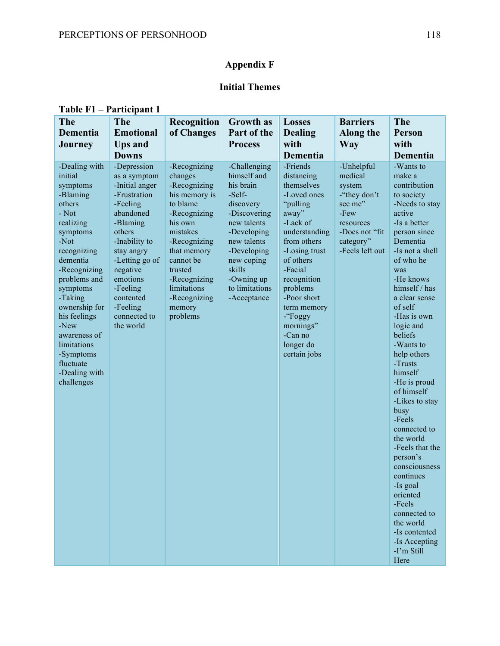# **Appendix F**

# **Initial Themes**

| The<br>Dementia<br><b>Journey</b>                                                                                                                                                                                                                                                                                         | The<br><b>Emotional</b><br><b>Ups and</b><br><b>Downs</b>                                                                                                                                                                                               | Recognition<br>of Changes                                                                                                                                                                                                               | <b>Growth</b> as<br>Part of the<br><b>Process</b>                                                                                                                                                                  | <b>Losses</b><br><b>Dealing</b><br>with<br>Dementia                                                                                                                                                                                                                                    | <b>Barriers</b><br>Along the<br>Way                                                                                                   | <b>The</b><br>Person<br>with<br>Dementia                                                                                                                                                                                                                                                                                                                                                                                                                                                                                                                                                               |
|---------------------------------------------------------------------------------------------------------------------------------------------------------------------------------------------------------------------------------------------------------------------------------------------------------------------------|---------------------------------------------------------------------------------------------------------------------------------------------------------------------------------------------------------------------------------------------------------|-----------------------------------------------------------------------------------------------------------------------------------------------------------------------------------------------------------------------------------------|--------------------------------------------------------------------------------------------------------------------------------------------------------------------------------------------------------------------|----------------------------------------------------------------------------------------------------------------------------------------------------------------------------------------------------------------------------------------------------------------------------------------|---------------------------------------------------------------------------------------------------------------------------------------|--------------------------------------------------------------------------------------------------------------------------------------------------------------------------------------------------------------------------------------------------------------------------------------------------------------------------------------------------------------------------------------------------------------------------------------------------------------------------------------------------------------------------------------------------------------------------------------------------------|
| -Dealing with<br>initial<br>symptoms<br>-Blaming<br>others<br>- Not<br>realizing<br>symptoms<br>$-Not$<br>recognizing<br>dementia<br>-Recognizing<br>problems and<br>symptoms<br>-Taking<br>ownership for<br>his feelings<br>-New<br>awareness of<br>limitations<br>-Symptoms<br>fluctuate<br>-Dealing with<br>challenges | -Depression<br>as a symptom<br>-Initial anger<br>-Frustration<br>-Feeling<br>abandoned<br>-Blaming<br>others<br>-Inability to<br>stay angry<br>-Letting go of<br>negative<br>emotions<br>-Feeling<br>contented<br>-Feeling<br>connected to<br>the world | -Recognizing<br>changes<br>-Recognizing<br>his memory is<br>to blame<br>-Recognizing<br>his own<br>mistakes<br>-Recognizing<br>that memory<br>cannot be<br>trusted<br>-Recognizing<br>limitations<br>-Recognizing<br>memory<br>problems | -Challenging<br>himself and<br>his brain<br>-Self-<br>discovery<br>-Discovering<br>new talents<br>-Developing<br>new talents<br>-Developing<br>new coping<br>skills<br>-Owning up<br>to limitations<br>-Acceptance | -Friends<br>distancing<br>themselves<br>-Loved ones<br>"pulling<br>away"<br>-Lack of<br>understanding<br>from others<br>-Losing trust<br>of others<br>-Facial<br>recognition<br>problems<br>-Poor short<br>term memory<br>-"Foggy<br>mornings"<br>-Can no<br>longer do<br>certain jobs | -Unhelpful<br>medical<br>system<br>-"they don't<br>see me"<br>$-$ Few<br>resources<br>-Does not "fit"<br>category"<br>-Feels left out | -Wants to<br>make a<br>contribution<br>to society<br>-Needs to stay<br>active<br>-Is a better<br>person since<br>Dementia<br>-Is not a shell<br>of who he<br>was<br>-He knows<br>himself / has<br>a clear sense<br>of self<br>-Has is own<br>logic and<br>beliefs<br>-Wants to<br>help others<br>-Trusts<br>himself<br>-He is proud<br>of himself<br>-Likes to stay<br>busy<br>-Feels<br>connected to<br>the world<br>-Feels that the<br>person's<br>consciousness<br>continues<br>-Is goal<br>oriented<br>-Feels<br>connected to<br>the world<br>-Is contented<br>-Is Accepting<br>-I'm Still<br>Here |

## **Table F1 – Participant 1**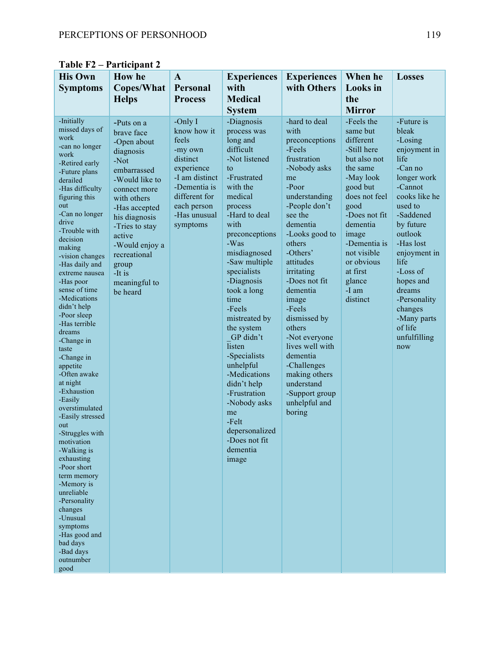| <b>His Own</b><br><b>Symptoms</b>                                                                                                                                                                                                                                                                                                                                                                                                                                                                                                                                                                                                                                                                                                                                                      | <b>How he</b><br><b>Copes/What</b><br><b>Helps</b>                                                                                                                                                                                                                             | $\mathbf{A}$<br>Personal<br><b>Process</b>                                                                                                                           | <b>Experiences</b><br>with<br><b>Medical</b><br><b>System</b>                                                                                                                                                                                                                                                                                                                                                                                                                                         | <b>Experiences</b><br>with Others                                                                                                                                                                                                                                                                                                                                                                                                                | When he<br><b>Looks</b> in<br>the<br><b>Mirror</b>                                                                                                                                                                                                             | <b>Losses</b>                                                                                                                                                                                                                                                                                                    |
|----------------------------------------------------------------------------------------------------------------------------------------------------------------------------------------------------------------------------------------------------------------------------------------------------------------------------------------------------------------------------------------------------------------------------------------------------------------------------------------------------------------------------------------------------------------------------------------------------------------------------------------------------------------------------------------------------------------------------------------------------------------------------------------|--------------------------------------------------------------------------------------------------------------------------------------------------------------------------------------------------------------------------------------------------------------------------------|----------------------------------------------------------------------------------------------------------------------------------------------------------------------|-------------------------------------------------------------------------------------------------------------------------------------------------------------------------------------------------------------------------------------------------------------------------------------------------------------------------------------------------------------------------------------------------------------------------------------------------------------------------------------------------------|--------------------------------------------------------------------------------------------------------------------------------------------------------------------------------------------------------------------------------------------------------------------------------------------------------------------------------------------------------------------------------------------------------------------------------------------------|----------------------------------------------------------------------------------------------------------------------------------------------------------------------------------------------------------------------------------------------------------------|------------------------------------------------------------------------------------------------------------------------------------------------------------------------------------------------------------------------------------------------------------------------------------------------------------------|
| -Initially<br>missed days of<br>work<br>-can no longer<br>work<br>-Retired early<br>-Future plans<br>derailed<br>-Has difficulty<br>figuring this<br>out<br>-Can no longer<br>drive<br>-Trouble with<br>decision<br>making<br>-vision changes<br>-Has daily and<br>extreme nausea<br>-Has poor<br>sense of time<br>-Medications<br>didn't help<br>-Poor sleep<br>-Has terrible<br>dreams<br>-Change in<br>taste<br>-Change in<br>appetite<br>-Often awake<br>at night<br>-Exhaustion<br>-Easily<br>overstimulated<br>-Easily stressed<br>out<br>-Struggles with<br>motivation<br>-Walking is<br>exhausting<br>-Poor short<br>term memory<br>-Memory is<br>unreliable<br>-Personality<br>changes<br>-Unusual<br>symptoms<br>-Has good and<br>bad days<br>-Bad days<br>outnumber<br>good | -Puts on a<br>brave face<br>-Open about<br>diagnosis<br>$-Not$<br>embarrassed<br>-Would like to<br>connect more<br>with others<br>-Has accepted<br>his diagnosis<br>-Tries to stay<br>active<br>-Would enjoy a<br>recreational<br>group<br>-It is<br>meaningful to<br>be heard | -Only $I$<br>know how it<br>feels<br>-my own<br>distinct<br>experience<br>-I am distinct<br>-Dementia is<br>different for<br>each person<br>-Has unusual<br>symptoms | -Diagnosis<br>process was<br>long and<br>difficult<br>-Not listened<br>to<br>-Frustrated<br>with the<br>medical<br>process<br>-Hard to deal<br>with<br>preconceptions<br>-Was<br>misdiagnosed<br>-Saw multiple<br>specialists<br>-Diagnosis<br>took a long<br>time<br>-Feels<br>mistreated by<br>the system<br>GP didn't<br>listen<br>-Specialists<br>unhelpful<br>-Medications<br>didn't help<br>-Frustration<br>-Nobody asks<br>me<br>-Felt<br>depersonalized<br>-Does not fit<br>dementia<br>image | -hard to deal<br>with<br>preconceptions<br>-Feels<br>frustration<br>-Nobody asks<br>me<br>-Poor<br>understanding<br>-People don't<br>see the<br>dementia<br>-Looks good to<br>others<br>-Others'<br>attitudes<br>irritating<br>-Does not fit<br>dementia<br>image<br>-Feels<br>dismissed by<br>others<br>-Not everyone<br>lives well with<br>dementia<br>-Challenges<br>making others<br>understand<br>-Support group<br>unhelpful and<br>boring | -Feels the<br>same but<br>different<br>-Still here<br>but also not<br>the same<br>-May look<br>good but<br>does not feel<br>good<br>-Does not fit<br>dementia<br>image<br>-Dementia is<br>not visible<br>or obvious<br>at first<br>glance<br>-I am<br>distinct | -Future is<br>bleak<br>-Losing<br>enjoyment in<br>life<br>-Can no<br>longer work<br>-Cannot<br>cooks like he<br>used to<br>-Saddened<br>by future<br>outlook<br>-Has lost<br>enjoyment in<br>life<br>-Loss of<br>hopes and<br>dreams<br>-Personality<br>changes<br>-Many parts<br>of life<br>unfulfilling<br>now |

**Table F2 – Participant 2**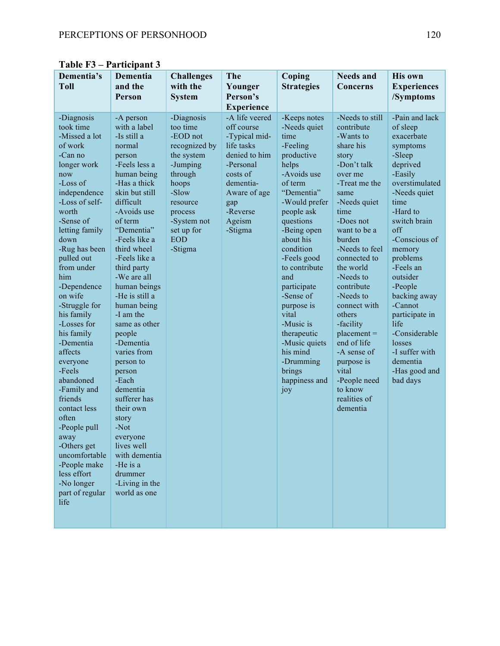| Dementia's<br><b>Toll</b>                                                                                                                                                                                                                                                                                                                                                                                                                                                                                                                                                  | Dementia<br>and the<br>Person                                                                                                                                                                                                                                                                                                                                                                                                                                                                                                                                                         | <b>Challenges</b><br>with the<br><b>System</b>                                                                                                                                          | The<br>Younger<br>Person's<br><b>Experience</b>                                                                                                                            | Coping<br><b>Strategies</b>                                                                                                                                                                                                                                                                                                                                                                            | <b>Needs and</b><br>Concerns                                                                                                                                                                                                                                                                                                                                                                                                                  | <b>His own</b><br><b>Experiences</b><br>/Symptoms                                                                                                                                                                                                                                                                                                                                                |
|----------------------------------------------------------------------------------------------------------------------------------------------------------------------------------------------------------------------------------------------------------------------------------------------------------------------------------------------------------------------------------------------------------------------------------------------------------------------------------------------------------------------------------------------------------------------------|---------------------------------------------------------------------------------------------------------------------------------------------------------------------------------------------------------------------------------------------------------------------------------------------------------------------------------------------------------------------------------------------------------------------------------------------------------------------------------------------------------------------------------------------------------------------------------------|-----------------------------------------------------------------------------------------------------------------------------------------------------------------------------------------|----------------------------------------------------------------------------------------------------------------------------------------------------------------------------|--------------------------------------------------------------------------------------------------------------------------------------------------------------------------------------------------------------------------------------------------------------------------------------------------------------------------------------------------------------------------------------------------------|-----------------------------------------------------------------------------------------------------------------------------------------------------------------------------------------------------------------------------------------------------------------------------------------------------------------------------------------------------------------------------------------------------------------------------------------------|--------------------------------------------------------------------------------------------------------------------------------------------------------------------------------------------------------------------------------------------------------------------------------------------------------------------------------------------------------------------------------------------------|
| -Diagnosis<br>took time<br>-Missed a lot<br>of work<br>-Can no<br>longer work<br>now<br>-Loss of<br>independence<br>-Loss of self-<br>worth<br>-Sense of<br>letting family<br>down<br>-Rug has been<br>pulled out<br>from under<br>him<br>-Dependence<br>on wife<br>-Struggle for<br>his family<br>-Losses for<br>his family<br>-Dementia<br>affects<br>everyone<br>-Feels<br>abandoned<br>-Family and<br>friends<br>contact less<br>often<br>-People pull<br>away<br>-Others get<br>uncomfortable<br>-People make<br>less effort<br>-No longer<br>part of regular<br>life | -A person<br>with a label<br>-Is still a<br>normal<br>person<br>-Feels less a<br>human being<br>-Has a thick<br>skin but still<br>difficult<br>-Avoids use<br>of term<br>"Dementia"<br>-Feels like a<br>third wheel<br>-Feels like a<br>third party<br>-We are all<br>human beings<br>-He is still a<br>human being<br>-I am the<br>same as other<br>people<br>-Dementia<br>varies from<br>person to<br>person<br>-Each<br>dementia<br>sufferer has<br>their own<br>story<br>-Not<br>everyone<br>lives well<br>with dementia<br>-He is a<br>drummer<br>-Living in the<br>world as one | -Diagnosis<br>too time<br>-EOD not<br>recognized by<br>the system<br>-Jumping<br>through<br>hoops<br>-Slow<br>resource<br>process<br>-System not<br>set up for<br><b>EOD</b><br>-Stigma | -A life veered<br>off course<br>-Typical mid-<br>life tasks<br>denied to him<br>-Personal<br>costs of<br>dementia-<br>Aware of age<br>gap<br>-Reverse<br>Ageism<br>-Stigma | -Keeps notes<br>-Needs quiet<br>time<br>-Feeling<br>productive<br>helps<br>-Avoids use<br>of term<br>"Dementia"<br>-Would prefer<br>people ask<br>questions<br>-Being open<br>about his<br>condition<br>-Feels good<br>to contribute<br>and<br>participate<br>-Sense of<br>purpose is<br>vital<br>-Music is<br>therapeutic<br>-Music quiets<br>his mind<br>-Drumming<br>brings<br>happiness and<br>joy | -Needs to still<br>contribute<br>-Wants to<br>share his<br>story<br>-Don't talk<br>over me<br>-Treat me the<br>same<br>-Needs quiet<br>time<br>-Does not<br>want to be a<br>burden<br>-Needs to feel<br>connected to<br>the world<br>-Needs to<br>contribute<br>-Needs to<br>connect with<br>others<br>-facility<br>$placement =$<br>end of life<br>-A sense of<br>purpose is<br>vital<br>-People need<br>to know<br>realities of<br>dementia | -Pain and lack<br>of sleep<br>exacerbate<br>symptoms<br>-Sleep<br>deprived<br>-Easily<br>overstimulated<br>-Needs quiet<br>time<br>-Hard to<br>switch brain<br>$\alpha$ ff<br>-Conscious of<br>memory<br>problems<br>-Feels an<br>outsider<br>-People<br>backing away<br>-Cannot<br>participate in<br>life<br>-Considerable<br>losses<br>-I suffer with<br>dementia<br>-Has good and<br>bad days |

**Table F3 – Participant 3**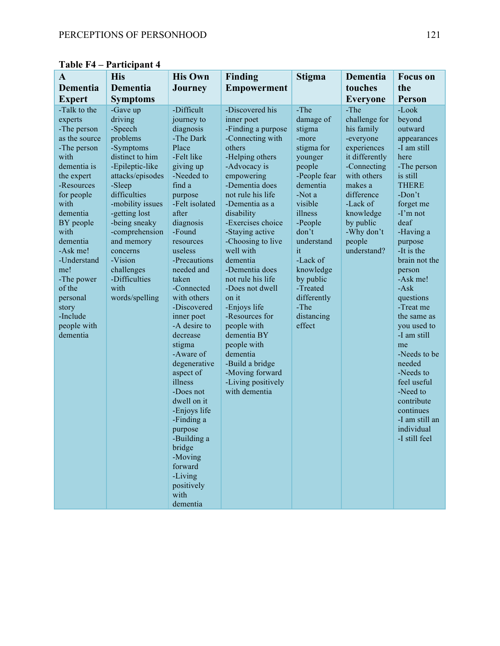| A                                                                                                                                                                                                                                                                                                                  | <b>His</b>                                                                                                                                                                                                                                                                                                        | <b>His Own</b>                                                                                                                                                                                                                                                                                                                                                                                                                                                                                                                                                   | Finding                                                                                                                                                                                                                                                                                                                                                                                                                                                                                                                                    | <b>Stigma</b>                                                                                                                                                                                                                                                                | Dementia                                                                                                                                                                                                              | <b>Focus</b> on                                                                                                                                                                                                                                                                                                                                                                                                                                                              |
|--------------------------------------------------------------------------------------------------------------------------------------------------------------------------------------------------------------------------------------------------------------------------------------------------------------------|-------------------------------------------------------------------------------------------------------------------------------------------------------------------------------------------------------------------------------------------------------------------------------------------------------------------|------------------------------------------------------------------------------------------------------------------------------------------------------------------------------------------------------------------------------------------------------------------------------------------------------------------------------------------------------------------------------------------------------------------------------------------------------------------------------------------------------------------------------------------------------------------|--------------------------------------------------------------------------------------------------------------------------------------------------------------------------------------------------------------------------------------------------------------------------------------------------------------------------------------------------------------------------------------------------------------------------------------------------------------------------------------------------------------------------------------------|------------------------------------------------------------------------------------------------------------------------------------------------------------------------------------------------------------------------------------------------------------------------------|-----------------------------------------------------------------------------------------------------------------------------------------------------------------------------------------------------------------------|------------------------------------------------------------------------------------------------------------------------------------------------------------------------------------------------------------------------------------------------------------------------------------------------------------------------------------------------------------------------------------------------------------------------------------------------------------------------------|
| Dementia                                                                                                                                                                                                                                                                                                           | Dementia                                                                                                                                                                                                                                                                                                          | <b>Journey</b>                                                                                                                                                                                                                                                                                                                                                                                                                                                                                                                                                   | <b>Empowerment</b>                                                                                                                                                                                                                                                                                                                                                                                                                                                                                                                         |                                                                                                                                                                                                                                                                              | touches                                                                                                                                                                                                               | the                                                                                                                                                                                                                                                                                                                                                                                                                                                                          |
| <b>Expert</b>                                                                                                                                                                                                                                                                                                      | <b>Symptoms</b>                                                                                                                                                                                                                                                                                                   |                                                                                                                                                                                                                                                                                                                                                                                                                                                                                                                                                                  |                                                                                                                                                                                                                                                                                                                                                                                                                                                                                                                                            |                                                                                                                                                                                                                                                                              | <b>Everyone</b>                                                                                                                                                                                                       | <b>Person</b>                                                                                                                                                                                                                                                                                                                                                                                                                                                                |
| -Talk to the<br>experts<br>-The person<br>as the source<br>-The person<br>with<br>dementia is<br>the expert<br>-Resources<br>for people<br>with<br>dementia<br>BY people<br>with<br>dementia<br>-Ask me!<br>-Understand<br>me!<br>-The power<br>of the<br>personal<br>story<br>-Include<br>people with<br>dementia | -Gave up<br>driving<br>-Speech<br>problems<br>-Symptoms<br>distinct to him<br>-Epileptic-like<br>attacks/episodes<br>-Sleep<br>difficulties<br>-mobility issues<br>-getting lost<br>-being sneaky<br>-comprehension<br>and memory<br>concerns<br>-Vision<br>challenges<br>-Difficulties<br>with<br>words/spelling | -Difficult<br>journey to<br>diagnosis<br>-The Dark<br>Place<br>-Felt like<br>giving up<br>-Needed to<br>find a<br>purpose<br>-Felt isolated<br>after<br>diagnosis<br>-Found<br>resources<br>useless<br>-Precautions<br>needed and<br>taken<br>-Connected<br>with others<br>-Discovered<br>inner poet<br>-A desire to<br>decrease<br>stigma<br>-Aware of<br>degenerative<br>aspect of<br>illness<br>-Does not<br>dwell on it<br>-Enjoys life<br>-Finding a<br>purpose<br>-Building a<br>bridge<br>-Moving<br>forward<br>-Living<br>positively<br>with<br>dementia | -Discovered his<br>inner poet<br>-Finding a purpose<br>-Connecting with<br>others<br>-Helping others<br>-Advocacy is<br>empowering<br>-Dementia does<br>not rule his life<br>-Dementia as a<br>disability<br>-Exercises choice<br>-Staying active<br>-Choosing to live<br>well with<br>dementia<br>-Dementia does<br>not rule his life<br>-Does not dwell<br>on it<br>-Enjoys life<br>-Resources for<br>people with<br>dementia BY<br>people with<br>dementia<br>-Build a bridge<br>-Moving forward<br>-Living positively<br>with dementia | -The<br>damage of<br>stigma<br>-more<br>stigma for<br>younger<br>people<br>-People fear<br>dementia<br>-Not a<br>visible<br>illness<br>-People<br>don't<br>understand<br>it<br>-Lack of<br>knowledge<br>by public<br>-Treated<br>differently<br>-The<br>distancing<br>effect | -The<br>challenge for<br>his family<br>-everyone<br>experiences<br>it differently<br>-Connecting<br>with others<br>makes a<br>difference<br>-Lack of<br>knowledge<br>by public<br>-Why don't<br>people<br>understand? | -Look<br>beyond<br>outward<br>appearances<br>-I am still<br>here<br>-The person<br>is still<br><b>THERE</b><br>$-Don't$<br>forget me<br>$-I'm$ not<br>deaf<br>-Having a<br>purpose<br>-It is the<br>brain not the<br>person<br>-Ask me!<br>$-Ask$<br>questions<br>-Treat me<br>the same as<br>you used to<br>-I am still<br>me<br>-Needs to be<br>needed<br>-Needs to<br>feel useful<br>-Need to<br>contribute<br>continues<br>-I am still an<br>individual<br>-I still feel |

**Table F4 – Participant 4**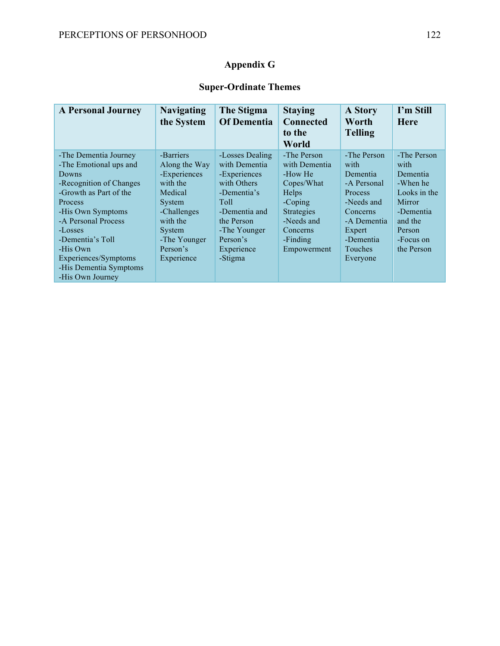# **Appendix G**

# **Super-Ordinate Themes**

| <b>A Personal Journey</b>                                                                                                                                                                                                                                                             | <b>Navigating</b><br>the System                                                                                                                            | The Stigma<br><b>Of Dementia</b>                                                                                                                                           | <b>Staying</b><br><b>Connected</b><br>to the<br>World                                                                                        | <b>A Story</b><br>Worth<br><b>Telling</b>                                                                                                        | I'm Still<br><b>Here</b>                                                                                                           |
|---------------------------------------------------------------------------------------------------------------------------------------------------------------------------------------------------------------------------------------------------------------------------------------|------------------------------------------------------------------------------------------------------------------------------------------------------------|----------------------------------------------------------------------------------------------------------------------------------------------------------------------------|----------------------------------------------------------------------------------------------------------------------------------------------|--------------------------------------------------------------------------------------------------------------------------------------------------|------------------------------------------------------------------------------------------------------------------------------------|
| -The Dementia Journey<br>-The Emotional ups and<br>Downs<br>-Recognition of Changes<br>-Growth as Part of the<br>Process<br>-His Own Symptoms<br>-A Personal Process<br>-Losses<br>-Dementia's Toll<br>-His Own<br>Experiences/Symptoms<br>-His Dementia Symptoms<br>-His Own Journey | -Barriers<br>Along the Way<br>-Experiences<br>with the<br>Medical<br>System<br>-Challenges<br>with the<br>System<br>-The Younger<br>Person's<br>Experience | -Losses Dealing<br>with Dementia<br>-Experiences<br>with Others<br>-Dementia's<br>Toll<br>-Dementia and<br>the Person<br>-The Younger<br>Person's<br>Experience<br>-Stigma | -The Person<br>with Dementia<br>-How He<br>Copes/What<br>Helps<br>-Coping<br>Strategies<br>-Needs and<br>Concerns<br>-Finding<br>Empowerment | -The Person<br>with<br>Dementia<br>-A Personal<br>Process<br>-Needs and<br>Concerns<br>-A Dementia<br>Expert<br>-Dementia<br>Touches<br>Everyone | -The Person<br>with<br>Dementia<br>-When he<br>Looks in the<br>Mirror<br>-Dementia<br>and the<br>Person<br>-Focus on<br>the Person |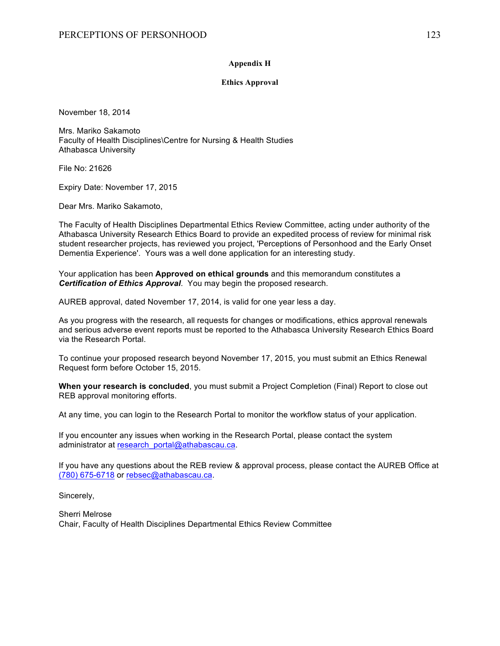#### **Appendix H**

#### **Ethics Approval**

November 18, 2014

Mrs. Mariko Sakamoto Faculty of Health Disciplines\Centre for Nursing & Health Studies Athabasca University

File No: 21626

Expiry Date: November 17, 2015

Dear Mrs. Mariko Sakamoto,

The Faculty of Health Disciplines Departmental Ethics Review Committee, acting under authority of the Athabasca University Research Ethics Board to provide an expedited process of review for minimal risk student researcher projects, has reviewed you project, 'Perceptions of Personhood and the Early Onset Dementia Experience'. Yours was a well done application for an interesting study.

Your application has been **Approved on ethical grounds** and this memorandum constitutes a *Certification of Ethics Approval*. You may begin the proposed research.

AUREB approval, dated November 17, 2014, is valid for one year less a day.

As you progress with the research, all requests for changes or modifications, ethics approval renewals and serious adverse event reports must be reported to the Athabasca University Research Ethics Board via the Research Portal.

To continue your proposed research beyond November 17, 2015, you must submit an Ethics Renewal Request form before October 15, 2015.

**When your research is concluded**, you must submit a Project Completion (Final) Report to close out REB approval monitoring efforts.

At any time, you can login to the Research Portal to monitor the workflow status of your application.

If you encounter any issues when working in the Research Portal, please contact the system administrator at research portal@athabascau.ca.

If you have any questions about the REB review & approval process, please contact the AUREB Office at (780) 675-6718 or rebsec@athabascau.ca.

Sincerely,

Sherri Melrose Chair, Faculty of Health Disciplines Departmental Ethics Review Committee